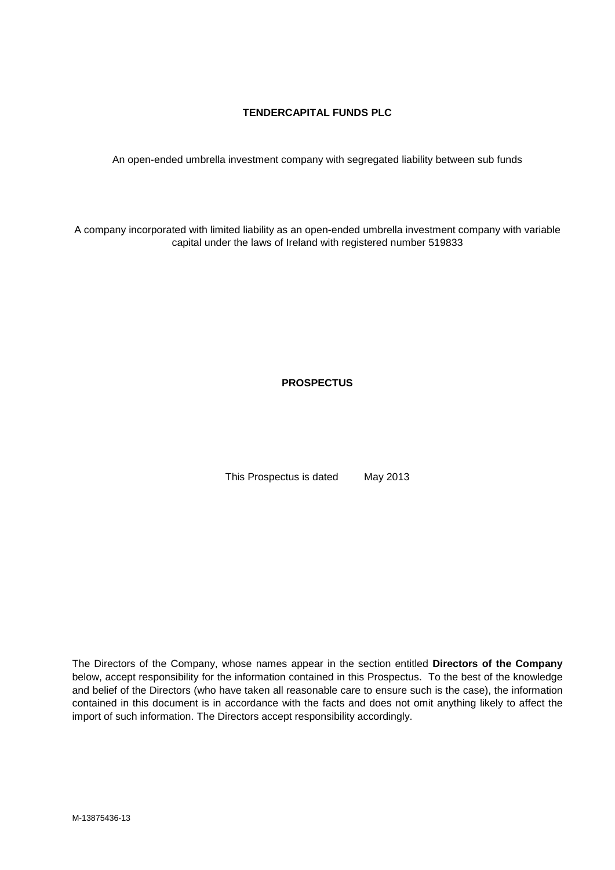## **TENDERCAPITAL FUNDS PLC**

An open-ended umbrella investment company with segregated liability between sub funds

A company incorporated with limited liability as an open-ended umbrella investment company with variable capital under the laws of Ireland with registered number 519833

**PROSPECTUS**

This Prospectus is dated May 2013

The Directors of the Company, whose names appear in the section entitled **Directors of the Company** below, accept responsibility for the information contained in this Prospectus. To the best of the knowledge and belief of the Directors (who have taken all reasonable care to ensure such is the case), the information contained in this document is in accordance with the facts and does not omit anything likely to affect the import of such information. The Directors accept responsibility accordingly.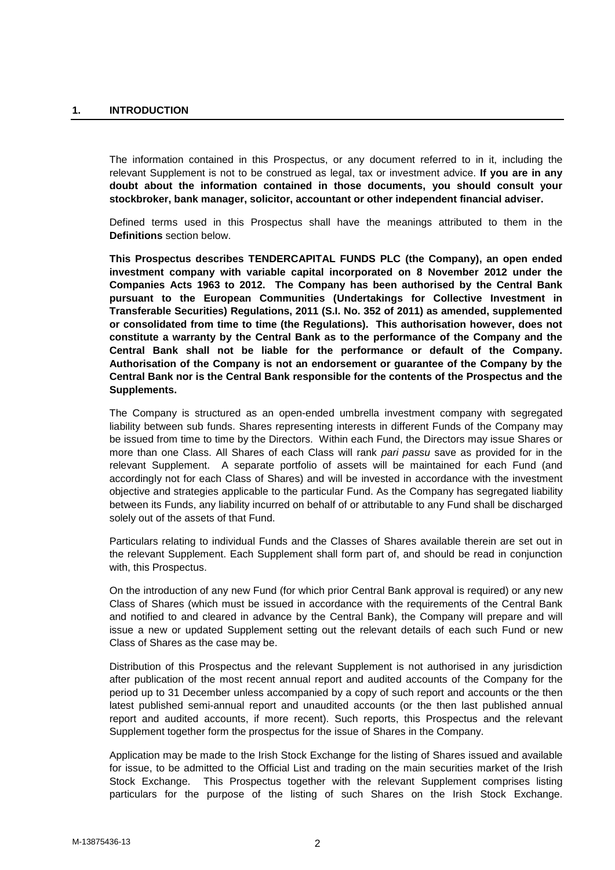The information contained in this Prospectus, or any document referred to in it, including the relevant Supplement is not to be construed as legal, tax or investment advice. **If you are in any doubt about the information contained in those documents, you should consult your stockbroker, bank manager, solicitor, accountant or other independent financial adviser.**

Defined terms used in this Prospectus shall have the meanings attributed to them in the **Definitions** section below.

**This Prospectus describes TENDERCAPITAL FUNDS PLC (the Company), an open ended investment company with variable capital incorporated on 8 November 2012 under the Companies Acts 1963 to 2012. The Company has been authorised by the Central Bank pursuant to the European Communities (Undertakings for Collective Investment in Transferable Securities) Regulations, 2011 (S.I. No. 352 of 2011) as amended, supplemented or consolidated from time to time (the Regulations). This authorisation however, does not constitute a warranty by the Central Bank as to the performance of the Company and the Central Bank shall not be liable for the performance or default of the Company. Authorisation of the Company is not an endorsement or guarantee of the Company by the Central Bank nor is the Central Bank responsible for the contents of the Prospectus and the Supplements.**

The Company is structured as an open-ended umbrella investment company with segregated liability between sub funds. Shares representing interests in different Funds of the Company may be issued from time to time by the Directors. Within each Fund, the Directors may issue Shares or more than one Class. All Shares of each Class will rank *pari passu* save as provided for in the relevant Supplement. A separate portfolio of assets will be maintained for each Fund (and accordingly not for each Class of Shares) and will be invested in accordance with the investment objective and strategies applicable to the particular Fund. As the Company has segregated liability between its Funds, any liability incurred on behalf of or attributable to any Fund shall be discharged solely out of the assets of that Fund.

Particulars relating to individual Funds and the Classes of Shares available therein are set out in the relevant Supplement. Each Supplement shall form part of, and should be read in conjunction with, this Prospectus.

On the introduction of any new Fund (for which prior Central Bank approval is required) or any new Class of Shares (which must be issued in accordance with the requirements of the Central Bank and notified to and cleared in advance by the Central Bank), the Company will prepare and will issue a new or updated Supplement setting out the relevant details of each such Fund or new Class of Shares as the case may be.

Distribution of this Prospectus and the relevant Supplement is not authorised in any jurisdiction after publication of the most recent annual report and audited accounts of the Company for the period up to 31 December unless accompanied by a copy of such report and accounts or the then latest published semi-annual report and unaudited accounts (or the then last published annual report and audited accounts, if more recent). Such reports, this Prospectus and the relevant Supplement together form the prospectus for the issue of Shares in the Company.

Application may be made to the Irish Stock Exchange for the listing of Shares issued and available for issue, to be admitted to the Official List and trading on the main securities market of the Irish Stock Exchange. This Prospectus together with the relevant Supplement comprises listing particulars for the purpose of the listing of such Shares on the Irish Stock Exchange.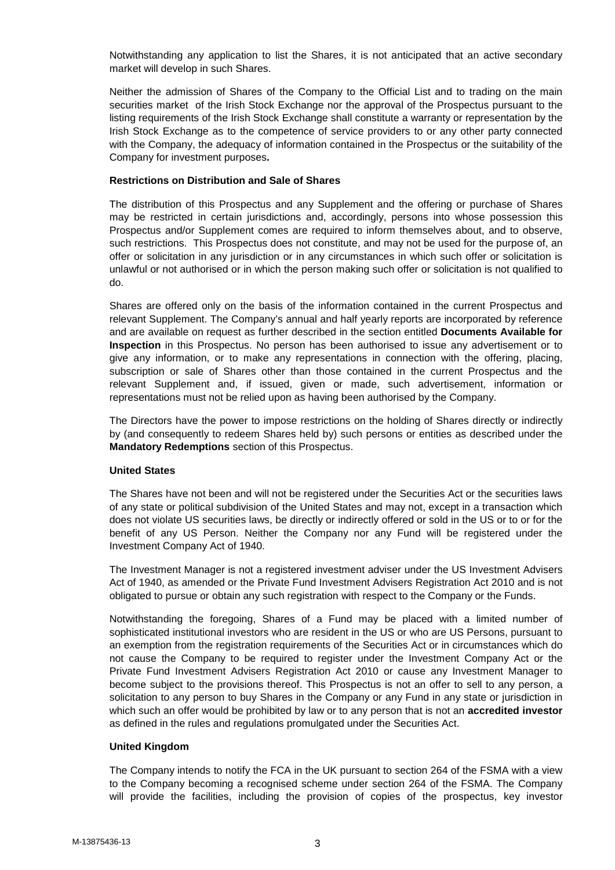Notwithstanding any application to list the Shares, it is not anticipated that an active secondary market will develop in such Shares.

Neither the admission of Shares of the Company to the Official List and to trading on the main securities market of the Irish Stock Exchange nor the approval of the Prospectus pursuant to the listing requirements of the Irish Stock Exchange shall constitute a warranty or representation by the Irish Stock Exchange as to the competence of service providers to or any other party connected with the Company, the adequacy of information contained in the Prospectus or the suitability of the Company for investment purposes**.**

### **Restrictions on Distribution and Sale of Shares**

The distribution of this Prospectus and any Supplement and the offering or purchase of Shares may be restricted in certain jurisdictions and, accordingly, persons into whose possession this Prospectus and/or Supplement comes are required to inform themselves about, and to observe, such restrictions. This Prospectus does not constitute, and may not be used for the purpose of, an offer or solicitation in any jurisdiction or in any circumstances in which such offer or solicitation is unlawful or not authorised or in which the person making such offer or solicitation is not qualified to do.

Shares are offered only on the basis of the information contained in the current Prospectus and relevant Supplement. The Company's annual and half yearly reports are incorporated by reference and are available on request as further described in the section entitled **Documents Available for Inspection** in this Prospectus. No person has been authorised to issue any advertisement or to give any information, or to make any representations in connection with the offering, placing, subscription or sale of Shares other than those contained in the current Prospectus and the relevant Supplement and, if issued, given or made, such advertisement, information or representations must not be relied upon as having been authorised by the Company.

The Directors have the power to impose restrictions on the holding of Shares directly or indirectly by (and consequently to redeem Shares held by) such persons or entities as described under the **Mandatory Redemptions** section of this Prospectus.

## **United States**

The Shares have not been and will not be registered under the Securities Act or the securities laws of any state or political subdivision of the United States and may not, except in a transaction which does not violate US securities laws, be directly or indirectly offered or sold in the US or to or for the benefit of any US Person. Neither the Company nor any Fund will be registered under the Investment Company Act of 1940.

The Investment Manager is not a registered investment adviser under the US Investment Advisers Act of 1940, as amended or the Private Fund Investment Advisers Registration Act 2010 and is not obligated to pursue or obtain any such registration with respect to the Company or the Funds.

Notwithstanding the foregoing, Shares of a Fund may be placed with a limited number of sophisticated institutional investors who are resident in the US or who are US Persons, pursuant to an exemption from the registration requirements of the Securities Act or in circumstances which do not cause the Company to be required to register under the Investment Company Act or the Private Fund Investment Advisers Registration Act 2010 or cause any Investment Manager to become subject to the provisions thereof. This Prospectus is not an offer to sell to any person, a solicitation to any person to buy Shares in the Company or any Fund in any state or jurisdiction in which such an offer would be prohibited by law or to any person that is not an **accredited investor** as defined in the rules and regulations promulgated under the Securities Act.

#### **United Kingdom**

The Company intends to notify the FCA in the UK pursuant to section 264 of the FSMA with a view to the Company becoming a recognised scheme under section 264 of the FSMA. The Company will provide the facilities, including the provision of copies of the prospectus, key investor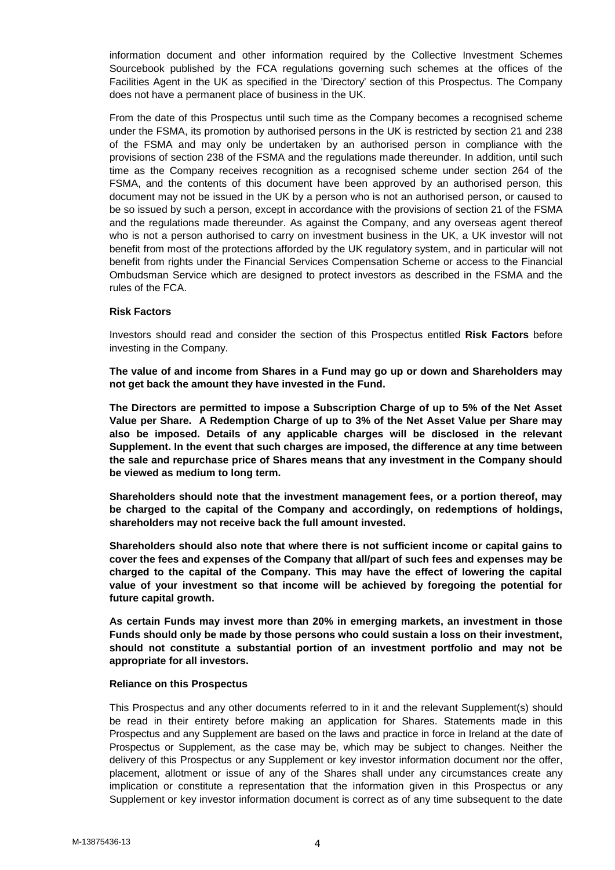information document and other information required by the Collective Investment Schemes Sourcebook published by the FCA regulations governing such schemes at the offices of the Facilities Agent in the UK as specified in the 'Directory' section of this Prospectus. The Company does not have a permanent place of business in the UK.

From the date of this Prospectus until such time as the Company becomes a recognised scheme under the FSMA, its promotion by authorised persons in the UK is restricted by section 21 and 238 of the FSMA and may only be undertaken by an authorised person in compliance with the provisions of section 238 of the FSMA and the regulations made thereunder. In addition, until such time as the Company receives recognition as a recognised scheme under section 264 of the FSMA, and the contents of this document have been approved by an authorised person, this document may not be issued in the UK by a person who is not an authorised person, or caused to be so issued by such a person, except in accordance with the provisions of section 21 of the FSMA and the regulations made thereunder. As against the Company, and any overseas agent thereof who is not a person authorised to carry on investment business in the UK, a UK investor will not benefit from most of the protections afforded by the UK regulatory system, and in particular will not benefit from rights under the Financial Services Compensation Scheme or access to the Financial Ombudsman Service which are designed to protect investors as described in the FSMA and the rules of the FCA.

### **Risk Factors**

Investors should read and consider the section of this Prospectus entitled **Risk Factors** before investing in the Company.

**The value of and income from Shares in a Fund may go up or down and Shareholders may not get back the amount they have invested in the Fund.**

**The Directors are permitted to impose a Subscription Charge of up to 5% of the Net Asset Value per Share. A Redemption Charge of up to 3% of the Net Asset Value per Share may also be imposed. Details of any applicable charges will be disclosed in the relevant Supplement. In the event that such charges are imposed, the difference at any time between the sale and repurchase price of Shares means that any investment in the Company should be viewed as medium to long term.**

**Shareholders should note that the investment management fees, or a portion thereof, may be charged to the capital of the Company and accordingly, on redemptions of holdings, shareholders may not receive back the full amount invested.**

**Shareholders should also note that where there is not sufficient income or capital gains to cover the fees and expenses of the Company that all/part of such fees and expenses may be charged to the capital of the Company. This may have the effect of lowering the capital value of your investment so that income will be achieved by foregoing the potential for future capital growth.**

**As certain Funds may invest more than 20% in emerging markets, an investment in those Funds should only be made by those persons who could sustain a loss on their investment, should not constitute a substantial portion of an investment portfolio and may not be appropriate for all investors.**

#### **Reliance on this Prospectus**

This Prospectus and any other documents referred to in it and the relevant Supplement(s) should be read in their entirety before making an application for Shares. Statements made in this Prospectus and any Supplement are based on the laws and practice in force in Ireland at the date of Prospectus or Supplement, as the case may be, which may be subject to changes. Neither the delivery of this Prospectus or any Supplement or key investor information document nor the offer, placement, allotment or issue of any of the Shares shall under any circumstances create any implication or constitute a representation that the information given in this Prospectus or any Supplement or key investor information document is correct as of any time subsequent to the date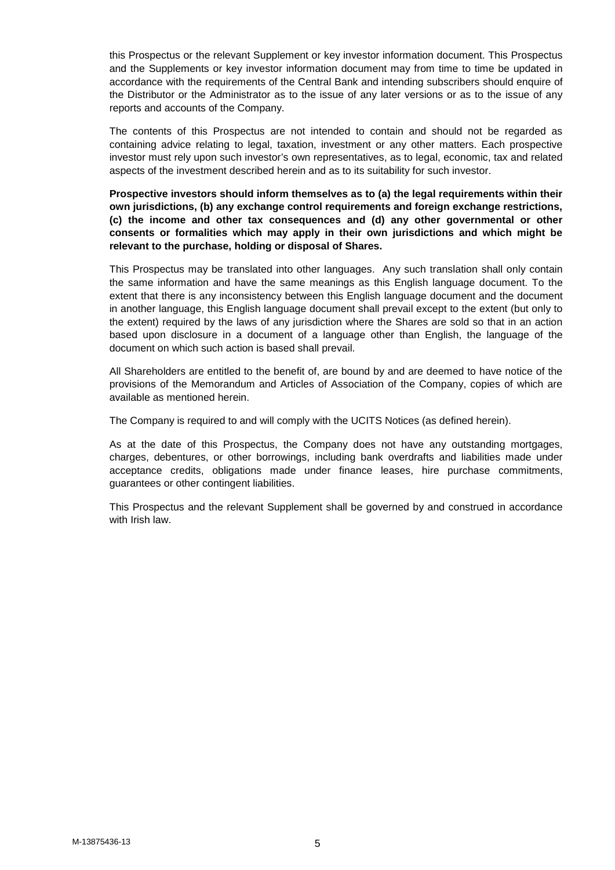this Prospectus or the relevant Supplement or key investor information document. This Prospectus and the Supplements or key investor information document may from time to time be updated in accordance with the requirements of the Central Bank and intending subscribers should enquire of the Distributor or the Administrator as to the issue of any later versions or as to the issue of any reports and accounts of the Company.

The contents of this Prospectus are not intended to contain and should not be regarded as containing advice relating to legal, taxation, investment or any other matters. Each prospective investor must rely upon such investor's own representatives, as to legal, economic, tax and related aspects of the investment described herein and as to its suitability for such investor.

**Prospective investors should inform themselves as to (a) the legal requirements within their own jurisdictions, (b) any exchange control requirements and foreign exchange restrictions, (c) the income and other tax consequences and (d) any other governmental or other consents or formalities which may apply in their own jurisdictions and which might be relevant to the purchase, holding or disposal of Shares.**

This Prospectus may be translated into other languages. Any such translation shall only contain the same information and have the same meanings as this English language document. To the extent that there is any inconsistency between this English language document and the document in another language, this English language document shall prevail except to the extent (but only to the extent) required by the laws of any jurisdiction where the Shares are sold so that in an action based upon disclosure in a document of a language other than English, the language of the document on which such action is based shall prevail.

All Shareholders are entitled to the benefit of, are bound by and are deemed to have notice of the provisions of the Memorandum and Articles of Association of the Company, copies of which are available as mentioned herein.

The Company is required to and will comply with the UCITS Notices (as defined herein).

As at the date of this Prospectus, the Company does not have any outstanding mortgages, charges, debentures, or other borrowings, including bank overdrafts and liabilities made under acceptance credits, obligations made under finance leases, hire purchase commitments, guarantees or other contingent liabilities.

This Prospectus and the relevant Supplement shall be governed by and construed in accordance with Irish law.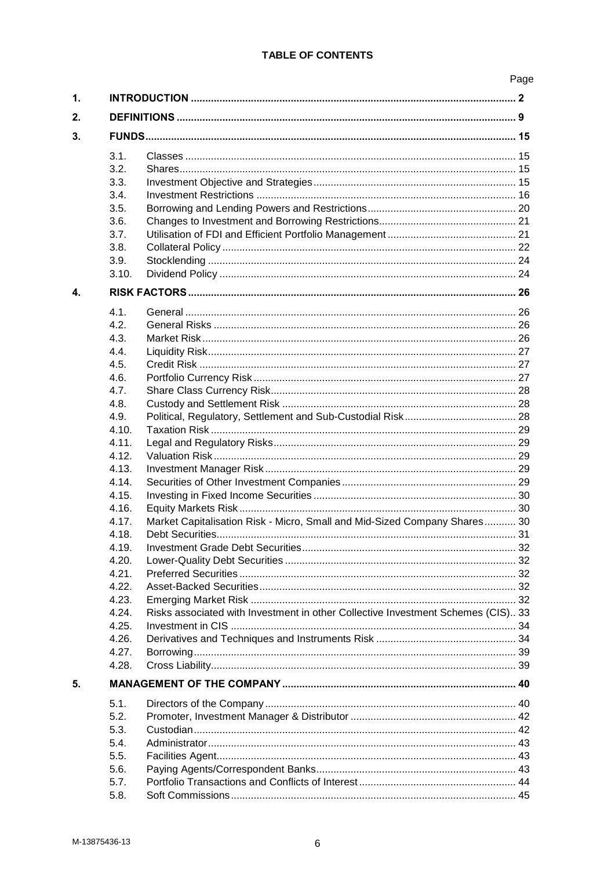# **TABLE OF CONTENTS**

|              |                                                                                  | Page |
|--------------|----------------------------------------------------------------------------------|------|
|              |                                                                                  |      |
|              |                                                                                  |      |
|              |                                                                                  |      |
| 3.1.         |                                                                                  |      |
| 3.2.         |                                                                                  |      |
| 3.3.         |                                                                                  |      |
| 3.4.         |                                                                                  |      |
| 3.5.         |                                                                                  |      |
| 3.6.         |                                                                                  |      |
| 3.7.         |                                                                                  |      |
| 3.8.         |                                                                                  |      |
| 3.9.         |                                                                                  |      |
| 3.10.        |                                                                                  |      |
|              |                                                                                  |      |
|              |                                                                                  |      |
| 4.1.<br>4.2. |                                                                                  |      |
| 4.3.         |                                                                                  |      |
| 4.4.         |                                                                                  |      |
| 4.5.         |                                                                                  |      |
| 4.6.         |                                                                                  |      |
| 4.7.         |                                                                                  |      |
| 4.8.         |                                                                                  |      |
| 4.9.         |                                                                                  |      |
| 4.10.        |                                                                                  |      |
| 4.11.        |                                                                                  |      |
| 4.12.        |                                                                                  |      |
| 4.13.        |                                                                                  |      |
| 4.14.        |                                                                                  |      |
| 4.15.        |                                                                                  |      |
| 4.16.        |                                                                                  |      |
| 4.17.        | Market Capitalisation Risk - Micro, Small and Mid-Sized Company Shares 30        |      |
| 4.18.        |                                                                                  |      |
| 4.19.        |                                                                                  |      |
| 4.20.        |                                                                                  |      |
| 4.21.        |                                                                                  |      |
| 4.22         |                                                                                  |      |
| 4.23.        |                                                                                  |      |
| 4.24.        | Risks associated with Investment in other Collective Investment Schemes (CIS) 33 |      |
| 4.25.        |                                                                                  |      |
| 4.26.        |                                                                                  |      |
| 4.27.        |                                                                                  |      |
| 4.28.        |                                                                                  |      |
|              |                                                                                  |      |
|              |                                                                                  |      |
| 5.1.         |                                                                                  |      |
| 5.2.         |                                                                                  |      |
| 5.3.         |                                                                                  |      |
| 5.4.         |                                                                                  |      |
| 5.5.         |                                                                                  |      |
| 5.6.         |                                                                                  |      |
| 5.7.         |                                                                                  |      |
| 5.8.         |                                                                                  |      |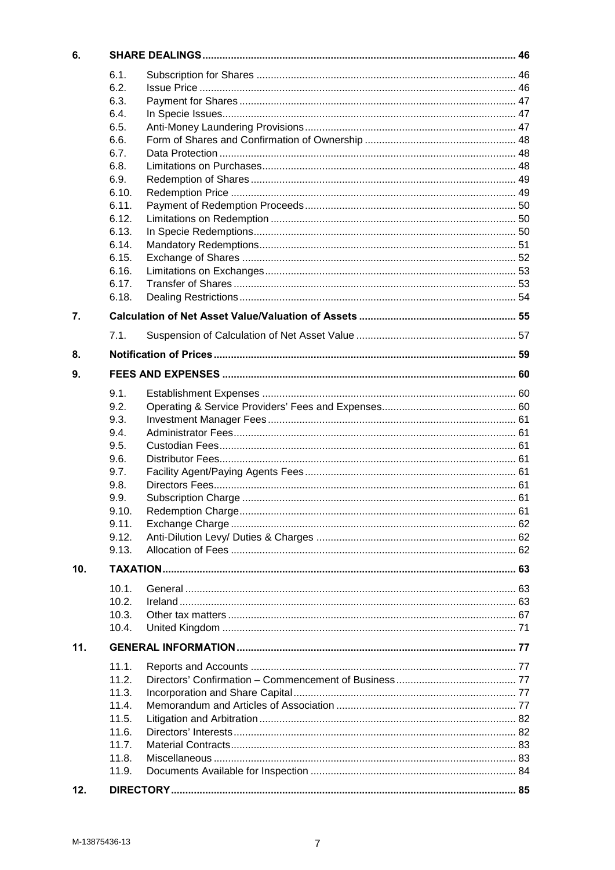| 6.  |       |  |
|-----|-------|--|
|     | 6.1.  |  |
|     | 6.2.  |  |
|     | 6.3.  |  |
|     | 6.4.  |  |
|     | 6.5.  |  |
|     | 6.6.  |  |
|     | 6.7.  |  |
|     | 6.8.  |  |
|     | 6.9.  |  |
|     | 6.10. |  |
|     | 6.11. |  |
|     | 6.12. |  |
|     | 6.13. |  |
|     | 6.14. |  |
|     | 6.15. |  |
|     | 6.16. |  |
|     | 6.17. |  |
|     | 6.18. |  |
| 7.  |       |  |
|     | 7.1.  |  |
|     |       |  |
| 8.  |       |  |
| 9.  |       |  |
|     | 9.1.  |  |
|     | 9.2.  |  |
|     | 9.3.  |  |
|     | 9.4.  |  |
|     | 9.5.  |  |
|     | 9.6.  |  |
|     | 9.7.  |  |
|     | 9.8.  |  |
|     | 9.9.  |  |
|     | 9.10. |  |
|     | 9.11. |  |
|     | 9.12. |  |
|     | 9.13. |  |
|     |       |  |
| 10. |       |  |
|     | 10.1. |  |
|     | 10.2. |  |
|     | 10.3. |  |
|     | 10.4. |  |
| 11. |       |  |
|     | 11.1. |  |
|     | 11.2. |  |
|     | 11.3. |  |
|     | 11.4. |  |
|     | 11.5. |  |
|     | 11.6. |  |
|     | 11.7. |  |
|     | 11.8. |  |
|     | 11.9. |  |
|     |       |  |
| 12. |       |  |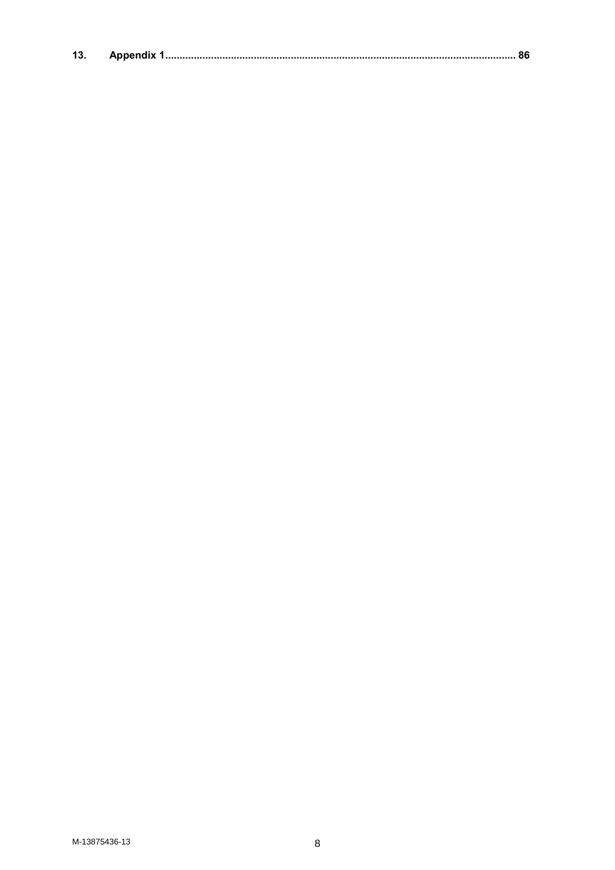| 13 |  |  |  |
|----|--|--|--|
|----|--|--|--|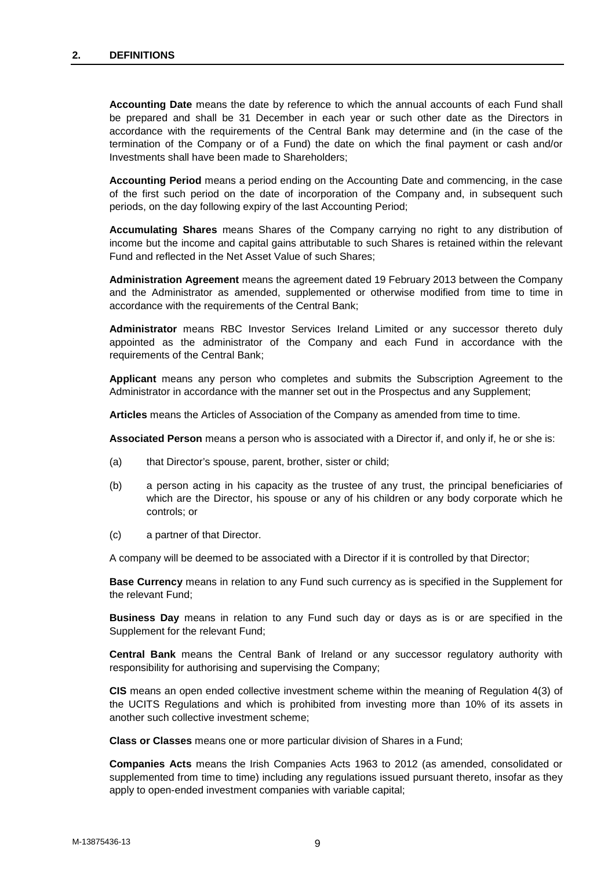**Accounting Date** means the date by reference to which the annual accounts of each Fund shall be prepared and shall be 31 December in each year or such other date as the Directors in accordance with the requirements of the Central Bank may determine and (in the case of the termination of the Company or of a Fund) the date on which the final payment or cash and/or Investments shall have been made to Shareholders;

**Accounting Period** means a period ending on the Accounting Date and commencing, in the case of the first such period on the date of incorporation of the Company and, in subsequent such periods, on the day following expiry of the last Accounting Period;

**Accumulating Shares** means Shares of the Company carrying no right to any distribution of income but the income and capital gains attributable to such Shares is retained within the relevant Fund and reflected in the Net Asset Value of such Shares;

**Administration Agreement** means the agreement dated 19 February 2013 between the Company and the Administrator as amended, supplemented or otherwise modified from time to time in accordance with the requirements of the Central Bank;

**Administrator** means RBC Investor Services Ireland Limited or any successor thereto duly appointed as the administrator of the Company and each Fund in accordance with the requirements of the Central Bank;

**Applicant** means any person who completes and submits the Subscription Agreement to the Administrator in accordance with the manner set out in the Prospectus and any Supplement;

Articles means the Articles of Association of the Company as amended from time to time.

**Associated Person** means a person who is associated with a Director if, and only if, he or she is:

- (a) that Director's spouse, parent, brother, sister or child;
- (b) a person acting in his capacity as the trustee of any trust, the principal beneficiaries of which are the Director, his spouse or any of his children or any body corporate which he controls; or
- (c) a partner of that Director.

A company will be deemed to be associated with a Director if it is controlled by that Director;

**Base Currency** means in relation to any Fund such currency as is specified in the Supplement for the relevant Fund;

**Business Day** means in relation to any Fund such day or days as is or are specified in the Supplement for the relevant Fund;

**Central Bank** means the Central Bank of Ireland or any successor regulatory authority with responsibility for authorising and supervising the Company;

**CIS** means an open ended collective investment scheme within the meaning of Regulation 4(3) of the UCITS Regulations and which is prohibited from investing more than 10% of its assets in another such collective investment scheme;

**Class or Classes** means one or more particular division of Shares in a Fund;

**Companies Acts** means the Irish Companies Acts 1963 to 2012 (as amended, consolidated or supplemented from time to time) including any regulations issued pursuant thereto, insofar as they apply to open-ended investment companies with variable capital;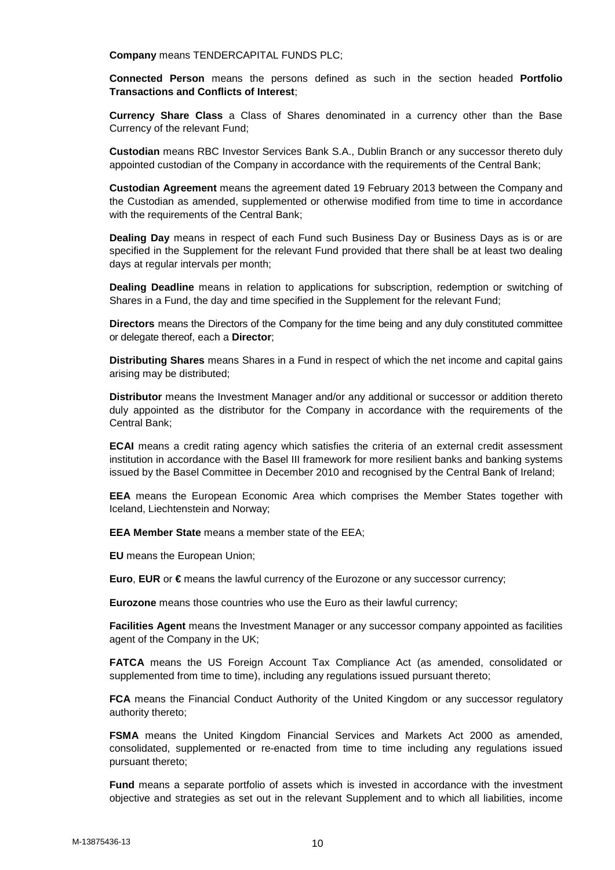**Company** means TENDERCAPITAL FUNDS PLC;

**Connected Person** means the persons defined as such in the section headed **Portfolio Transactions and Conflicts of Interest**;

**Currency Share Class** a Class of Shares denominated in a currency other than the Base Currency of the relevant Fund;

**Custodian** means RBC Investor Services Bank S.A., Dublin Branch or any successor thereto duly appointed custodian of the Company in accordance with the requirements of the Central Bank;

**Custodian Agreement** means the agreement dated 19 February 2013 between the Company and the Custodian as amended, supplemented or otherwise modified from time to time in accordance with the requirements of the Central Bank;

**Dealing Day** means in respect of each Fund such Business Day or Business Days as is or are specified in the Supplement for the relevant Fund provided that there shall be at least two dealing days at regular intervals per month;

**Dealing Deadline** means in relation to applications for subscription, redemption or switching of Shares in a Fund, the day and time specified in the Supplement for the relevant Fund;

**Directors** means the Directors of the Company for the time being and any duly constituted committee or delegate thereof, each a **Director**;

**Distributing Shares** means Shares in a Fund in respect of which the net income and capital gains arising may be distributed;

**Distributor** means the Investment Manager and/or any additional or successor or addition thereto duly appointed as the distributor for the Company in accordance with the requirements of the Central Bank;

**ECAI** means a credit rating agency which satisfies the criteria of an external credit assessment institution in accordance with the Basel III framework for more resilient banks and banking systems issued by the Basel Committee in December 2010 and recognised by the Central Bank of Ireland;

**EEA** means the European Economic Area which comprises the Member States together with Iceland, Liechtenstein and Norway;

**EEA Member State** means a member state of the EEA;

**EU** means the European Union;

**Euro**, **EUR** or **€** means the lawful currency of the Eurozone or any successor currency;

**Eurozone** means those countries who use the Euro as their lawful currency;

**Facilities Agent** means the Investment Manager or any successor company appointed as facilities agent of the Company in the UK;

**FATCA** means the US Foreign Account Tax Compliance Act (as amended, consolidated or supplemented from time to time), including any regulations issued pursuant thereto;

**FCA** means the Financial Conduct Authority of the United Kingdom or any successor regulatory authority thereto;

**FSMA** means the United Kingdom Financial Services and Markets Act 2000 as amended, consolidated, supplemented or re-enacted from time to time including any regulations issued pursuant thereto;

**Fund** means a separate portfolio of assets which is invested in accordance with the investment objective and strategies as set out in the relevant Supplement and to which all liabilities, income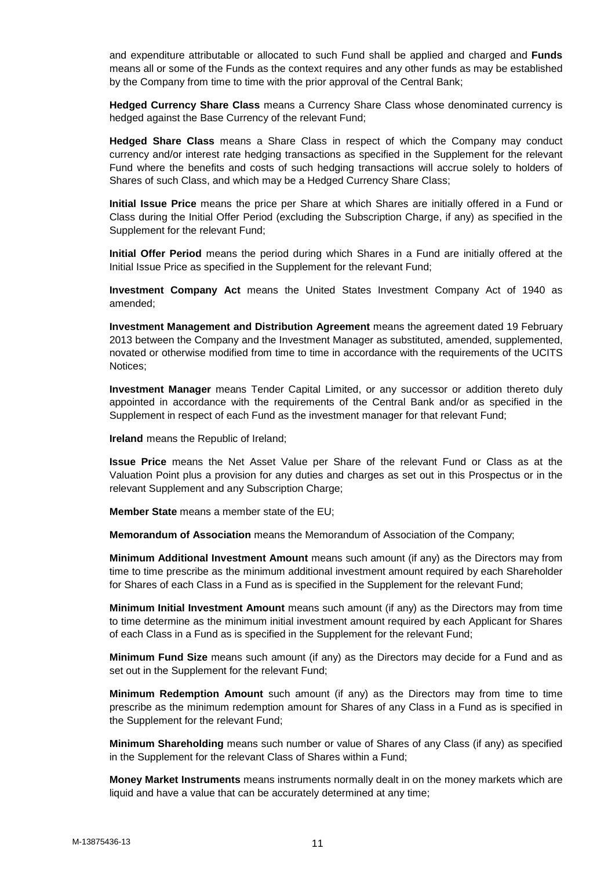and expenditure attributable or allocated to such Fund shall be applied and charged and **Funds** means all or some of the Funds as the context requires and any other funds as may be established by the Company from time to time with the prior approval of the Central Bank;

**Hedged Currency Share Class** means a Currency Share Class whose denominated currency is hedged against the Base Currency of the relevant Fund;

**Hedged Share Class** means a Share Class in respect of which the Company may conduct currency and/or interest rate hedging transactions as specified in the Supplement for the relevant Fund where the benefits and costs of such hedging transactions will accrue solely to holders of Shares of such Class, and which may be a Hedged Currency Share Class;

**Initial Issue Price** means the price per Share at which Shares are initially offered in a Fund or Class during the Initial Offer Period (excluding the Subscription Charge, if any) as specified in the Supplement for the relevant Fund;

**Initial Offer Period** means the period during which Shares in a Fund are initially offered at the Initial Issue Price as specified in the Supplement for the relevant Fund;

**Investment Company Act** means the United States Investment Company Act of 1940 as amended;

**Investment Management and Distribution Agreement** means the agreement dated 19 February 2013 between the Company and the Investment Manager as substituted, amended, supplemented, novated or otherwise modified from time to time in accordance with the requirements of the UCITS Notices;

**Investment Manager** means Tender Capital Limited, or any successor or addition thereto duly appointed in accordance with the requirements of the Central Bank and/or as specified in the Supplement in respect of each Fund as the investment manager for that relevant Fund;

**Ireland** means the Republic of Ireland;

**Issue Price** means the Net Asset Value per Share of the relevant Fund or Class as at the Valuation Point plus a provision for any duties and charges as set out in this Prospectus or in the relevant Supplement and any Subscription Charge;

**Member State** means a member state of the EU;

**Memorandum of Association** means the Memorandum of Association of the Company;

**Minimum Additional Investment Amount** means such amount (if any) as the Directors may from time to time prescribe as the minimum additional investment amount required by each Shareholder for Shares of each Class in a Fund as is specified in the Supplement for the relevant Fund;

**Minimum Initial Investment Amount** means such amount (if any) as the Directors may from time to time determine as the minimum initial investment amount required by each Applicant for Shares of each Class in a Fund as is specified in the Supplement for the relevant Fund;

**Minimum Fund Size** means such amount (if any) as the Directors may decide for a Fund and as set out in the Supplement for the relevant Fund;

**Minimum Redemption Amount** such amount (if any) as the Directors may from time to time prescribe as the minimum redemption amount for Shares of any Class in a Fund as is specified in the Supplement for the relevant Fund;

**Minimum Shareholding** means such number or value of Shares of any Class (if any) as specified in the Supplement for the relevant Class of Shares within a Fund;

**Money Market Instruments** means instruments normally dealt in on the money markets which are liquid and have a value that can be accurately determined at any time;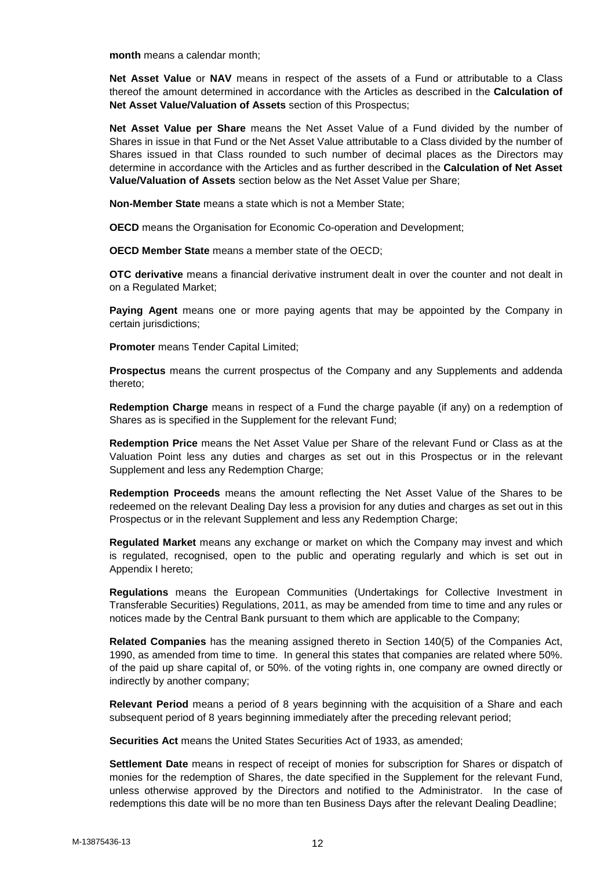**month** means a calendar month;

**Net Asset Value** or **NAV** means in respect of the assets of a Fund or attributable to a Class thereof the amount determined in accordance with the Articles as described in the **Calculation of Net Asset Value/Valuation of Assets** section of this Prospectus;

**Net Asset Value per Share** means the Net Asset Value of a Fund divided by the number of Shares in issue in that Fund or the Net Asset Value attributable to a Class divided by the number of Shares issued in that Class rounded to such number of decimal places as the Directors may determine in accordance with the Articles and as further described in the **Calculation of Net Asset Value/Valuation of Assets** section below as the Net Asset Value per Share;

**Non-Member State** means a state which is not a Member State;

**OECD** means the Organisation for Economic Co-operation and Development;

**OECD Member State** means a member state of the OECD;

**OTC derivative** means a financial derivative instrument dealt in over the counter and not dealt in on a Regulated Market;

**Paying Agent** means one or more paying agents that may be appointed by the Company in certain jurisdictions;

**Promoter** means Tender Capital Limited;

**Prospectus** means the current prospectus of the Company and any Supplements and addenda thereto;

**Redemption Charge** means in respect of a Fund the charge payable (if any) on a redemption of Shares as is specified in the Supplement for the relevant Fund;

**Redemption Price** means the Net Asset Value per Share of the relevant Fund or Class as at the Valuation Point less any duties and charges as set out in this Prospectus or in the relevant Supplement and less any Redemption Charge;

**Redemption Proceeds** means the amount reflecting the Net Asset Value of the Shares to be redeemed on the relevant Dealing Day less a provision for any duties and charges as set out in this Prospectus or in the relevant Supplement and less any Redemption Charge;

**Regulated Market** means any exchange or market on which the Company may invest and which is regulated, recognised, open to the public and operating regularly and which is set out in Appendix I hereto;

**Regulations** means the European Communities (Undertakings for Collective Investment in Transferable Securities) Regulations, 2011, as may be amended from time to time and any rules or notices made by the Central Bank pursuant to them which are applicable to the Company;

**Related Companies** has the meaning assigned thereto in Section 140(5) of the Companies Act, 1990, as amended from time to time. In general this states that companies are related where 50%. of the paid up share capital of, or 50%. of the voting rights in, one company are owned directly or indirectly by another company;

**Relevant Period** means a period of 8 years beginning with the acquisition of a Share and each subsequent period of 8 years beginning immediately after the preceding relevant period;

**Securities Act** means the United States Securities Act of 1933, as amended;

**Settlement Date** means in respect of receipt of monies for subscription for Shares or dispatch of monies for the redemption of Shares, the date specified in the Supplement for the relevant Fund, unless otherwise approved by the Directors and notified to the Administrator. In the case of redemptions this date will be no more than ten Business Days after the relevant Dealing Deadline;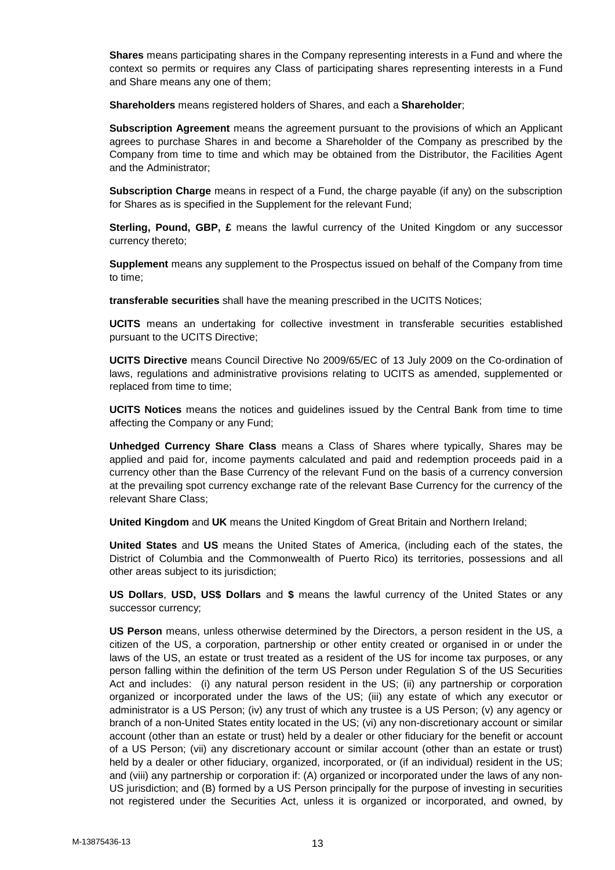**Shares** means participating shares in the Company representing interests in a Fund and where the context so permits or requires any Class of participating shares representing interests in a Fund and Share means any one of them;

**Shareholders** means registered holders of Shares, and each a **Shareholder**;

**Subscription Agreement** means the agreement pursuant to the provisions of which an Applicant agrees to purchase Shares in and become a Shareholder of the Company as prescribed by the Company from time to time and which may be obtained from the Distributor, the Facilities Agent and the Administrator;

**Subscription Charge** means in respect of a Fund, the charge payable (if any) on the subscription for Shares as is specified in the Supplement for the relevant Fund;

**Sterling, Pound, GBP, £** means the lawful currency of the United Kingdom or any successor currency thereto;

**Supplement** means any supplement to the Prospectus issued on behalf of the Company from time to time;

**transferable securities** shall have the meaning prescribed in the UCITS Notices;

**UCITS** means an undertaking for collective investment in transferable securities established pursuant to the UCITS Directive;

**UCITS Directive** means Council Directive No 2009/65/EC of 13 July 2009 on the Co-ordination of laws, regulations and administrative provisions relating to UCITS as amended, supplemented or replaced from time to time;

**UCITS Notices** means the notices and guidelines issued by the Central Bank from time to time affecting the Company or any Fund;

**Unhedged Currency Share Class** means a Class of Shares where typically, Shares may be applied and paid for, income payments calculated and paid and redemption proceeds paid in a currency other than the Base Currency of the relevant Fund on the basis of a currency conversion at the prevailing spot currency exchange rate of the relevant Base Currency for the currency of the relevant Share Class;

**United Kingdom** and **UK** means the United Kingdom of Great Britain and Northern Ireland;

**United States** and **US** means the United States of America, (including each of the states, the District of Columbia and the Commonwealth of Puerto Rico) its territories, possessions and all other areas subject to its jurisdiction;

**US Dollars**, **USD, US\$ Dollars** and **\$** means the lawful currency of the United States or any successor currency;

**US Person** means, unless otherwise determined by the Directors, a person resident in the US, a citizen of the US, a corporation, partnership or other entity created or organised in or under the laws of the US, an estate or trust treated as a resident of the US for income tax purposes, or any person falling within the definition of the term US Person under Regulation S of the US Securities Act and includes: (i) any natural person resident in the US; (ii) any partnership or corporation organized or incorporated under the laws of the US; (iii) any estate of which any executor or administrator is a US Person; (iv) any trust of which any trustee is a US Person; (v) any agency or branch of a non-United States entity located in the US; (vi) any non-discretionary account or similar account (other than an estate or trust) held by a dealer or other fiduciary for the benefit or account of a US Person; (vii) any discretionary account or similar account (other than an estate or trust) held by a dealer or other fiduciary, organized, incorporated, or (if an individual) resident in the US; and (viii) any partnership or corporation if: (A) organized or incorporated under the laws of any non- US jurisdiction; and (B) formed by a US Person principally for the purpose of investing in securities not registered under the Securities Act, unless it is organized or incorporated, and owned, by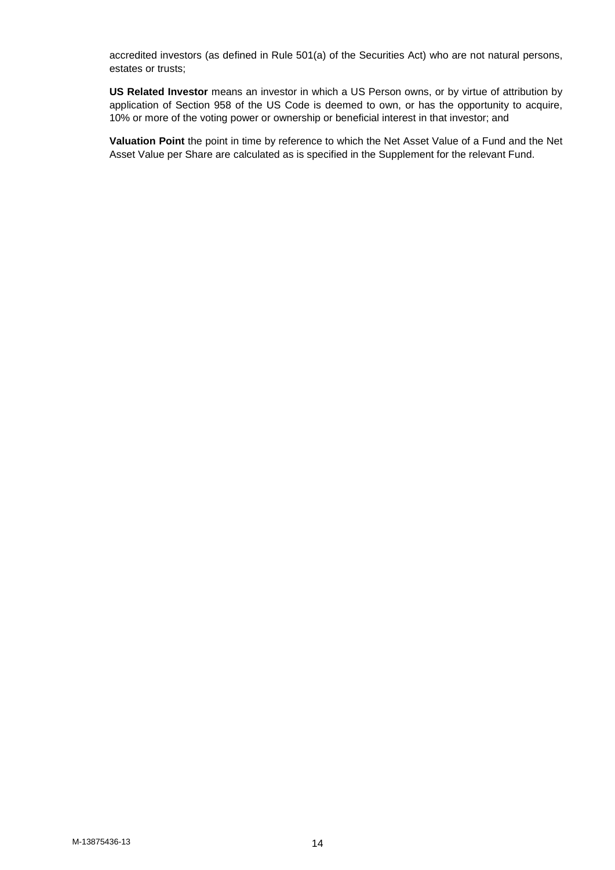accredited investors (as defined in Rule 501(a) of the Securities Act) who are not natural persons, estates or trusts;

**US Related Investor** means an investor in which a US Person owns, or by virtue of attribution by application of Section 958 of the US Code is deemed to own, or has the opportunity to acquire, 10% or more of the voting power or ownership or beneficial interest in that investor; and

**Valuation Point** the point in time by reference to which the Net Asset Value of a Fund and the Net Asset Value per Share are calculated as is specified in the Supplement for the relevant Fund.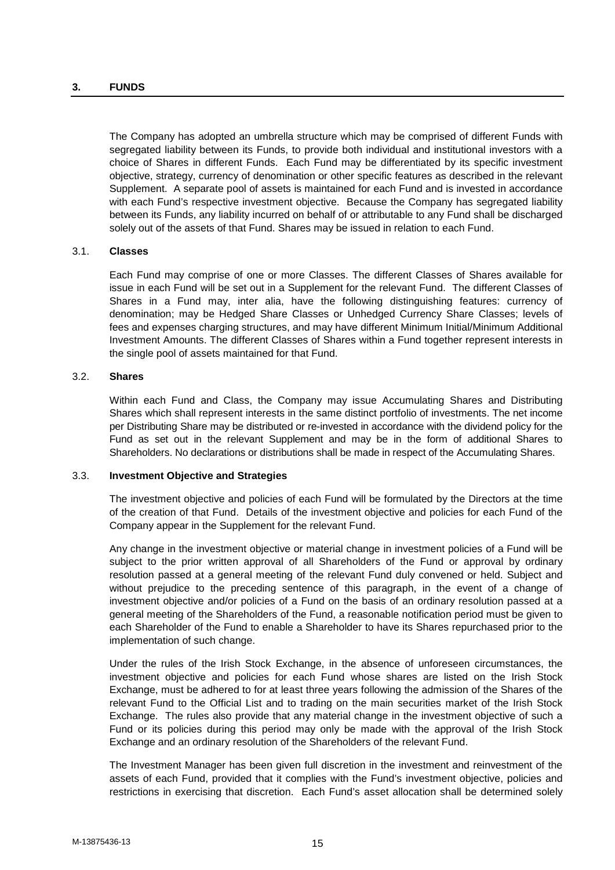### **3. FUNDS**

The Company has adopted an umbrella structure which may be comprised of different Funds with segregated liability between its Funds, to provide both individual and institutional investors with a choice of Shares in different Funds. Each Fund may be differentiated by its specific investment objective, strategy, currency of denomination or other specific features as described in the relevant Supplement. A separate pool of assets is maintained for each Fund and is invested in accordance with each Fund's respective investment objective. Because the Company has segregated liability between its Funds, any liability incurred on behalf of or attributable to any Fund shall be discharged solely out of the assets of that Fund. Shares may be issued in relation to each Fund.

### 3.1. **Classes**

Each Fund may comprise of one or more Classes. The different Classes of Shares available for issue in each Fund will be set out in a Supplement for the relevant Fund. The different Classes of Shares in a Fund may, inter alia, have the following distinguishing features: currency of denomination; may be Hedged Share Classes or Unhedged Currency Share Classes; levels of fees and expenses charging structures, and may have different Minimum Initial/Minimum Additional Investment Amounts. The different Classes of Shares within a Fund together represent interests in the single pool of assets maintained for that Fund.

### 3.2. **Shares**

Within each Fund and Class, the Company may issue Accumulating Shares and Distributing Shares which shall represent interests in the same distinct portfolio of investments. The net income per Distributing Share may be distributed or re-invested in accordance with the dividend policy for the Fund as set out in the relevant Supplement and may be in the form of additional Shares to Shareholders. No declarations or distributions shall be made in respect of the Accumulating Shares.

#### 3.3. **Investment Objective and Strategies**

The investment objective and policies of each Fund will be formulated by the Directors at the time of the creation of that Fund. Details of the investment objective and policies for each Fund of the Company appear in the Supplement for the relevant Fund.

Any change in the investment objective or material change in investment policies of a Fund will be subject to the prior written approval of all Shareholders of the Fund or approval by ordinary resolution passed at a general meeting of the relevant Fund duly convened or held. Subject and without prejudice to the preceding sentence of this paragraph, in the event of a change of investment objective and/or policies of a Fund on the basis of an ordinary resolution passed at a general meeting of the Shareholders of the Fund, a reasonable notification period must be given to each Shareholder of the Fund to enable a Shareholder to have its Shares repurchased prior to the implementation of such change.

Under the rules of the Irish Stock Exchange, in the absence of unforeseen circumstances, the investment objective and policies for each Fund whose shares are listed on the Irish Stock Exchange, must be adhered to for at least three years following the admission of the Shares of the relevant Fund to the Official List and to trading on the main securities market of the Irish Stock Exchange. The rules also provide that any material change in the investment objective of such a Fund or its policies during this period may only be made with the approval of the Irish Stock Exchange and an ordinary resolution of the Shareholders of the relevant Fund.

The Investment Manager has been given full discretion in the investment and reinvestment of the assets of each Fund, provided that it complies with the Fund's investment objective, policies and restrictions in exercising that discretion. Each Fund's asset allocation shall be determined solely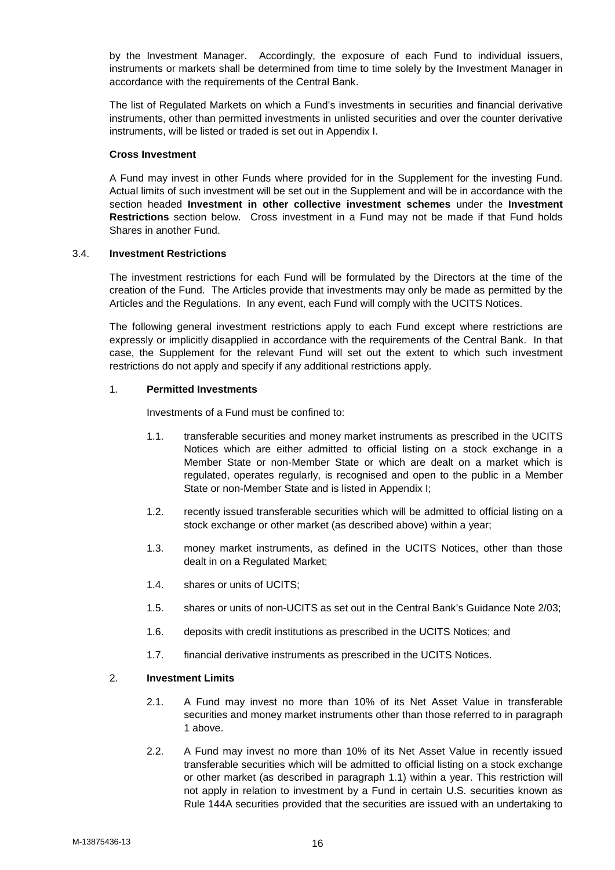by the Investment Manager. Accordingly, the exposure of each Fund to individual issuers, instruments or markets shall be determined from time to time solely by the Investment Manager in accordance with the requirements of the Central Bank.

The list of Regulated Markets on which a Fund's investments in securities and financial derivative instruments, other than permitted investments in unlisted securities and over the counter derivative instruments, will be listed or traded is set out in Appendix I.

### **Cross Investment**

A Fund may invest in other Funds where provided for in the Supplement for the investing Fund. Actual limits of such investment will be set out in the Supplement and will be in accordance with the section headed **Investment in other collective investment schemes** under the **Investment Restrictions** section below. Cross investment in a Fund may not be made if that Fund holds Shares in another Fund.

## 3.4. **Investment Restrictions**

The investment restrictions for each Fund will be formulated by the Directors at the time of the creation of the Fund. The Articles provide that investments may only be made as permitted by the Articles and the Regulations. In any event, each Fund will comply with the UCITS Notices.

The following general investment restrictions apply to each Fund except where restrictions are expressly or implicitly disapplied in accordance with the requirements of the Central Bank. In that case, the Supplement for the relevant Fund will set out the extent to which such investment restrictions do not apply and specify if any additional restrictions apply.

## 1. **Permitted Investments**

Investments of a Fund must be confined to:

- 1.1. transferable securities and money market instruments as prescribed in the UCITS Notices which are either admitted to official listing on a stock exchange in a Member State or non-Member State or which are dealt on a market which is regulated, operates regularly, is recognised and open to the public in a Member State or non-Member State and is listed in Appendix I;
- 1.2. recently issued transferable securities which will be admitted to official listing on a stock exchange or other market (as described above) within a year;
- 1.3. money market instruments, as defined in the UCITS Notices, other than those dealt in on a Regulated Market;
- 1.4. shares or units of UCITS;
- 1.5. shares or units of non-UCITS as set out in the Central Bank's Guidance Note 2/03;
- 1.6. deposits with credit institutions as prescribed in the UCITS Notices; and
- 1.7. financial derivative instruments as prescribed in the UCITS Notices.

## 2. **Investment Limits**

- 2.1. A Fund may invest no more than 10% of its Net Asset Value in transferable securities and money market instruments other than those referred to in paragraph 1 above.
- 2.2. A Fund may invest no more than 10% of its Net Asset Value in recently issued transferable securities which will be admitted to official listing on a stock exchange or other market (as described in paragraph 1.1) within a year. This restriction will not apply in relation to investment by a Fund in certain U.S. securities known as Rule 144A securities provided that the securities are issued with an undertaking to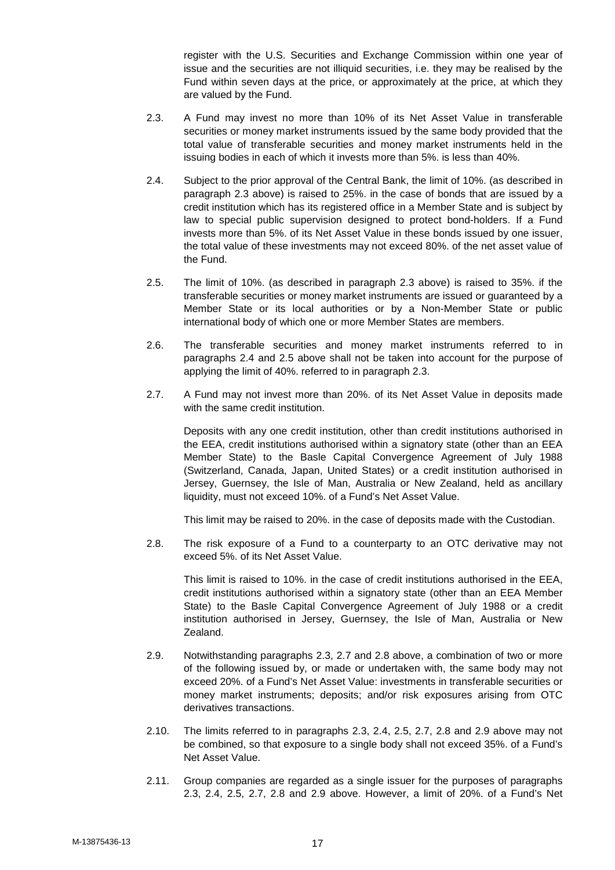register with the U.S. Securities and Exchange Commission within one year of issue and the securities are not illiquid securities, i.e. they may be realised by the Fund within seven days at the price, or approximately at the price, at which they are valued by the Fund.

- 2.3. A Fund may invest no more than 10% of its Net Asset Value in transferable securities or money market instruments issued by the same body provided that the total value of transferable securities and money market instruments held in the issuing bodies in each of which it invests more than 5%. is less than 40%.
- 2.4. Subject to the prior approval of the Central Bank, the limit of 10%. (as described in paragraph 2.3 above) is raised to 25%. in the case of bonds that are issued by a credit institution which has its registered office in a Member State and is subject by law to special public supervision designed to protect bond-holders. If a Fund invests more than 5%. of its Net Asset Value in these bonds issued by one issuer, the total value of these investments may not exceed 80%. of the net asset value of the Fund.
- 2.5. The limit of 10%. (as described in paragraph 2.3 above) is raised to 35%. if the transferable securities or money market instruments are issued or guaranteed by a Member State or its local authorities or by a Non-Member State or public international body of which one or more Member States are members.
- 2.6. The transferable securities and money market instruments referred to in paragraphs 2.4 and 2.5 above shall not be taken into account for the purpose of applying the limit of 40%. referred to in paragraph 2.3.
- 2.7. A Fund may not invest more than 20%. of its Net Asset Value in deposits made with the same credit institution.

Deposits with any one credit institution, other than credit institutions authorised in the EEA, credit institutions authorised within a signatory state (other than an EEA Member State) to the Basle Capital Convergence Agreement of July 1988 (Switzerland, Canada, Japan, United States) or a credit institution authorised in Jersey, Guernsey, the Isle of Man, Australia or New Zealand, held as ancillary liquidity, must not exceed 10%. of a Fund's Net Asset Value.

This limit may be raised to 20%. in the case of deposits made with the Custodian.

2.8. The risk exposure of a Fund to a counterparty to an OTC derivative may not exceed 5%. of its Net Asset Value.

This limit is raised to 10%. in the case of credit institutions authorised in the EEA, credit institutions authorised within a signatory state (other than an EEA Member State) to the Basle Capital Convergence Agreement of July 1988 or a credit institution authorised in Jersey, Guernsey, the Isle of Man, Australia or New Zealand.

- 2.9. Notwithstanding paragraphs 2.3, 2.7 and 2.8 above, a combination of two or more of the following issued by, or made or undertaken with, the same body may not exceed 20%. of a Fund's Net Asset Value: investments in transferable securities or money market instruments; deposits; and/or risk exposures arising from OTC derivatives transactions.
- 2.10. The limits referred to in paragraphs 2.3, 2.4, 2.5, 2.7, 2.8 and 2.9 above may not be combined, so that exposure to a single body shall not exceed 35%. of a Fund's Net Asset Value.
- 2.11. Group companies are regarded as a single issuer for the purposes of paragraphs 2.3, 2.4, 2.5, 2.7, 2.8 and 2.9 above. However, a limit of 20%. of a Fund's Net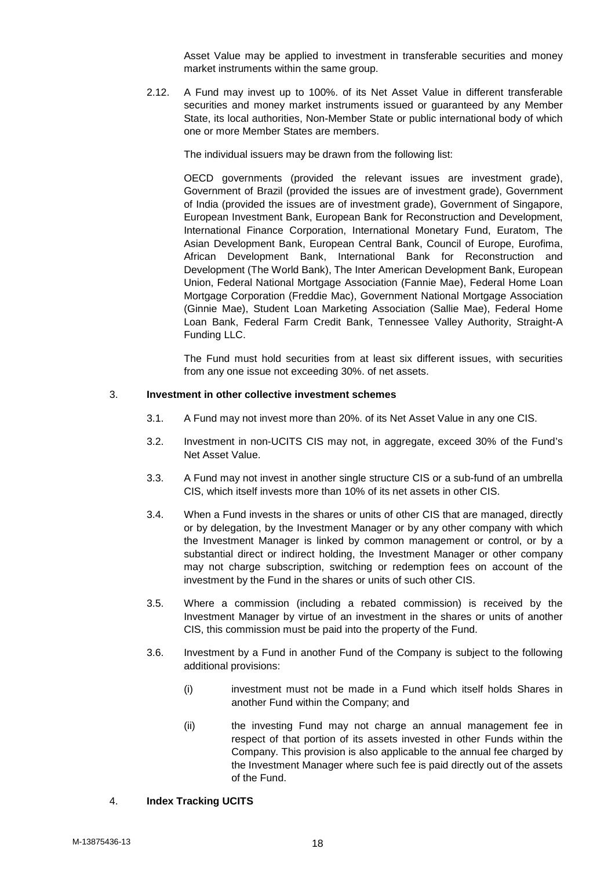Asset Value may be applied to investment in transferable securities and money market instruments within the same group.

2.12. A Fund may invest up to 100%. of its Net Asset Value in different transferable securities and money market instruments issued or guaranteed by any Member State, its local authorities, Non-Member State or public international body of which one or more Member States are members.

The individual issuers may be drawn from the following list:

OECD governments (provided the relevant issues are investment grade), Government of Brazil (provided the issues are of investment grade), Government of India (provided the issues are of investment grade), Government of Singapore, European Investment Bank, European Bank for Reconstruction and Development, International Finance Corporation, International Monetary Fund, Euratom, The Asian Development Bank, European Central Bank, Council of Europe, Eurofima, African Development Bank, International Bank for Reconstruction and Development (The World Bank), The Inter American Development Bank, European Union, Federal National Mortgage Association (Fannie Mae), Federal Home Loan Mortgage Corporation (Freddie Mac), Government National Mortgage Association (Ginnie Mae), Student Loan Marketing Association (Sallie Mae), Federal Home Loan Bank, Federal Farm Credit Bank, Tennessee Valley Authority, Straight-A Funding LLC.

The Fund must hold securities from at least six different issues, with securities from any one issue not exceeding 30%. of net assets.

### 3. **Investment in other collective investment schemes**

- 3.1. A Fund may not invest more than 20%. of its Net Asset Value in any one CIS.
- 3.2. Investment in non-UCITS CIS may not, in aggregate, exceed 30% of the Fund's Net Asset Value.
- 3.3. A Fund may not invest in another single structure CIS or a sub-fund of an umbrella CIS, which itself invests more than 10% of its net assets in other CIS.
- 3.4. When a Fund invests in the shares or units of other CIS that are managed, directly or by delegation, by the Investment Manager or by any other company with which the Investment Manager is linked by common management or control, or by a substantial direct or indirect holding, the Investment Manager or other company may not charge subscription, switching or redemption fees on account of the investment by the Fund in the shares or units of such other CIS.
- 3.5. Where a commission (including a rebated commission) is received by the Investment Manager by virtue of an investment in the shares or units of another CIS, this commission must be paid into the property of the Fund.
- 3.6. Investment by a Fund in another Fund of the Company is subject to the following additional provisions:
	- (i) investment must not be made in a Fund which itself holds Shares in another Fund within the Company; and
	- (ii) the investing Fund may not charge an annual management fee in respect of that portion of its assets invested in other Funds within the Company. This provision is also applicable to the annual fee charged by the Investment Manager where such fee is paid directly out of the assets of the Fund.

## 4. **Index Tracking UCITS**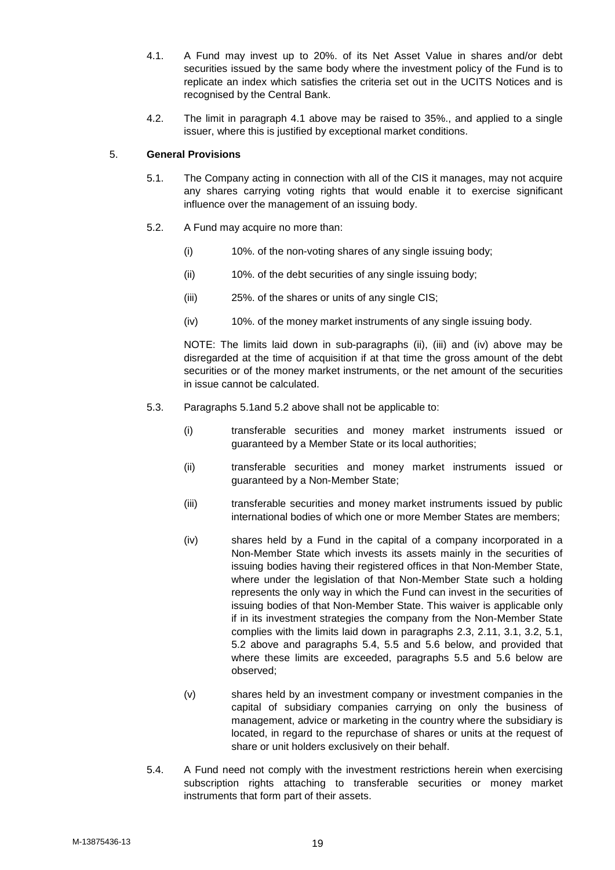- 4.1. A Fund may invest up to 20%. of its Net Asset Value in shares and/or debt securities issued by the same body where the investment policy of the Fund is to replicate an index which satisfies the criteria set out in the UCITS Notices and is recognised by the Central Bank.
- 4.2. The limit in paragraph 4.1 above may be raised to 35%., and applied to a single issuer, where this is justified by exceptional market conditions.

## 5. **General Provisions**

- 5.1. The Company acting in connection with all of the CIS it manages, may not acquire any shares carrying voting rights that would enable it to exercise significant influence over the management of an issuing body.
- 5.2. A Fund may acquire no more than:
	- (i) 10%. of the non-voting shares of any single issuing body;
	- (ii) 10%. of the debt securities of any single issuing body;
	- (iii) 25%. of the shares or units of any single CIS;
	- (iv) 10%. of the money market instruments of any single issuing body.

NOTE: The limits laid down in sub-paragraphs (ii), (iii) and (iv) above may be disregarded at the time of acquisition if at that time the gross amount of the debt securities or of the money market instruments, or the net amount of the securities in issue cannot be calculated.

- 5.3. Paragraphs 5.1and 5.2 above shall not be applicable to:
	- (i) transferable securities and money market instruments issued or guaranteed by a Member State or its local authorities;
	- (ii) transferable securities and money market instruments issued or guaranteed by a Non-Member State;
	- (iii) transferable securities and money market instruments issued by public international bodies of which one or more Member States are members;
	- (iv) shares held by a Fund in the capital of a company incorporated in a Non-Member State which invests its assets mainly in the securities of issuing bodies having their registered offices in that Non-Member State, where under the legislation of that Non-Member State such a holding represents the only way in which the Fund can invest in the securities of issuing bodies of that Non-Member State. This waiver is applicable only if in its investment strategies the company from the Non-Member State complies with the limits laid down in paragraphs 2.3, 2.11, 3.1, 3.2, 5.1, 5.2 above and paragraphs 5.4, 5.5 and 5.6 below, and provided that where these limits are exceeded, paragraphs 5.5 and 5.6 below are observed;
	- (v) shares held by an investment company or investment companies in the capital of subsidiary companies carrying on only the business of management, advice or marketing in the country where the subsidiary is located, in regard to the repurchase of shares or units at the request of share or unit holders exclusively on their behalf.
- 5.4. A Fund need not comply with the investment restrictions herein when exercising subscription rights attaching to transferable securities or money market instruments that form part of their assets.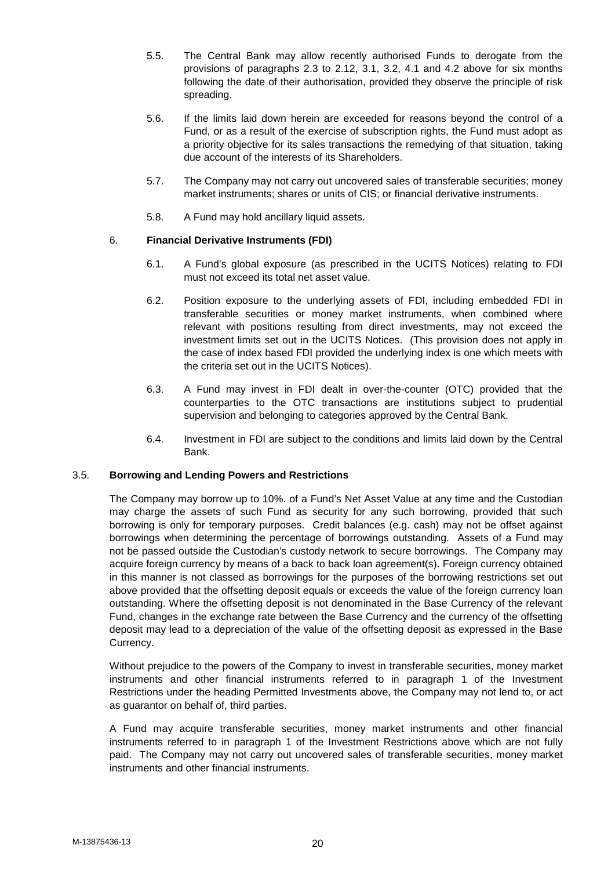- 5.5. The Central Bank may allow recently authorised Funds to derogate from the provisions of paragraphs 2.3 to 2.12, 3.1, 3.2, 4.1 and 4.2 above for six months following the date of their authorisation, provided they observe the principle of risk spreading.
- 5.6. If the limits laid down herein are exceeded for reasons beyond the control of a Fund, or as a result of the exercise of subscription rights, the Fund must adopt as a priority objective for its sales transactions the remedying of that situation, taking due account of the interests of its Shareholders.
- 5.7. The Company may not carry out uncovered sales of transferable securities; money market instruments; shares or units of CIS; or financial derivative instruments.
- 5.8. A Fund may hold ancillary liquid assets.

## 6. **Financial Derivative Instruments (FDI)**

- 6.1. A Fund's global exposure (as prescribed in the UCITS Notices) relating to FDI must not exceed its total net asset value.
- 6.2. Position exposure to the underlying assets of FDI, including embedded FDI in transferable securities or money market instruments, when combined where relevant with positions resulting from direct investments, may not exceed the investment limits set out in the UCITS Notices. (This provision does not apply in the case of index based FDI provided the underlying index is one which meets with the criteria set out in the UCITS Notices).
- 6.3. A Fund may invest in FDI dealt in over-the-counter (OTC) provided that the counterparties to the OTC transactions are institutions subject to prudential supervision and belonging to categories approved by the Central Bank.
- 6.4. Investment in FDI are subject to the conditions and limits laid down by the Central Bank.

## 3.5. **Borrowing and Lending Powers and Restrictions**

The Company may borrow up to 10%. of a Fund's Net Asset Value at any time and the Custodian may charge the assets of such Fund as security for any such borrowing, provided that such borrowing is only for temporary purposes. Credit balances (e.g. cash) may not be offset against borrowings when determining the percentage of borrowings outstanding. Assets of a Fund may not be passed outside the Custodian's custody network to secure borrowings. The Company may acquire foreign currency by means of a back to back loan agreement(s). Foreign currency obtained in this manner is not classed as borrowings for the purposes of the borrowing restrictions set out above provided that the offsetting deposit equals or exceeds the value of the foreign currency loan outstanding. Where the offsetting deposit is not denominated in the Base Currency of the relevant Fund, changes in the exchange rate between the Base Currency and the currency of the offsetting deposit may lead to a depreciation of the value of the offsetting deposit as expressed in the Base Currency.

Without prejudice to the powers of the Company to invest in transferable securities, money market instruments and other financial instruments referred to in paragraph 1 of the Investment Restrictions under the heading Permitted Investments above, the Company may not lend to, or act as guarantor on behalf of, third parties.

A Fund may acquire transferable securities, money market instruments and other financial instruments referred to in paragraph 1 of the Investment Restrictions above which are not fully paid. The Company may not carry out uncovered sales of transferable securities, money market instruments and other financial instruments.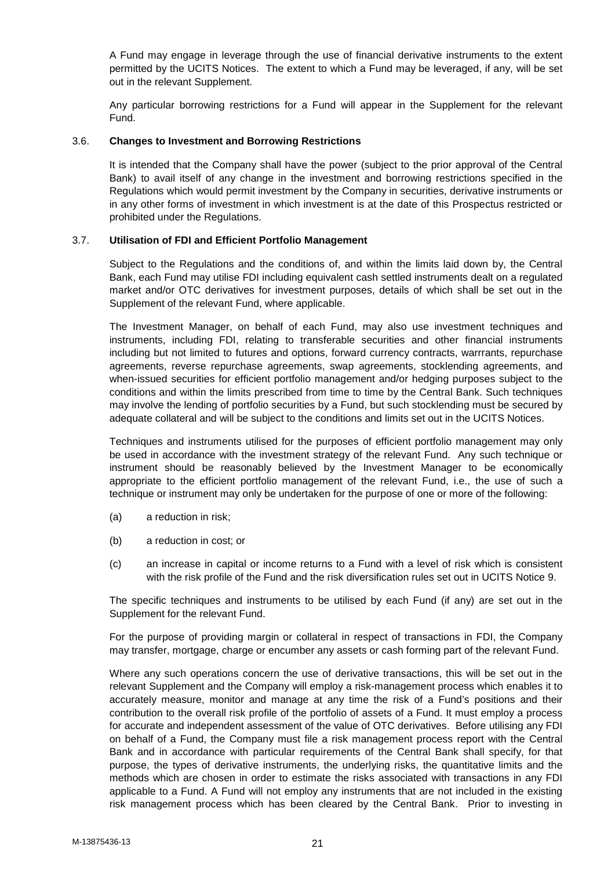A Fund may engage in leverage through the use of financial derivative instruments to the extent permitted by the UCITS Notices. The extent to which a Fund may be leveraged, if any, will be set out in the relevant Supplement.

Any particular borrowing restrictions for a Fund will appear in the Supplement for the relevant Fund.

### 3.6. **Changes to Investment and Borrowing Restrictions**

It is intended that the Company shall have the power (subject to the prior approval of the Central Bank) to avail itself of any change in the investment and borrowing restrictions specified in the Regulations which would permit investment by the Company in securities, derivative instruments or in any other forms of investment in which investment is at the date of this Prospectus restricted or prohibited under the Regulations.

### 3.7. **Utilisation of FDI and Efficient Portfolio Management**

Subject to the Regulations and the conditions of, and within the limits laid down by, the Central Bank, each Fund may utilise FDI including equivalent cash settled instruments dealt on a regulated market and/or OTC derivatives for investment purposes, details of which shall be set out in the Supplement of the relevant Fund, where applicable.

The Investment Manager, on behalf of each Fund, may also use investment techniques and instruments, including FDI, relating to transferable securities and other financial instruments including but not limited to futures and options, forward currency contracts, warrrants, repurchase agreements, reverse repurchase agreements, swap agreements, stocklending agreements, and when-issued securities for efficient portfolio management and/or hedging purposes subject to the conditions and within the limits prescribed from time to time by the Central Bank. Such techniques may involve the lending of portfolio securities by a Fund, but such stocklending must be secured by adequate collateral and will be subject to the conditions and limits set out in the UCITS Notices.

Techniques and instruments utilised for the purposes of efficient portfolio management may only be used in accordance with the investment strategy of the relevant Fund. Any such technique or instrument should be reasonably believed by the Investment Manager to be economically appropriate to the efficient portfolio management of the relevant Fund, i.e., the use of such a technique or instrument may only be undertaken for the purpose of one or more of the following:

- (a) a reduction in risk;
- (b) a reduction in cost; or
- (c) an increase in capital or income returns to a Fund with a level of risk which is consistent with the risk profile of the Fund and the risk diversification rules set out in UCITS Notice 9.

The specific techniques and instruments to be utilised by each Fund (if any) are set out in the Supplement for the relevant Fund.

For the purpose of providing margin or collateral in respect of transactions in FDI, the Company may transfer, mortgage, charge or encumber any assets or cash forming part of the relevant Fund.

Where any such operations concern the use of derivative transactions, this will be set out in the relevant Supplement and the Company will employ a risk-management process which enables it to accurately measure, monitor and manage at any time the risk of a Fund's positions and their contribution to the overall risk profile of the portfolio of assets of a Fund. It must employ a process for accurate and independent assessment of the value of OTC derivatives. Before utilising any FDI on behalf of a Fund, the Company must file a risk management process report with the Central Bank and in accordance with particular requirements of the Central Bank shall specify, for that purpose, the types of derivative instruments, the underlying risks, the quantitative limits and the methods which are chosen in order to estimate the risks associated with transactions in any FDI applicable to a Fund. A Fund will not employ any instruments that are not included in the existing risk management process which has been cleared by the Central Bank. Prior to investing in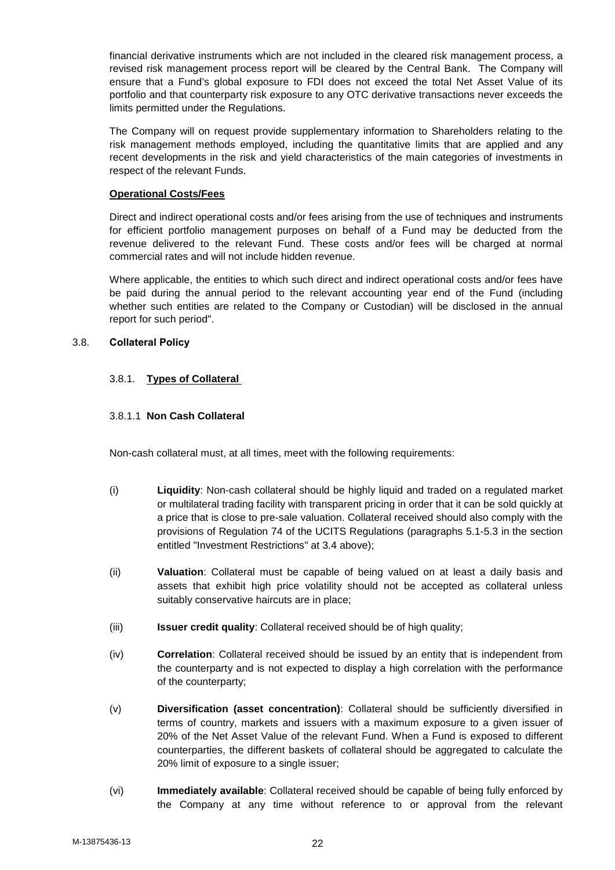financial derivative instruments which are not included in the cleared risk management process, a revised risk management process report will be cleared by the Central Bank. The Company will ensure that a Fund's global exposure to FDI does not exceed the total Net Asset Value of its portfolio and that counterparty risk exposure to any OTC derivative transactions never exceeds the limits permitted under the Regulations.

The Company will on request provide supplementary information to Shareholders relating to the risk management methods employed, including the quantitative limits that are applied and any recent developments in the risk and yield characteristics of the main categories of investments in respect of the relevant Funds.

### **Operational Costs/Fees**

Direct and indirect operational costs and/or fees arising from the use of techniques and instruments for efficient portfolio management purposes on behalf of a Fund may be deducted from the revenue delivered to the relevant Fund. These costs and/or fees will be charged at normal commercial rates and will not include hidden revenue.

Where applicable, the entities to which such direct and indirect operational costs and/or fees have be paid during the annual period to the relevant accounting year end of the Fund (including whether such entities are related to the Company or Custodian) will be disclosed in the annual report for such period".

## 3.8. **Collateral Policy**

## 3.8.1. **Types of Collateral**

## 3.8.1.1 **Non Cash Collateral**

Non-cash collateral must, at all times, meet with the following requirements:

- (i) **Liquidity**: Non-cash collateral should be highly liquid and traded on a regulated market or multilateral trading facility with transparent pricing in order that it can be sold quickly at a price that is close to pre-sale valuation. Collateral received should also comply with the provisions of Regulation 74 of the UCITS Regulations (paragraphs 5.1-5.3 in the section entitled "Investment Restrictions" at 3.4 above);
- (ii) **Valuation**: Collateral must be capable of being valued on at least a daily basis and assets that exhibit high price volatility should not be accepted as collateral unless suitably conservative haircuts are in place;
- (iii) **Issuer credit quality**: Collateral received should be of high quality;
- (iv) **Correlation**: Collateral received should be issued by an entity that is independent from the counterparty and is not expected to display a high correlation with the performance of the counterparty;
- (v) **Diversification (asset concentration)**: Collateral should be sufficiently diversified in terms of country, markets and issuers with a maximum exposure to a given issuer of 20% of the Net Asset Value of the relevant Fund. When a Fund is exposed to different counterparties, the different baskets of collateral should be aggregated to calculate the 20% limit of exposure to a single issuer;
- (vi) **Immediately available**: Collateral received should be capable of being fully enforced by the Company at any time without reference to or approval from the relevant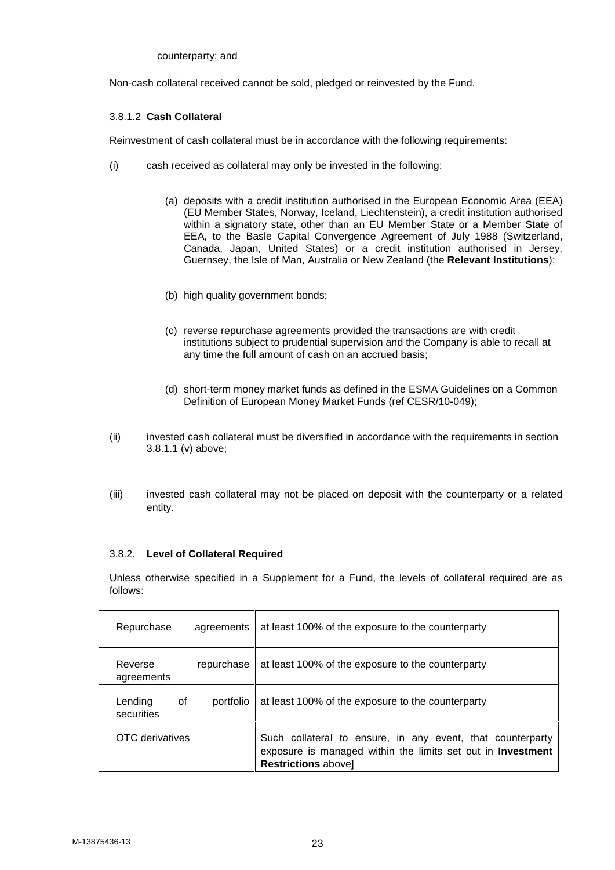counterparty; and

Non-cash collateral received cannot be sold, pledged or reinvested by the Fund.

## 3.8.1.2 **Cash Collateral**

Reinvestment of cash collateral must be in accordance with the following requirements:

- (i) cash received as collateral may only be invested in the following:
	- (a) deposits with a credit institution authorised in the European Economic Area (EEA) (EU Member States, Norway, Iceland, Liechtenstein), a credit institution authorised within a signatory state, other than an EU Member State or a Member State of EEA, to the Basle Capital Convergence Agreement of July 1988 (Switzerland, Canada, Japan, United States) or a credit institution authorised in Jersey, Guernsey, the Isle of Man, Australia or New Zealand (the **Relevant Institutions**);
	- (b) high quality government bonds;
	- (c) reverse repurchase agreements provided the transactions are with credit institutions subject to prudential supervision and the Company is able to recall at any time the full amount of cash on an accrued basis;
	- (d) short-term money market funds as defined in the ESMA Guidelines on a Common Definition of European Money Market Funds (ref CESR/10-049);
- (ii) invested cash collateral must be diversified in accordance with the requirements in section 3.8.1.1 (v) above;
- (iii) invested cash collateral may not be placed on deposit with the counterparty or a related entity.

## 3.8.2. **Level of Collateral Required**

Unless otherwise specified in a Supplement for a Fund, the levels of collateral required are as follows:

| Repurchase                  | agreements | at least 100% of the exposure to the counterparty                                                                                                       |
|-----------------------------|------------|---------------------------------------------------------------------------------------------------------------------------------------------------------|
| Reverse<br>agreements       | repurchase | at least 100% of the exposure to the counterparty                                                                                                       |
| Lending<br>0f<br>securities | portfolio  | at least 100% of the exposure to the counterparty                                                                                                       |
| OTC derivatives             |            | Such collateral to ensure, in any event, that counterparty<br>exposure is managed within the limits set out in Investment<br><b>Restrictions abovel</b> |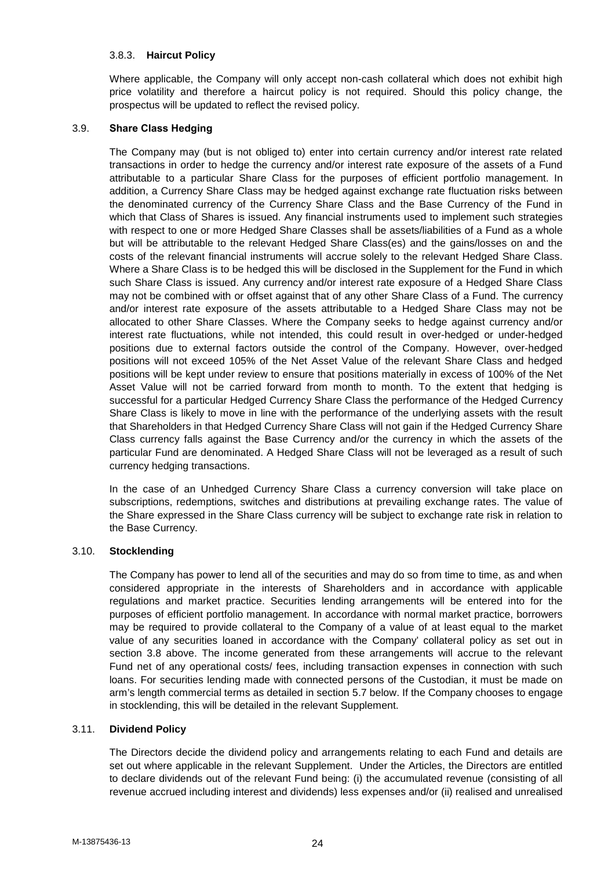### 3.8.3. **Haircut Policy**

Where applicable, the Company will only accept non-cash collateral which does not exhibit high price volatility and therefore a haircut policy is not required. Should this policy change, the prospectus will be updated to reflect the revised policy.

## 3.9. **Share Class Hedging**

The Company may (but is not obliged to) enter into certain currency and/or interest rate related transactions in order to hedge the currency and/or interest rate exposure of the assets of a Fund attributable to a particular Share Class for the purposes of efficient portfolio management. In addition, a Currency Share Class may be hedged against exchange rate fluctuation risks between the denominated currency of the Currency Share Class and the Base Currency of the Fund in which that Class of Shares is issued. Any financial instruments used to implement such strategies with respect to one or more Hedged Share Classes shall be assets/liabilities of a Fund as a whole but will be attributable to the relevant Hedged Share Class(es) and the gains/losses on and the costs of the relevant financial instruments will accrue solely to the relevant Hedged Share Class. Where a Share Class is to be hedged this will be disclosed in the Supplement for the Fund in which such Share Class is issued. Any currency and/or interest rate exposure of a Hedged Share Class may not be combined with or offset against that of any other Share Class of a Fund. The currency and/or interest rate exposure of the assets attributable to a Hedged Share Class may not be allocated to other Share Classes. Where the Company seeks to hedge against currency and/or interest rate fluctuations, while not intended, this could result in over-hedged or under-hedged positions due to external factors outside the control of the Company. However, over-hedged positions will not exceed 105% of the Net Asset Value of the relevant Share Class and hedged positions will be kept under review to ensure that positions materially in excess of 100% of the Net Asset Value will not be carried forward from month to month. To the extent that hedging is successful for a particular Hedged Currency Share Class the performance of the Hedged Currency Share Class is likely to move in line with the performance of the underlying assets with the result that Shareholders in that Hedged Currency Share Class will not gain if the Hedged Currency Share Class currency falls against the Base Currency and/or the currency in which the assets of the particular Fund are denominated. A Hedged Share Class will not be leveraged as a result of such currency hedging transactions.

In the case of an Unhedged Currency Share Class a currency conversion will take place on subscriptions, redemptions, switches and distributions at prevailing exchange rates. The value of the Share expressed in the Share Class currency will be subject to exchange rate risk in relation to the Base Currency.

#### 3.10. **Stocklending**

The Company has power to lend all of the securities and may do so from time to time, as and when considered appropriate in the interests of Shareholders and in accordance with applicable regulations and market practice. Securities lending arrangements will be entered into for the purposes of efficient portfolio management. In accordance with normal market practice, borrowers may be required to provide collateral to the Company of a value of at least equal to the market value of any securities loaned in accordance with the Company' collateral policy as set out in section 3.8 above. The income generated from these arrangements will accrue to the relevant Fund net of any operational costs/ fees, including transaction expenses in connection with such loans. For securities lending made with connected persons of the Custodian, it must be made on arm's length commercial terms as detailed in section 5.7 below. If the Company chooses to engage in stocklending, this will be detailed in the relevant Supplement.

## 3.11. **Dividend Policy**

The Directors decide the dividend policy and arrangements relating to each Fund and details are set out where applicable in the relevant Supplement. Under the Articles, the Directors are entitled to declare dividends out of the relevant Fund being: (i) the accumulated revenue (consisting of all revenue accrued including interest and dividends) less expenses and/or (ii) realised and unrealised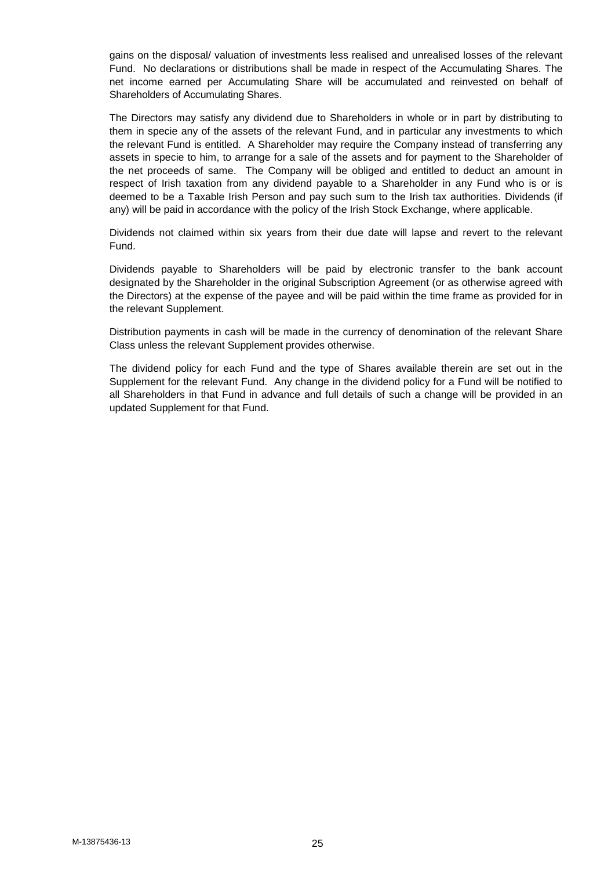gains on the disposal/ valuation of investments less realised and unrealised losses of the relevant Fund. No declarations or distributions shall be made in respect of the Accumulating Shares. The net income earned per Accumulating Share will be accumulated and reinvested on behalf of Shareholders of Accumulating Shares.

The Directors may satisfy any dividend due to Shareholders in whole or in part by distributing to them in specie any of the assets of the relevant Fund, and in particular any investments to which the relevant Fund is entitled. A Shareholder may require the Company instead of transferring any assets in specie to him, to arrange for a sale of the assets and for payment to the Shareholder of the net proceeds of same. The Company will be obliged and entitled to deduct an amount in respect of Irish taxation from any dividend payable to a Shareholder in any Fund who is or is deemed to be a Taxable Irish Person and pay such sum to the Irish tax authorities. Dividends (if any) will be paid in accordance with the policy of the Irish Stock Exchange, where applicable.

Dividends not claimed within six years from their due date will lapse and revert to the relevant Fund.

Dividends payable to Shareholders will be paid by electronic transfer to the bank account designated by the Shareholder in the original Subscription Agreement (or as otherwise agreed with the Directors) at the expense of the payee and will be paid within the time frame as provided for in the relevant Supplement.

Distribution payments in cash will be made in the currency of denomination of the relevant Share Class unless the relevant Supplement provides otherwise.

The dividend policy for each Fund and the type of Shares available therein are set out in the Supplement for the relevant Fund. Any change in the dividend policy for a Fund will be notified to all Shareholders in that Fund in advance and full details of such a change will be provided in an updated Supplement for that Fund.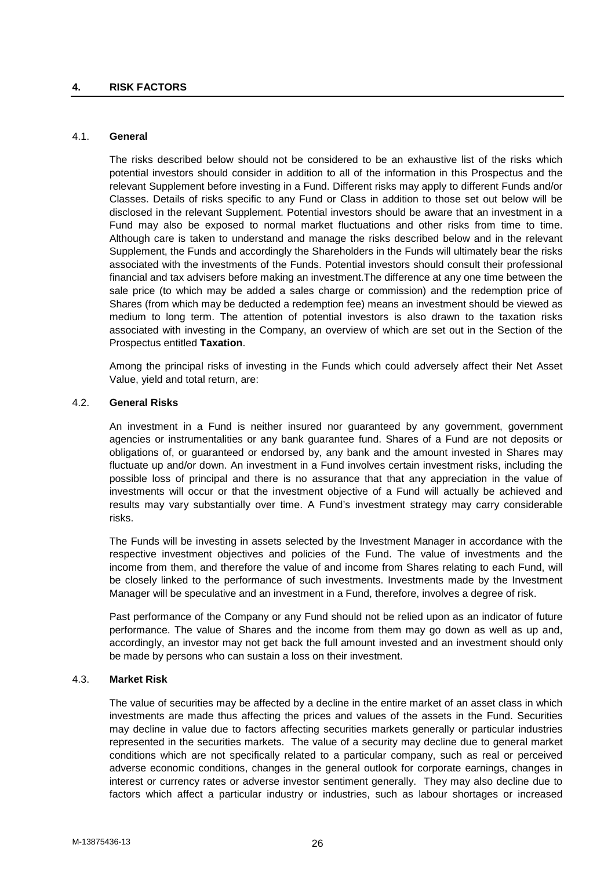#### 4.1. **General**

The risks described below should not be considered to be an exhaustive list of the risks which potential investors should consider in addition to all of the information in this Prospectus and the relevant Supplement before investing in a Fund. Different risks may apply to different Funds and/or Classes. Details of risks specific to any Fund or Class in addition to those set out below will be disclosed in the relevant Supplement. Potential investors should be aware that an investment in a Fund may also be exposed to normal market fluctuations and other risks from time to time. Although care is taken to understand and manage the risks described below and in the relevant Supplement, the Funds and accordingly the Shareholders in the Funds will ultimately bear the risks associated with the investments of the Funds. Potential investors should consult their professional financial and tax advisers before making an investment.The difference at any one time between the sale price (to which may be added a sales charge or commission) and the redemption price of Shares (from which may be deducted a redemption fee) means an investment should be viewed as medium to long term. The attention of potential investors is also drawn to the taxation risks associated with investing in the Company, an overview of which are set out in the Section of the Prospectus entitled **Taxation**.

Among the principal risks of investing in the Funds which could adversely affect their Net Asset Value, yield and total return, are:

### 4.2. **General Risks**

An investment in a Fund is neither insured nor guaranteed by any government, government agencies or instrumentalities or any bank guarantee fund. Shares of a Fund are not deposits or obligations of, or guaranteed or endorsed by, any bank and the amount invested in Shares may fluctuate up and/or down. An investment in a Fund involves certain investment risks, including the possible loss of principal and there is no assurance that that any appreciation in the value of investments will occur or that the investment objective of a Fund will actually be achieved and results may vary substantially over time. A Fund's investment strategy may carry considerable risks.

The Funds will be investing in assets selected by the Investment Manager in accordance with the respective investment objectives and policies of the Fund. The value of investments and the income from them, and therefore the value of and income from Shares relating to each Fund, will be closely linked to the performance of such investments. Investments made by the Investment Manager will be speculative and an investment in a Fund, therefore, involves a degree of risk.

Past performance of the Company or any Fund should not be relied upon as an indicator of future performance. The value of Shares and the income from them may go down as well as up and, accordingly, an investor may not get back the full amount invested and an investment should only be made by persons who can sustain a loss on their investment.

## 4.3. **Market Risk**

The value of securities may be affected by a decline in the entire market of an asset class in which investments are made thus affecting the prices and values of the assets in the Fund. Securities may decline in value due to factors affecting securities markets generally or particular industries represented in the securities markets. The value of a security may decline due to general market conditions which are not specifically related to a particular company, such as real or perceived adverse economic conditions, changes in the general outlook for corporate earnings, changes in interest or currency rates or adverse investor sentiment generally. They may also decline due to factors which affect a particular industry or industries, such as labour shortages or increased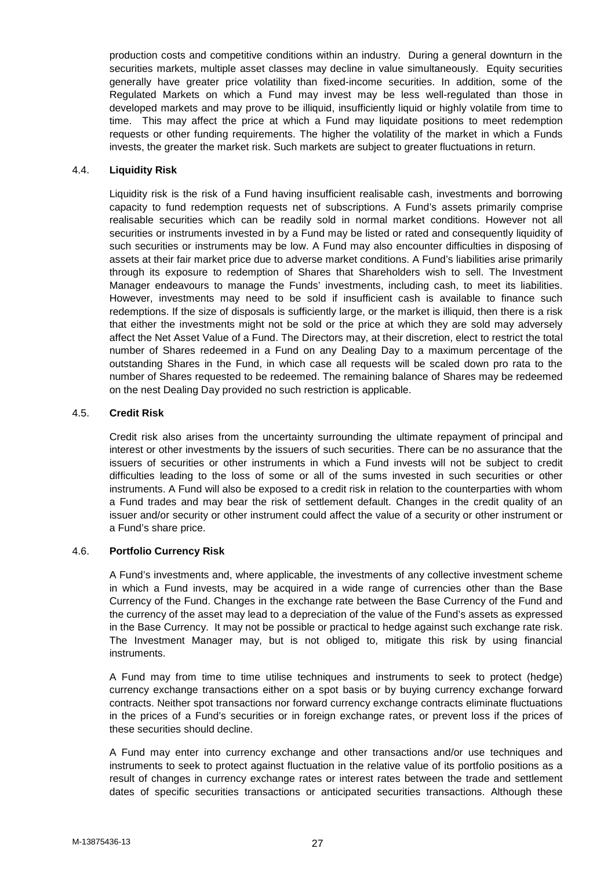production costs and competitive conditions within an industry. During a general downturn in the securities markets, multiple asset classes may decline in value simultaneously. Equity securities generally have greater price volatility than fixed-income securities. In addition, some of the Regulated Markets on which a Fund may invest may be less well-regulated than those in developed markets and may prove to be illiquid, insufficiently liquid or highly volatile from time to time. This may affect the price at which a Fund may liquidate positions to meet redemption requests or other funding requirements. The higher the volatility of the market in which a Funds invests, the greater the market risk. Such markets are subject to greater fluctuations in return.

### 4.4. **Liquidity Risk**

Liquidity risk is the risk of a Fund having insufficient realisable cash, investments and borrowing capacity to fund redemption requests net of subscriptions. A Fund's assets primarily comprise realisable securities which can be readily sold in normal market conditions. However not all securities or instruments invested in by a Fund may be listed or rated and consequently liquidity of such securities or instruments may be low. A Fund may also encounter difficulties in disposing of assets at their fair market price due to adverse market conditions. A Fund's liabilities arise primarily through its exposure to redemption of Shares that Shareholders wish to sell. The Investment Manager endeavours to manage the Funds' investments, including cash, to meet its liabilities. However, investments may need to be sold if insufficient cash is available to finance such redemptions. If the size of disposals is sufficiently large, or the market is illiquid, then there is a risk that either the investments might not be sold or the price at which they are sold may adversely affect the Net Asset Value of a Fund. The Directors may, at their discretion, elect to restrict the total number of Shares redeemed in a Fund on any Dealing Day to a maximum percentage of the outstanding Shares in the Fund, in which case all requests will be scaled down pro rata to the number of Shares requested to be redeemed. The remaining balance of Shares may be redeemed on the nest Dealing Day provided no such restriction is applicable.

### 4.5. **Credit Risk**

Credit risk also arises from the uncertainty surrounding the ultimate repayment of principal and interest or other investments by the issuers of such securities. There can be no assurance that the issuers of securities or other instruments in which a Fund invests will not be subject to credit difficulties leading to the loss of some or all of the sums invested in such securities or other instruments. A Fund will also be exposed to a credit risk in relation to the counterparties with whom a Fund trades and may bear the risk of settlement default. Changes in the credit quality of an issuer and/or security or other instrument could affect the value of a security or other instrument or a Fund's share price.

## 4.6. **Portfolio Currency Risk**

A Fund's investments and, where applicable, the investments of any collective investment scheme in which a Fund invests, may be acquired in a wide range of currencies other than the Base Currency of the Fund. Changes in the exchange rate between the Base Currency of the Fund and the currency of the asset may lead to a depreciation of the value of the Fund's assets as expressed in the Base Currency. It may not be possible or practical to hedge against such exchange rate risk. The Investment Manager may, but is not obliged to, mitigate this risk by using financial instruments.

A Fund may from time to time utilise techniques and instruments to seek to protect (hedge) currency exchange transactions either on a spot basis or by buying currency exchange forward contracts. Neither spot transactions nor forward currency exchange contracts eliminate fluctuations in the prices of a Fund's securities or in foreign exchange rates, or prevent loss if the prices of these securities should decline.

A Fund may enter into currency exchange and other transactions and/or use techniques and instruments to seek to protect against fluctuation in the relative value of its portfolio positions as a result of changes in currency exchange rates or interest rates between the trade and settlement dates of specific securities transactions or anticipated securities transactions. Although these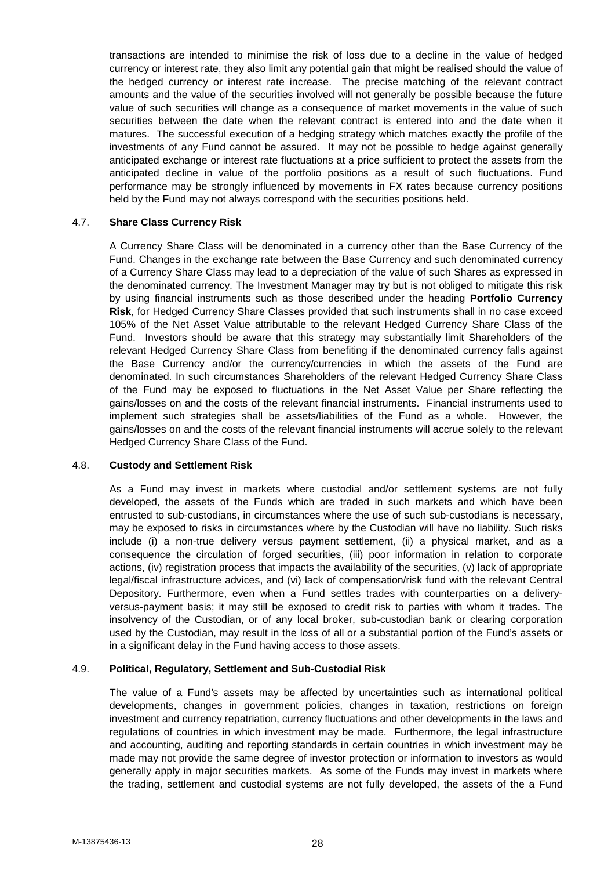transactions are intended to minimise the risk of loss due to a decline in the value of hedged currency or interest rate, they also limit any potential gain that might be realised should the value of the hedged currency or interest rate increase. The precise matching of the relevant contract amounts and the value of the securities involved will not generally be possible because the future value of such securities will change as a consequence of market movements in the value of such securities between the date when the relevant contract is entered into and the date when it matures. The successful execution of a hedging strategy which matches exactly the profile of the investments of any Fund cannot be assured. It may not be possible to hedge against generally anticipated exchange or interest rate fluctuations at a price sufficient to protect the assets from the anticipated decline in value of the portfolio positions as a result of such fluctuations. Fund performance may be strongly influenced by movements in FX rates because currency positions held by the Fund may not always correspond with the securities positions held.

### 4.7. **Share Class Currency Risk**

A Currency Share Class will be denominated in a currency other than the Base Currency of the Fund. Changes in the exchange rate between the Base Currency and such denominated currency of a Currency Share Class may lead to a depreciation of the value of such Shares as expressed in the denominated currency. The Investment Manager may try but is not obliged to mitigate this risk by using financial instruments such as those described under the heading **Portfolio Currency Risk**, for Hedged Currency Share Classes provided that such instruments shall in no case exceed 105% of the Net Asset Value attributable to the relevant Hedged Currency Share Class of the Fund. Investors should be aware that this strategy may substantially limit Shareholders of the relevant Hedged Currency Share Class from benefiting if the denominated currency falls against the Base Currency and/or the currency/currencies in which the assets of the Fund are denominated. In such circumstances Shareholders of the relevant Hedged Currency Share Class of the Fund may be exposed to fluctuations in the Net Asset Value per Share reflecting the gains/losses on and the costs of the relevant financial instruments. Financial instruments used to implement such strategies shall be assets/liabilities of the Fund as a whole. However, the gains/losses on and the costs of the relevant financial instruments will accrue solely to the relevant Hedged Currency Share Class of the Fund.

#### 4.8. **Custody and Settlement Risk**

As a Fund may invest in markets where custodial and/or settlement systems are not fully developed, the assets of the Funds which are traded in such markets and which have been entrusted to sub-custodians, in circumstances where the use of such sub-custodians is necessary, may be exposed to risks in circumstances where by the Custodian will have no liability. Such risks include (i) a non-true delivery versus payment settlement, (ii) a physical market, and as a consequence the circulation of forged securities, (iii) poor information in relation to corporate actions, (iv) registration process that impacts the availability of the securities, (v) lack of appropriate legal/fiscal infrastructure advices, and (vi) lack of compensation/risk fund with the relevant Central Depository. Furthermore, even when a Fund settles trades with counterparties on a delivery versus-payment basis; it may still be exposed to credit risk to parties with whom it trades. The insolvency of the Custodian, or of any local broker, sub-custodian bank or clearing corporation used by the Custodian, may result in the loss of all or a substantial portion of the Fund's assets or in a significant delay in the Fund having access to those assets.

## 4.9. **Political, Regulatory, Settlement and Sub-Custodial Risk**

The value of a Fund's assets may be affected by uncertainties such as international political developments, changes in government policies, changes in taxation, restrictions on foreign investment and currency repatriation, currency fluctuations and other developments in the laws and regulations of countries in which investment may be made. Furthermore, the legal infrastructure and accounting, auditing and reporting standards in certain countries in which investment may be made may not provide the same degree of investor protection or information to investors as would generally apply in major securities markets. As some of the Funds may invest in markets where the trading, settlement and custodial systems are not fully developed, the assets of the a Fund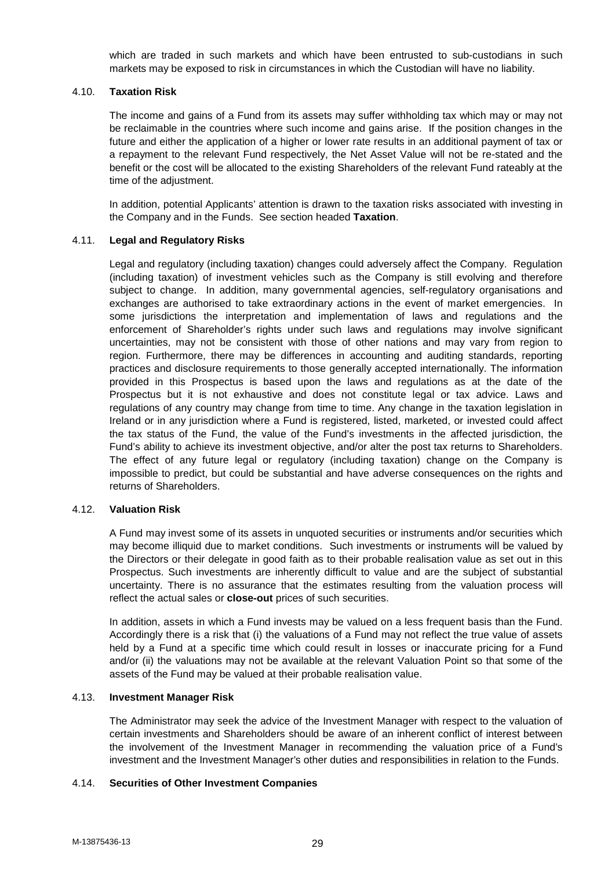which are traded in such markets and which have been entrusted to sub-custodians in such markets may be exposed to risk in circumstances in which the Custodian will have no liability.

### 4.10. **Taxation Risk**

The income and gains of a Fund from its assets may suffer withholding tax which may or may not be reclaimable in the countries where such income and gains arise. If the position changes in the future and either the application of a higher or lower rate results in an additional payment of tax or a repayment to the relevant Fund respectively, the Net Asset Value will not be re-stated and the benefit or the cost will be allocated to the existing Shareholders of the relevant Fund rateably at the time of the adjustment.

In addition, potential Applicants' attention is drawn to the taxation risks associated with investing in the Company and in the Funds. See section headed **Taxation**.

### 4.11. **Legal and Regulatory Risks**

Legal and regulatory (including taxation) changes could adversely affect the Company. Regulation (including taxation) of investment vehicles such as the Company is still evolving and therefore subject to change. In addition, many governmental agencies, self-regulatory organisations and exchanges are authorised to take extraordinary actions in the event of market emergencies. In some jurisdictions the interpretation and implementation of laws and regulations and the enforcement of Shareholder's rights under such laws and regulations may involve significant uncertainties, may not be consistent with those of other nations and may vary from region to region. Furthermore, there may be differences in accounting and auditing standards, reporting practices and disclosure requirements to those generally accepted internationally. The information provided in this Prospectus is based upon the laws and regulations as at the date of the Prospectus but it is not exhaustive and does not constitute legal or tax advice. Laws and regulations of any country may change from time to time. Any change in the taxation legislation in Ireland or in any jurisdiction where a Fund is registered, listed, marketed, or invested could affect the tax status of the Fund, the value of the Fund's investments in the affected jurisdiction, the Fund's ability to achieve its investment objective, and/or alter the post tax returns to Shareholders. The effect of any future legal or regulatory (including taxation) change on the Company is impossible to predict, but could be substantial and have adverse consequences on the rights and returns of Shareholders.

### 4.12. **Valuation Risk**

A Fund may invest some of its assets in unquoted securities or instruments and/or securities which may become illiquid due to market conditions. Such investments or instruments will be valued by the Directors or their delegate in good faith as to their probable realisation value as set out in this Prospectus. Such investments are inherently difficult to value and are the subject of substantial uncertainty. There is no assurance that the estimates resulting from the valuation process will reflect the actual sales or **close-out** prices of such securities.

In addition, assets in which a Fund invests may be valued on a less frequent basis than the Fund. Accordingly there is a risk that (i) the valuations of a Fund may not reflect the true value of assets held by a Fund at a specific time which could result in losses or inaccurate pricing for a Fund and/or (ii) the valuations may not be available at the relevant Valuation Point so that some of the assets of the Fund may be valued at their probable realisation value.

#### 4.13. **Investment Manager Risk**

The Administrator may seek the advice of the Investment Manager with respect to the valuation of certain investments and Shareholders should be aware of an inherent conflict of interest between the involvement of the Investment Manager in recommending the valuation price of a Fund's investment and the Investment Manager's other duties and responsibilities in relation to the Funds.

#### 4.14. **Securities of Other Investment Companies**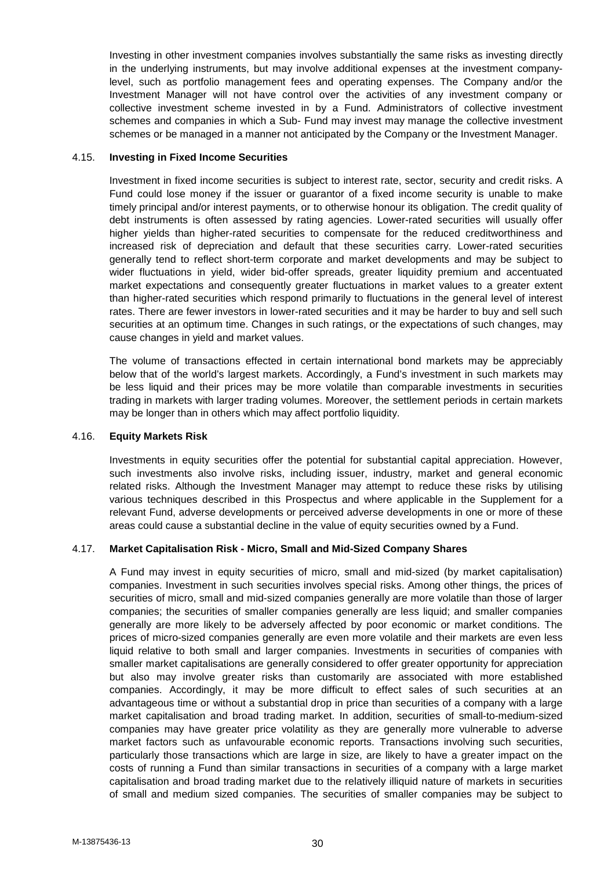Investing in other investment companies involves substantially the same risks as investing directly in the underlying instruments, but may involve additional expenses at the investment companylevel, such as portfolio management fees and operating expenses. The Company and/or the Investment Manager will not have control over the activities of any investment company or collective investment scheme invested in by a Fund. Administrators of collective investment schemes and companies in which a Sub- Fund may invest may manage the collective investment schemes or be managed in a manner not anticipated by the Company or the Investment Manager.

### 4.15. **Investing in Fixed Income Securities**

Investment in fixed income securities is subject to interest rate, sector, security and credit risks. A Fund could lose money if the issuer or guarantor of a fixed income security is unable to make timely principal and/or interest payments, or to otherwise honour its obligation. The credit quality of debt instruments is often assessed by rating agencies. Lower-rated securities will usually offer higher yields than higher-rated securities to compensate for the reduced creditworthiness and increased risk of depreciation and default that these securities carry. Lower-rated securities generally tend to reflect short-term corporate and market developments and may be subject to wider fluctuations in yield, wider bid-offer spreads, greater liquidity premium and accentuated market expectations and consequently greater fluctuations in market values to a greater extent than higher-rated securities which respond primarily to fluctuations in the general level of interest rates. There are fewer investors in lower-rated securities and it may be harder to buy and sell such securities at an optimum time. Changes in such ratings, or the expectations of such changes, may cause changes in yield and market values.

The volume of transactions effected in certain international bond markets may be appreciably below that of the world's largest markets. Accordingly, a Fund's investment in such markets may be less liquid and their prices may be more volatile than comparable investments in securities trading in markets with larger trading volumes. Moreover, the settlement periods in certain markets may be longer than in others which may affect portfolio liquidity.

#### 4.16. **Equity Markets Risk**

Investments in equity securities offer the potential for substantial capital appreciation. However, such investments also involve risks, including issuer, industry, market and general economic related risks. Although the Investment Manager may attempt to reduce these risks by utilising various techniques described in this Prospectus and where applicable in the Supplement for a relevant Fund, adverse developments or perceived adverse developments in one or more of these areas could cause a substantial decline in the value of equity securities owned by a Fund.

## 4.17. **Market Capitalisation Risk - Micro, Small and Mid-Sized Company Shares**

A Fund may invest in equity securities of micro, small and mid-sized (by market capitalisation) companies. Investment in such securities involves special risks. Among other things, the prices of securities of micro, small and mid-sized companies generally are more volatile than those of larger companies; the securities of smaller companies generally are less liquid; and smaller companies generally are more likely to be adversely affected by poor economic or market conditions. The prices of micro-sized companies generally are even more volatile and their markets are even less liquid relative to both small and larger companies. Investments in securities of companies with smaller market capitalisations are generally considered to offer greater opportunity for appreciation but also may involve greater risks than customarily are associated with more established companies. Accordingly, it may be more difficult to effect sales of such securities at an advantageous time or without a substantial drop in price than securities of a company with a large market capitalisation and broad trading market. In addition, securities of small-to-medium-sized companies may have greater price volatility as they are generally more vulnerable to adverse market factors such as unfavourable economic reports. Transactions involving such securities, particularly those transactions which are large in size, are likely to have a greater impact on the costs of running a Fund than similar transactions in securities of a company with a large market capitalisation and broad trading market due to the relatively illiquid nature of markets in securities of small and medium sized companies. The securities of smaller companies may be subject to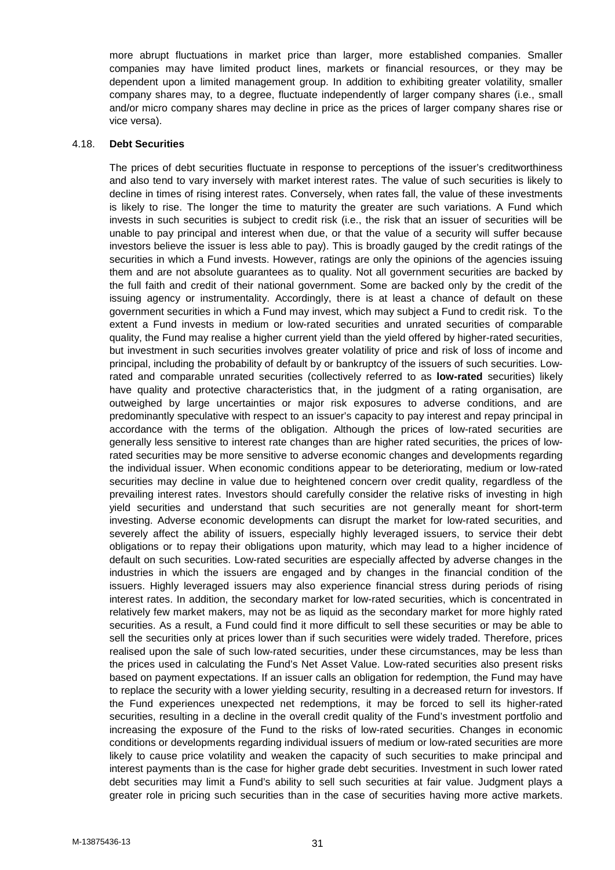more abrupt fluctuations in market price than larger, more established companies. Smaller companies may have limited product lines, markets or financial resources, or they may be dependent upon a limited management group. In addition to exhibiting greater volatility, smaller company shares may, to a degree, fluctuate independently of larger company shares (i.e., small and/or micro company shares may decline in price as the prices of larger company shares rise or vice versa).

#### 4.18. **Debt Securities**

The prices of debt securities fluctuate in response to perceptions of the issuer's creditworthiness and also tend to vary inversely with market interest rates. The value of such securities is likely to decline in times of rising interest rates. Conversely, when rates fall, the value of these investments is likely to rise. The longer the time to maturity the greater are such variations. A Fund which invests in such securities is subject to credit risk (i.e., the risk that an issuer of securities will be unable to pay principal and interest when due, or that the value of a security will suffer because investors believe the issuer is less able to pay). This is broadly gauged by the credit ratings of the securities in which a Fund invests. However, ratings are only the opinions of the agencies issuing them and are not absolute guarantees as to quality. Not all government securities are backed by the full faith and credit of their national government. Some are backed only by the credit of the issuing agency or instrumentality. Accordingly, there is at least a chance of default on these government securities in which a Fund may invest, which may subject a Fund to credit risk. To the extent a Fund invests in medium or low-rated securities and unrated securities of comparable quality, the Fund may realise a higher current yield than the yield offered by higher-rated securities, but investment in such securities involves greater volatility of price and risk of loss of income and principal, including the probability of default by or bankruptcy of the issuers of such securities. Lowrated and comparable unrated securities (collectively referred to as **low-rated** securities) likely have quality and protective characteristics that, in the judgment of a rating organisation, are outweighed by large uncertainties or major risk exposures to adverse conditions, and are predominantly speculative with respect to an issuer's capacity to pay interest and repay principal in accordance with the terms of the obligation. Although the prices of low-rated securities are generally less sensitive to interest rate changes than are higher rated securities, the prices of lowrated securities may be more sensitive to adverse economic changes and developments regarding the individual issuer. When economic conditions appear to be deteriorating, medium or low-rated securities may decline in value due to heightened concern over credit quality, regardless of the prevailing interest rates. Investors should carefully consider the relative risks of investing in high yield securities and understand that such securities are not generally meant for short-term investing. Adverse economic developments can disrupt the market for low-rated securities, and severely affect the ability of issuers, especially highly leveraged issuers, to service their debt obligations or to repay their obligations upon maturity, which may lead to a higher incidence of default on such securities. Low-rated securities are especially affected by adverse changes in the industries in which the issuers are engaged and by changes in the financial condition of the issuers. Highly leveraged issuers may also experience financial stress during periods of rising interest rates. In addition, the secondary market for low-rated securities, which is concentrated in relatively few market makers, may not be as liquid as the secondary market for more highly rated securities. As a result, a Fund could find it more difficult to sell these securities or may be able to sell the securities only at prices lower than if such securities were widely traded. Therefore, prices realised upon the sale of such low-rated securities, under these circumstances, may be less than the prices used in calculating the Fund's Net Asset Value. Low-rated securities also present risks based on payment expectations. If an issuer calls an obligation for redemption, the Fund may have to replace the security with a lower yielding security, resulting in a decreased return for investors. If the Fund experiences unexpected net redemptions, it may be forced to sell its higher-rated securities, resulting in a decline in the overall credit quality of the Fund's investment portfolio and increasing the exposure of the Fund to the risks of low-rated securities. Changes in economic conditions or developments regarding individual issuers of medium or low-rated securities are more likely to cause price volatility and weaken the capacity of such securities to make principal and interest payments than is the case for higher grade debt securities. Investment in such lower rated debt securities may limit a Fund's ability to sell such securities at fair value. Judgment plays a greater role in pricing such securities than in the case of securities having more active markets.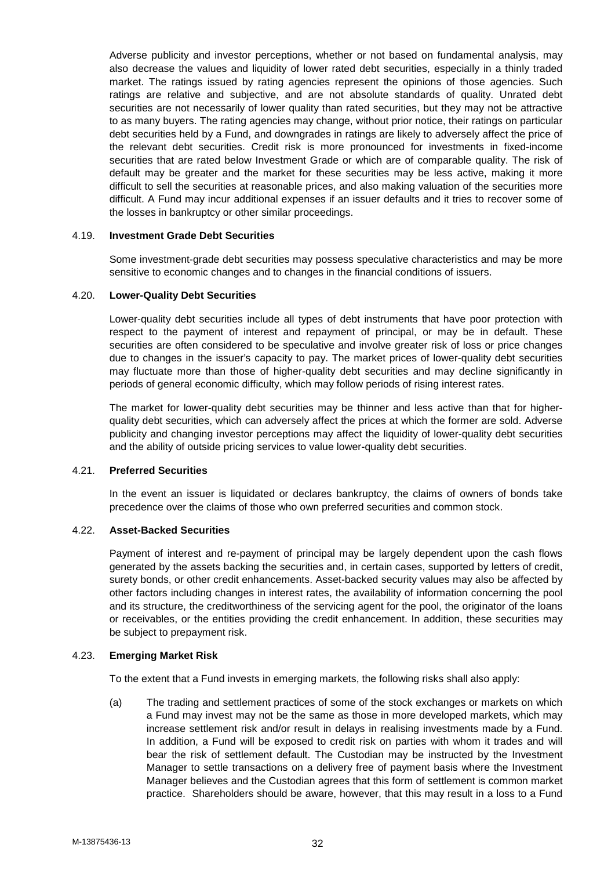Adverse publicity and investor perceptions, whether or not based on fundamental analysis, may also decrease the values and liquidity of lower rated debt securities, especially in a thinly traded market. The ratings issued by rating agencies represent the opinions of those agencies. Such ratings are relative and subjective, and are not absolute standards of quality. Unrated debt securities are not necessarily of lower quality than rated securities, but they may not be attractive to as many buyers. The rating agencies may change, without prior notice, their ratings on particular debt securities held by a Fund, and downgrades in ratings are likely to adversely affect the price of the relevant debt securities. Credit risk is more pronounced for investments in fixed-income securities that are rated below Investment Grade or which are of comparable quality. The risk of default may be greater and the market for these securities may be less active, making it more difficult to sell the securities at reasonable prices, and also making valuation of the securities more difficult. A Fund may incur additional expenses if an issuer defaults and it tries to recover some of the losses in bankruptcy or other similar proceedings.

#### 4.19. **Investment Grade Debt Securities**

Some investment-grade debt securities may possess speculative characteristics and may be more sensitive to economic changes and to changes in the financial conditions of issuers.

### 4.20. **Lower-Quality Debt Securities**

Lower-quality debt securities include all types of debt instruments that have poor protection with respect to the payment of interest and repayment of principal, or may be in default. These securities are often considered to be speculative and involve greater risk of loss or price changes due to changes in the issuer's capacity to pay. The market prices of lower-quality debt securities may fluctuate more than those of higher-quality debt securities and may decline significantly in periods of general economic difficulty, which may follow periods of rising interest rates.

The market for lower-quality debt securities may be thinner and less active than that for higher quality debt securities, which can adversely affect the prices at which the former are sold. Adverse publicity and changing investor perceptions may affect the liquidity of lower-quality debt securities and the ability of outside pricing services to value lower-quality debt securities.

#### 4.21. **Preferred Securities**

In the event an issuer is liquidated or declares bankruptcy, the claims of owners of bonds take precedence over the claims of those who own preferred securities and common stock.

## 4.22. **Asset-Backed Securities**

Payment of interest and re-payment of principal may be largely dependent upon the cash flows generated by the assets backing the securities and, in certain cases, supported by letters of credit, surety bonds, or other credit enhancements. Asset-backed security values may also be affected by other factors including changes in interest rates, the availability of information concerning the pool and its structure, the creditworthiness of the servicing agent for the pool, the originator of the loans or receivables, or the entities providing the credit enhancement. In addition, these securities may be subject to prepayment risk.

## 4.23. **Emerging Market Risk**

To the extent that a Fund invests in emerging markets, the following risks shall also apply:

(a) The trading and settlement practices of some of the stock exchanges or markets on which a Fund may invest may not be the same as those in more developed markets, which may increase settlement risk and/or result in delays in realising investments made by a Fund. In addition, a Fund will be exposed to credit risk on parties with whom it trades and will bear the risk of settlement default. The Custodian may be instructed by the Investment Manager to settle transactions on a delivery free of payment basis where the Investment Manager believes and the Custodian agrees that this form of settlement is common market practice. Shareholders should be aware, however, that this may result in a loss to a Fund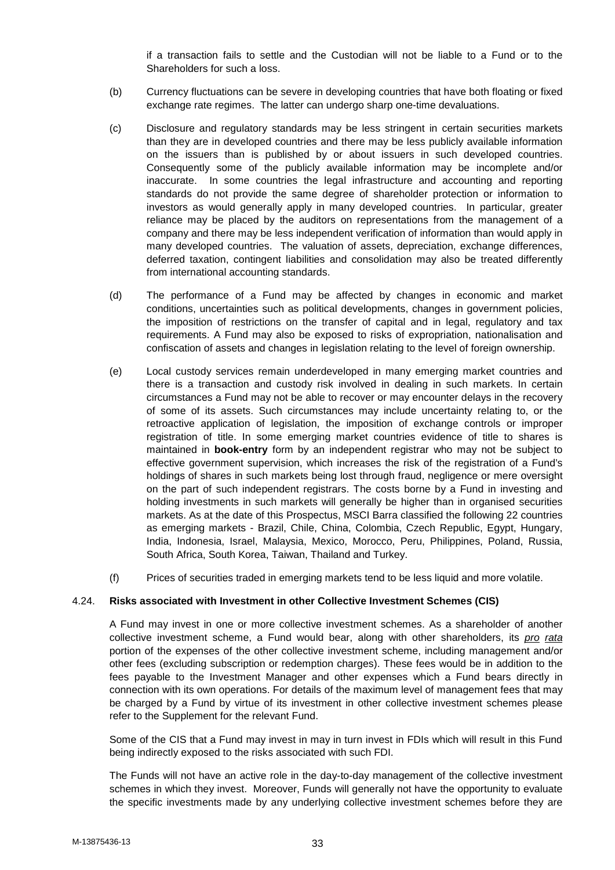if a transaction fails to settle and the Custodian will not be liable to a Fund or to the Shareholders for such a loss.

- (b) Currency fluctuations can be severe in developing countries that have both floating or fixed exchange rate regimes. The latter can undergo sharp one-time devaluations.
- (c) Disclosure and regulatory standards may be less stringent in certain securities markets than they are in developed countries and there may be less publicly available information on the issuers than is published by or about issuers in such developed countries. Consequently some of the publicly available information may be incomplete and/or inaccurate. In some countries the legal infrastructure and accounting and reporting standards do not provide the same degree of shareholder protection or information to investors as would generally apply in many developed countries. In particular, greater reliance may be placed by the auditors on representations from the management of a company and there may be less independent verification of information than would apply in many developed countries. The valuation of assets, depreciation, exchange differences, deferred taxation, contingent liabilities and consolidation may also be treated differently from international accounting standards.
- (d) The performance of a Fund may be affected by changes in economic and market conditions, uncertainties such as political developments, changes in government policies, the imposition of restrictions on the transfer of capital and in legal, regulatory and tax requirements. A Fund may also be exposed to risks of expropriation, nationalisation and confiscation of assets and changes in legislation relating to the level of foreign ownership.
- (e) Local custody services remain underdeveloped in many emerging market countries and there is a transaction and custody risk involved in dealing in such markets. In certain circumstances a Fund may not be able to recover or may encounter delays in the recovery of some of its assets. Such circumstances may include uncertainty relating to, or the retroactive application of legislation, the imposition of exchange controls or improper registration of title. In some emerging market countries evidence of title to shares is maintained in **book-entry** form by an independent registrar who may not be subject to effective government supervision, which increases the risk of the registration of a Fund's holdings of shares in such markets being lost through fraud, negligence or mere oversight on the part of such independent registrars. The costs borne by a Fund in investing and holding investments in such markets will generally be higher than in organised securities markets. As at the date of this Prospectus, MSCI Barra classified the following 22 countries as emerging markets - Brazil, Chile, China, Colombia, Czech Republic, Egypt, Hungary, India, Indonesia, Israel, Malaysia, Mexico, Morocco, Peru, Philippines, Poland, Russia, South Africa, South Korea, Taiwan, Thailand and Turkey.
- (f) Prices of securities traded in emerging markets tend to be less liquid and more volatile.

## 4.24. **Risks associated with Investment in other Collective Investment Schemes (CIS)**

A Fund may invest in one or more collective investment schemes. As a shareholder of another collective investment scheme, a Fund would bear, along with other shareholders, its *pro rata* portion of the expenses of the other collective investment scheme, including management and/or other fees (excluding subscription or redemption charges). These fees would be in addition to the fees payable to the Investment Manager and other expenses which a Fund bears directly in connection with its own operations. For details of the maximum level of management fees that may be charged by a Fund by virtue of its investment in other collective investment schemes please refer to the Supplement for the relevant Fund.

Some of the CIS that a Fund may invest in may in turn invest in FDIs which will result in this Fund being indirectly exposed to the risks associated with such FDI.

The Funds will not have an active role in the day-to-day management of the collective investment schemes in which they invest. Moreover, Funds will generally not have the opportunity to evaluate the specific investments made by any underlying collective investment schemes before they are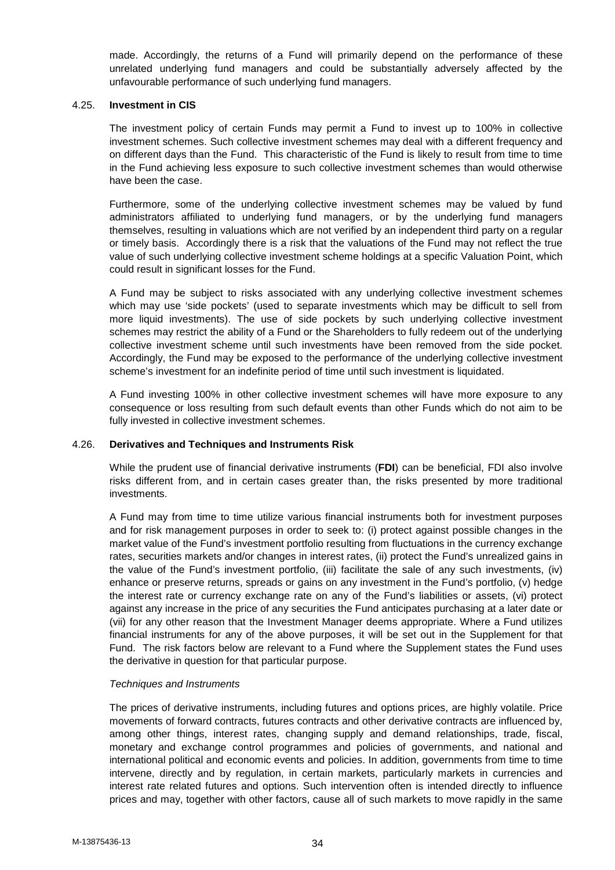made. Accordingly, the returns of a Fund will primarily depend on the performance of these unrelated underlying fund managers and could be substantially adversely affected by the unfavourable performance of such underlying fund managers.

#### 4.25. **Investment in CIS**

The investment policy of certain Funds may permit a Fund to invest up to 100% in collective investment schemes. Such collective investment schemes may deal with a different frequency and on different days than the Fund. This characteristic of the Fund is likely to result from time to time in the Fund achieving less exposure to such collective investment schemes than would otherwise have been the case.

Furthermore, some of the underlying collective investment schemes may be valued by fund administrators affiliated to underlying fund managers, or by the underlying fund managers themselves, resulting in valuations which are not verified by an independent third party on a regular or timely basis. Accordingly there is a risk that the valuations of the Fund may not reflect the true value of such underlying collective investment scheme holdings at a specific Valuation Point, which could result in significant losses for the Fund.

A Fund may be subject to risks associated with any underlying collective investment schemes which may use 'side pockets' (used to separate investments which may be difficult to sell from more liquid investments). The use of side pockets by such underlying collective investment schemes may restrict the ability of a Fund or the Shareholders to fully redeem out of the underlying collective investment scheme until such investments have been removed from the side pocket. Accordingly, the Fund may be exposed to the performance of the underlying collective investment scheme's investment for an indefinite period of time until such investment is liquidated.

A Fund investing 100% in other collective investment schemes will have more exposure to any consequence or loss resulting from such default events than other Funds which do not aim to be fully invested in collective investment schemes.

#### 4.26. **Derivatives and Techniques and Instruments Risk**

While the prudent use of financial derivative instruments (**FDI**) can be beneficial, FDI also involve risks different from, and in certain cases greater than, the risks presented by more traditional investments.

A Fund may from time to time utilize various financial instruments both for investment purposes and for risk management purposes in order to seek to: (i) protect against possible changes in the market value of the Fund's investment portfolio resulting from fluctuations in the currency exchange rates, securities markets and/or changes in interest rates, (ii) protect the Fund's unrealized gains in the value of the Fund's investment portfolio, (iii) facilitate the sale of any such investments, (iv) enhance or preserve returns, spreads or gains on any investment in the Fund's portfolio, (v) hedge the interest rate or currency exchange rate on any of the Fund's liabilities or assets, (vi) protect against any increase in the price of any securities the Fund anticipates purchasing at a later date or (vii) for any other reason that the Investment Manager deems appropriate. Where a Fund utilizes financial instruments for any of the above purposes, it will be set out in the Supplement for that Fund. The risk factors below are relevant to a Fund where the Supplement states the Fund uses the derivative in question for that particular purpose.

## *Techniques and Instruments*

The prices of derivative instruments, including futures and options prices, are highly volatile. Price movements of forward contracts, futures contracts and other derivative contracts are influenced by, among other things, interest rates, changing supply and demand relationships, trade, fiscal, monetary and exchange control programmes and policies of governments, and national and international political and economic events and policies. In addition, governments from time to time intervene, directly and by regulation, in certain markets, particularly markets in currencies and interest rate related futures and options. Such intervention often is intended directly to influence prices and may, together with other factors, cause all of such markets to move rapidly in the same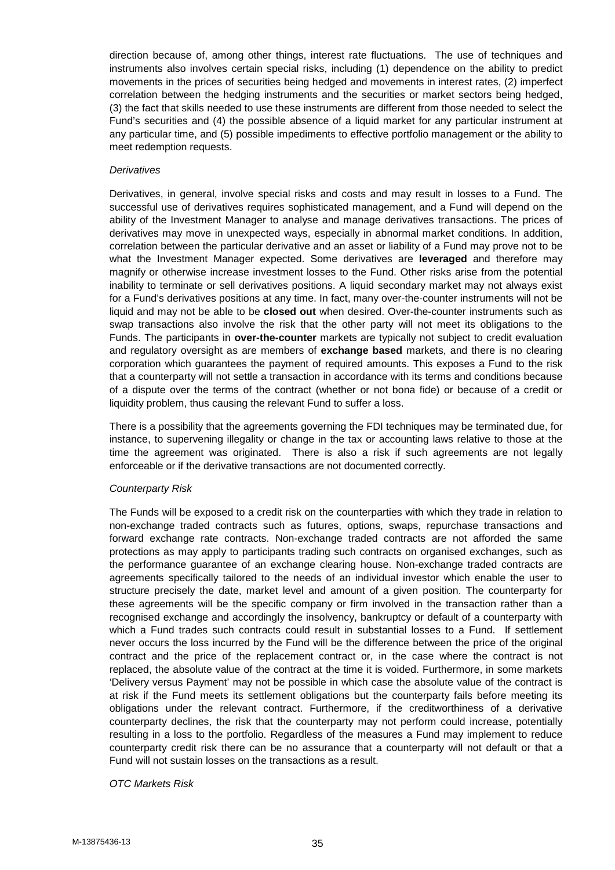direction because of, among other things, interest rate fluctuations. The use of techniques and instruments also involves certain special risks, including (1) dependence on the ability to predict movements in the prices of securities being hedged and movements in interest rates, (2) imperfect correlation between the hedging instruments and the securities or market sectors being hedged, (3) the fact that skills needed to use these instruments are different from those needed to select the Fund's securities and (4) the possible absence of a liquid market for any particular instrument at any particular time, and (5) possible impediments to effective portfolio management or the ability to meet redemption requests.

#### *Derivatives*

Derivatives, in general, involve special risks and costs and may result in losses to a Fund. The successful use of derivatives requires sophisticated management, and a Fund will depend on the ability of the Investment Manager to analyse and manage derivatives transactions. The prices of derivatives may move in unexpected ways, especially in abnormal market conditions. In addition, correlation between the particular derivative and an asset or liability of a Fund may prove not to be what the Investment Manager expected. Some derivatives are **leveraged** and therefore may magnify or otherwise increase investment losses to the Fund. Other risks arise from the potential inability to terminate or sell derivatives positions. A liquid secondary market may not always exist for a Fund's derivatives positions at any time. In fact, many over-the-counter instruments will not be liquid and may not be able to be **closed out** when desired. Over-the-counter instruments such as swap transactions also involve the risk that the other party will not meet its obligations to the Funds. The participants in **over-the-counter** markets are typically not subject to credit evaluation and regulatory oversight as are members of **exchange based** markets, and there is no clearing corporation which guarantees the payment of required amounts. This exposes a Fund to the risk that a counterparty will not settle a transaction in accordance with its terms and conditions because of a dispute over the terms of the contract (whether or not bona fide) or because of a credit or liquidity problem, thus causing the relevant Fund to suffer a loss.

There is a possibility that the agreements governing the FDI techniques may be terminated due, for instance, to supervening illegality or change in the tax or accounting laws relative to those at the time the agreement was originated. There is also a risk if such agreements are not legally enforceable or if the derivative transactions are not documented correctly.

## *Counterparty Risk*

The Funds will be exposed to a credit risk on the counterparties with which they trade in relation to non-exchange traded contracts such as futures, options, swaps, repurchase transactions and forward exchange rate contracts. Non-exchange traded contracts are not afforded the same protections as may apply to participants trading such contracts on organised exchanges, such as the performance guarantee of an exchange clearing house. Non-exchange traded contracts are agreements specifically tailored to the needs of an individual investor which enable the user to structure precisely the date, market level and amount of a given position. The counterparty for these agreements will be the specific company or firm involved in the transaction rather than a recognised exchange and accordingly the insolvency, bankruptcy or default of a counterparty with which a Fund trades such contracts could result in substantial losses to a Fund. If settlement never occurs the loss incurred by the Fund will be the difference between the price of the original contract and the price of the replacement contract or, in the case where the contract is not replaced, the absolute value of the contract at the time it is voided. Furthermore, in some markets 'Delivery versus Payment' may not be possible in which case the absolute value of the contract is at risk if the Fund meets its settlement obligations but the counterparty fails before meeting its obligations under the relevant contract. Furthermore, if the creditworthiness of a derivative counterparty declines, the risk that the counterparty may not perform could increase, potentially resulting in a loss to the portfolio. Regardless of the measures a Fund may implement to reduce counterparty credit risk there can be no assurance that a counterparty will not default or that a Fund will not sustain losses on the transactions as a result.

*OTC Markets Risk*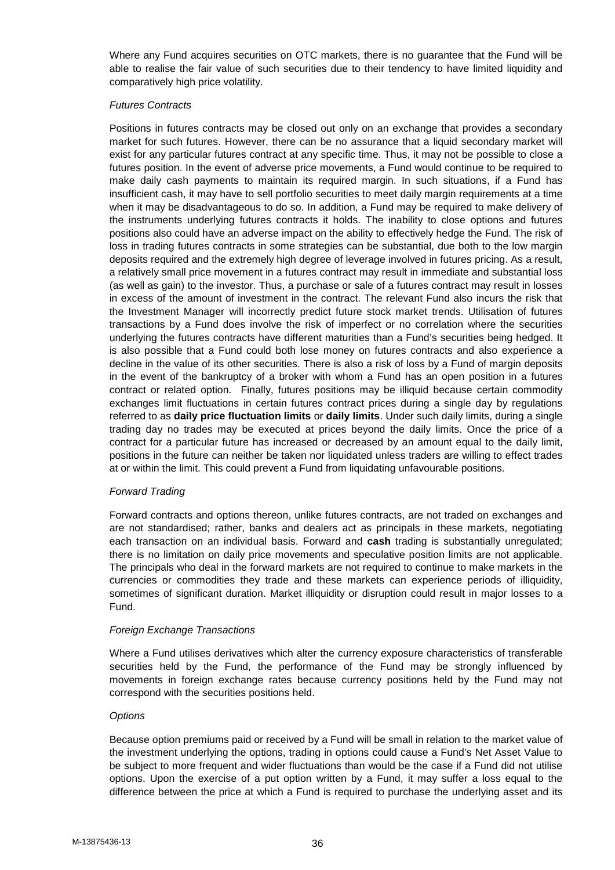Where any Fund acquires securities on OTC markets, there is no guarantee that the Fund will be able to realise the fair value of such securities due to their tendency to have limited liquidity and comparatively high price volatility.

### *Futures Contracts*

Positions in futures contracts may be closed out only on an exchange that provides a secondary market for such futures. However, there can be no assurance that a liquid secondary market will exist for any particular futures contract at any specific time. Thus, it may not be possible to close a futures position. In the event of adverse price movements, a Fund would continue to be required to make daily cash payments to maintain its required margin. In such situations, if a Fund has insufficient cash, it may have to sell portfolio securities to meet daily margin requirements at a time when it may be disadvantageous to do so. In addition, a Fund may be required to make delivery of the instruments underlying futures contracts it holds. The inability to close options and futures positions also could have an adverse impact on the ability to effectively hedge the Fund. The risk of loss in trading futures contracts in some strategies can be substantial, due both to the low margin deposits required and the extremely high degree of leverage involved in futures pricing. As a result, a relatively small price movement in a futures contract may result in immediate and substantial loss (as well as gain) to the investor. Thus, a purchase or sale of a futures contract may result in losses in excess of the amount of investment in the contract. The relevant Fund also incurs the risk that the Investment Manager will incorrectly predict future stock market trends. Utilisation of futures transactions by a Fund does involve the risk of imperfect or no correlation where the securities underlying the futures contracts have different maturities than a Fund's securities being hedged. It is also possible that a Fund could both lose money on futures contracts and also experience a decline in the value of its other securities. There is also a risk of loss by a Fund of margin deposits in the event of the bankruptcy of a broker with whom a Fund has an open position in a futures contract or related option. Finally, futures positions may be illiquid because certain commodity exchanges limit fluctuations in certain futures contract prices during a single day by regulations referred to as **daily price fluctuation limits** or **daily limits**. Under such daily limits, during a single trading day no trades may be executed at prices beyond the daily limits. Once the price of a contract for a particular future has increased or decreased by an amount equal to the daily limit, positions in the future can neither be taken nor liquidated unless traders are willing to effect trades at or within the limit. This could prevent a Fund from liquidating unfavourable positions.

## *Forward Trading*

Forward contracts and options thereon, unlike futures contracts, are not traded on exchanges and are not standardised; rather, banks and dealers act as principals in these markets, negotiating each transaction on an individual basis. Forward and **cash** trading is substantially unregulated; there is no limitation on daily price movements and speculative position limits are not applicable. The principals who deal in the forward markets are not required to continue to make markets in the currencies or commodities they trade and these markets can experience periods of illiquidity, sometimes of significant duration. Market illiquidity or disruption could result in major losses to a Fund.

#### *Foreign Exchange Transactions*

Where a Fund utilises derivatives which alter the currency exposure characteristics of transferable securities held by the Fund, the performance of the Fund may be strongly influenced by movements in foreign exchange rates because currency positions held by the Fund may not correspond with the securities positions held.

#### *Options*

Because option premiums paid or received by a Fund will be small in relation to the market value of the investment underlying the options, trading in options could cause a Fund's Net Asset Value to be subject to more frequent and wider fluctuations than would be the case if a Fund did not utilise options. Upon the exercise of a put option written by a Fund, it may suffer a loss equal to the difference between the price at which a Fund is required to purchase the underlying asset and its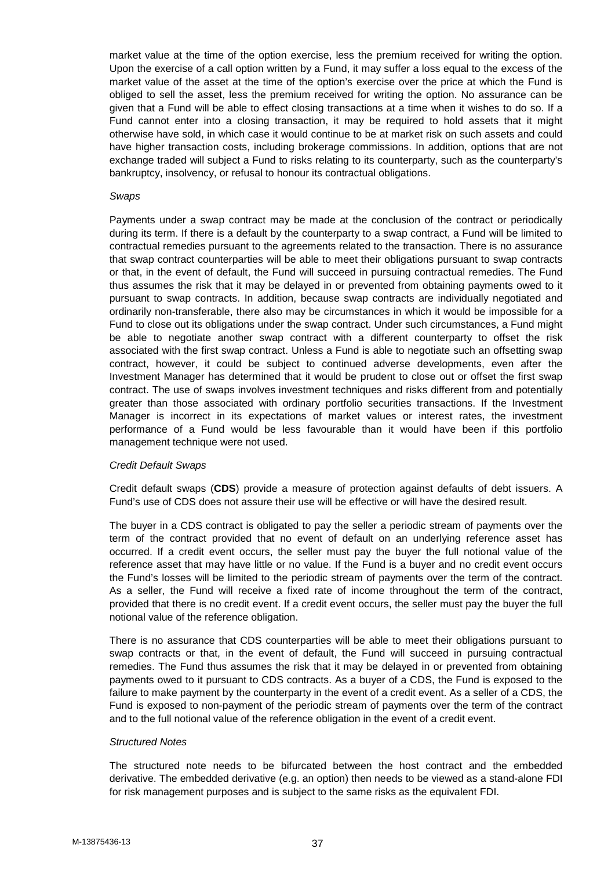market value at the time of the option exercise, less the premium received for writing the option. Upon the exercise of a call option written by a Fund, it may suffer a loss equal to the excess of the market value of the asset at the time of the option's exercise over the price at which the Fund is obliged to sell the asset, less the premium received for writing the option. No assurance can be given that a Fund will be able to effect closing transactions at a time when it wishes to do so. If a Fund cannot enter into a closing transaction, it may be required to hold assets that it might otherwise have sold, in which case it would continue to be at market risk on such assets and could have higher transaction costs, including brokerage commissions. In addition, options that are not exchange traded will subject a Fund to risks relating to its counterparty, such as the counterparty's bankruptcy, insolvency, or refusal to honour its contractual obligations.

#### *Swaps*

Payments under a swap contract may be made at the conclusion of the contract or periodically during its term. If there is a default by the counterparty to a swap contract, a Fund will be limited to contractual remedies pursuant to the agreements related to the transaction. There is no assurance that swap contract counterparties will be able to meet their obligations pursuant to swap contracts or that, in the event of default, the Fund will succeed in pursuing contractual remedies. The Fund thus assumes the risk that it may be delayed in or prevented from obtaining payments owed to it pursuant to swap contracts. In addition, because swap contracts are individually negotiated and ordinarily non-transferable, there also may be circumstances in which it would be impossible for a Fund to close out its obligations under the swap contract. Under such circumstances, a Fund might be able to negotiate another swap contract with a different counterparty to offset the risk associated with the first swap contract. Unless a Fund is able to negotiate such an offsetting swap contract, however, it could be subject to continued adverse developments, even after the Investment Manager has determined that it would be prudent to close out or offset the first swap contract. The use of swaps involves investment techniques and risks different from and potentially greater than those associated with ordinary portfolio securities transactions. If the Investment Manager is incorrect in its expectations of market values or interest rates, the investment performance of a Fund would be less favourable than it would have been if this portfolio management technique were not used.

#### *Credit Default Swaps*

Credit default swaps (**CDS**) provide a measure of protection against defaults of debt issuers. A Fund's use of CDS does not assure their use will be effective or will have the desired result.

The buyer in a CDS contract is obligated to pay the seller a periodic stream of payments over the term of the contract provided that no event of default on an underlying reference asset has occurred. If a credit event occurs, the seller must pay the buyer the full notional value of the reference asset that may have little or no value. If the Fund is a buyer and no credit event occurs the Fund's losses will be limited to the periodic stream of payments over the term of the contract. As a seller, the Fund will receive a fixed rate of income throughout the term of the contract, provided that there is no credit event. If a credit event occurs, the seller must pay the buyer the full notional value of the reference obligation.

There is no assurance that CDS counterparties will be able to meet their obligations pursuant to swap contracts or that, in the event of default, the Fund will succeed in pursuing contractual remedies. The Fund thus assumes the risk that it may be delayed in or prevented from obtaining payments owed to it pursuant to CDS contracts. As a buyer of a CDS, the Fund is exposed to the failure to make payment by the counterparty in the event of a credit event. As a seller of a CDS, the Fund is exposed to non-payment of the periodic stream of payments over the term of the contract and to the full notional value of the reference obligation in the event of a credit event.

#### *Structured Notes*

The structured note needs to be bifurcated between the host contract and the embedded derivative. The embedded derivative (e.g. an option) then needs to be viewed as a stand-alone FDI for risk management purposes and is subject to the same risks as the equivalent FDI.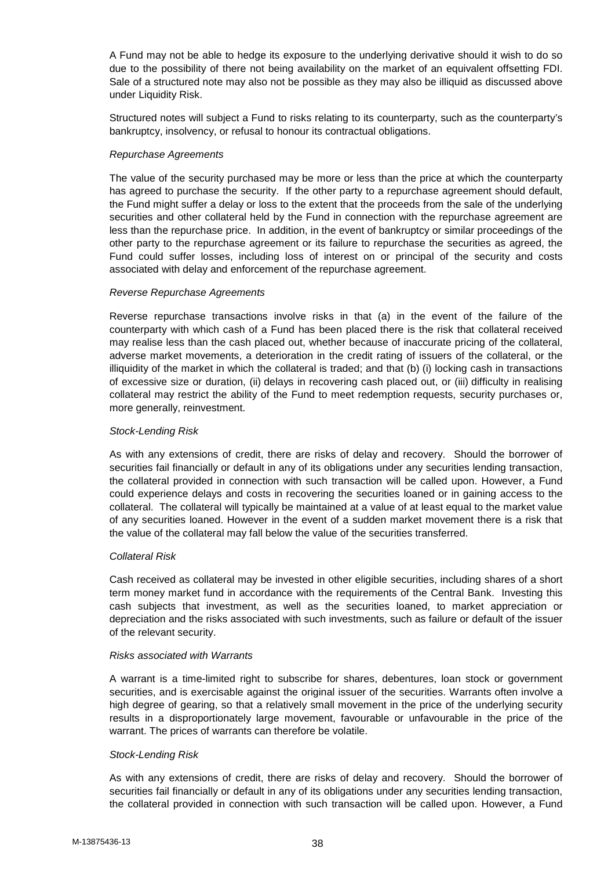A Fund may not be able to hedge its exposure to the underlying derivative should it wish to do so due to the possibility of there not being availability on the market of an equivalent offsetting FDI. Sale of a structured note may also not be possible as they may also be illiquid as discussed above under Liquidity Risk.

Structured notes will subject a Fund to risks relating to its counterparty, such as the counterparty's bankruptcy, insolvency, or refusal to honour its contractual obligations.

# *Repurchase Agreements*

The value of the security purchased may be more or less than the price at which the counterparty has agreed to purchase the security. If the other party to a repurchase agreement should default, the Fund might suffer a delay or loss to the extent that the proceeds from the sale of the underlying securities and other collateral held by the Fund in connection with the repurchase agreement are less than the repurchase price. In addition, in the event of bankruptcy or similar proceedings of the other party to the repurchase agreement or its failure to repurchase the securities as agreed, the Fund could suffer losses, including loss of interest on or principal of the security and costs associated with delay and enforcement of the repurchase agreement.

# *Reverse Repurchase Agreements*

Reverse repurchase transactions involve risks in that (a) in the event of the failure of the counterparty with which cash of a Fund has been placed there is the risk that collateral received may realise less than the cash placed out, whether because of inaccurate pricing of the collateral, adverse market movements, a deterioration in the credit rating of issuers of the collateral, or the illiquidity of the market in which the collateral is traded; and that (b) (i) locking cash in transactions of excessive size or duration, (ii) delays in recovering cash placed out, or (iii) difficulty in realising collateral may restrict the ability of the Fund to meet redemption requests, security purchases or, more generally, reinvestment.

# *Stock-Lending Risk*

As with any extensions of credit, there are risks of delay and recovery. Should the borrower of securities fail financially or default in any of its obligations under any securities lending transaction, the collateral provided in connection with such transaction will be called upon. However, a Fund could experience delays and costs in recovering the securities loaned or in gaining access to the collateral. The collateral will typically be maintained at a value of at least equal to the market value of any securities loaned. However in the event of a sudden market movement there is a risk that the value of the collateral may fall below the value of the securities transferred.

#### *Collateral Risk*

Cash received as collateral may be invested in other eligible securities, including shares of a short term money market fund in accordance with the requirements of the Central Bank. Investing this cash subjects that investment, as well as the securities loaned, to market appreciation or depreciation and the risks associated with such investments, such as failure or default of the issuer of the relevant security.

#### *Risks associated with Warrants*

A warrant is a time-limited right to subscribe for shares, debentures, loan stock or government securities, and is exercisable against the original issuer of the securities. Warrants often involve a high degree of gearing, so that a relatively small movement in the price of the underlying security results in a disproportionately large movement, favourable or unfavourable in the price of the warrant. The prices of warrants can therefore be volatile.

#### *Stock-Lending Risk*

As with any extensions of credit, there are risks of delay and recovery. Should the borrower of securities fail financially or default in any of its obligations under any securities lending transaction, the collateral provided in connection with such transaction will be called upon. However, a Fund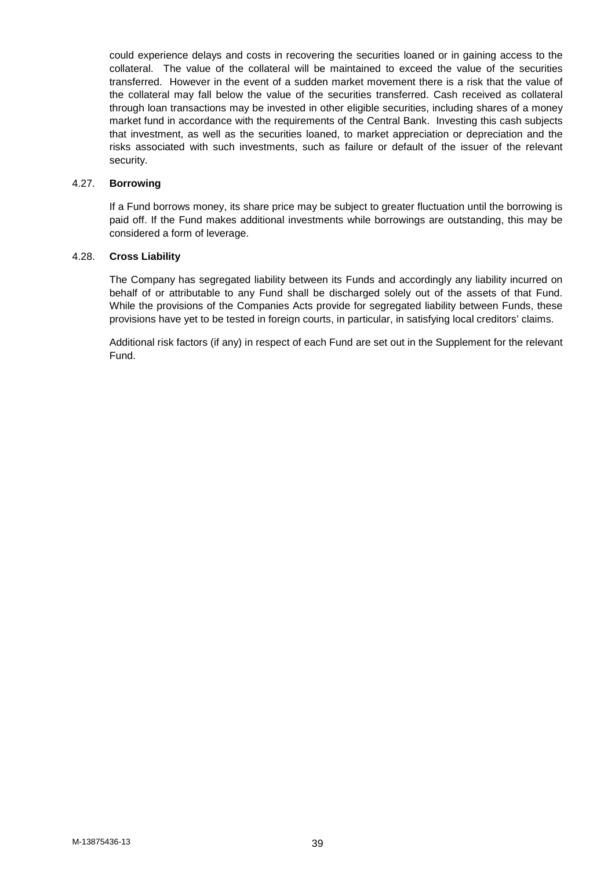could experience delays and costs in recovering the securities loaned or in gaining access to the collateral. The value of the collateral will be maintained to exceed the value of the securities transferred. However in the event of a sudden market movement there is a risk that the value of the collateral may fall below the value of the securities transferred. Cash received as collateral through loan transactions may be invested in other eligible securities, including shares of a money market fund in accordance with the requirements of the Central Bank. Investing this cash subjects that investment, as well as the securities loaned, to market appreciation or depreciation and the risks associated with such investments, such as failure or default of the issuer of the relevant security.

#### 4.27. **Borrowing**

If a Fund borrows money, its share price may be subject to greater fluctuation until the borrowing is paid off. If the Fund makes additional investments while borrowings are outstanding, this may be considered a form of leverage.

## 4.28. **Cross Liability**

The Company has segregated liability between its Funds and accordingly any liability incurred on behalf of or attributable to any Fund shall be discharged solely out of the assets of that Fund. While the provisions of the Companies Acts provide for segregated liability between Funds, these provisions have yet to be tested in foreign courts, in particular, in satisfying local creditors' claims.

Additional risk factors (if any) in respect of each Fund are set out in the Supplement for the relevant Fund.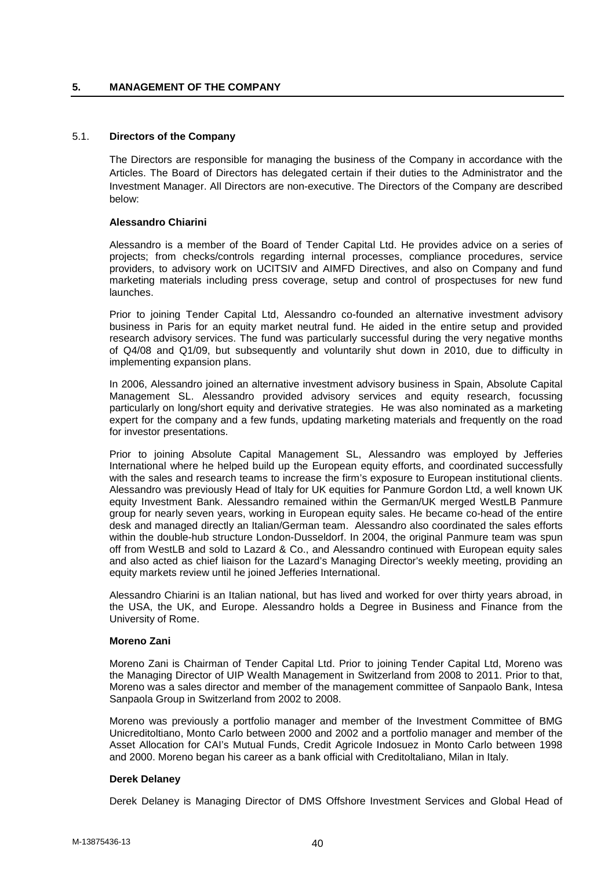## **5. MANAGEMENT OF THE COMPANY**

### 5.1. **Directors of the Company**

The Directors are responsible for managing the business of the Company in accordance with the Articles. The Board of Directors has delegated certain if their duties to the Administrator and the Investment Manager. All Directors are non-executive. The Directors of the Company are described below:

### **Alessandro Chiarini**

Alessandro is a member of the Board of Tender Capital Ltd. He provides advice on a series of projects; from checks/controls regarding internal processes, compliance procedures, service providers, to advisory work on UCITSIV and AIMFD Directives, and also on Company and fund marketing materials including press coverage, setup and control of prospectuses for new fund launches.

Prior to joining Tender Capital Ltd, Alessandro co-founded an alternative investment advisory business in Paris for an equity market neutral fund. He aided in the entire setup and provided research advisory services. The fund was particularly successful during the very negative months of Q4/08 and Q1/09, but subsequently and voluntarily shut down in 2010, due to difficulty in implementing expansion plans.

In 2006, Alessandro joined an alternative investment advisory business in Spain, Absolute Capital Management SL. Alessandro provided advisory services and equity research, focussing particularly on long/short equity and derivative strategies. He was also nominated as a marketing expert for the company and a few funds, updating marketing materials and frequently on the road for investor presentations.

Prior to joining Absolute Capital Management SL, Alessandro was employed by Jefferies International where he helped build up the European equity efforts, and coordinated successfully with the sales and research teams to increase the firm's exposure to European institutional clients. Alessandro was previously Head of Italy for UK equities for Panmure Gordon Ltd, a well known UK equity Investment Bank. Alessandro remained within the German/UK merged WestLB Panmure group for nearly seven years, working in European equity sales. He became co-head of the entire desk and managed directly an Italian/German team. Alessandro also coordinated the sales efforts within the double-hub structure London-Dusseldorf. In 2004, the original Panmure team was spun off from WestLB and sold to Lazard & Co., and Alessandro continued with European equity sales and also acted as chief liaison for the Lazard's Managing Director's weekly meeting, providing an equity markets review until he joined Jefferies International.

Alessandro Chiarini is an Italian national, but has lived and worked for over thirty years abroad, in the USA, the UK, and Europe. Alessandro holds a Degree in Business and Finance from the University of Rome.

#### **Moreno Zani**

Moreno Zani is Chairman of Tender Capital Ltd. Prior to joining Tender Capital Ltd, Moreno was the Managing Director of UIP Wealth Management in Switzerland from 2008 to 2011. Prior to that, Moreno was a sales director and member of the management committee of Sanpaolo Bank, Intesa Sanpaola Group in Switzerland from 2002 to 2008.

Moreno was previously a portfolio manager and member of the Investment Committee of BMG Unicreditoltiano, Monto Carlo between 2000 and 2002 and a portfolio manager and member of the Asset Allocation for CAI's Mutual Funds, Credit Agricole Indosuez in Monto Carlo between 1998 and 2000. Moreno began his career as a bank official with Creditoltaliano, Milan in Italy.

#### **Derek Delaney**

Derek Delaney is Managing Director of DMS Offshore Investment Services and Global Head of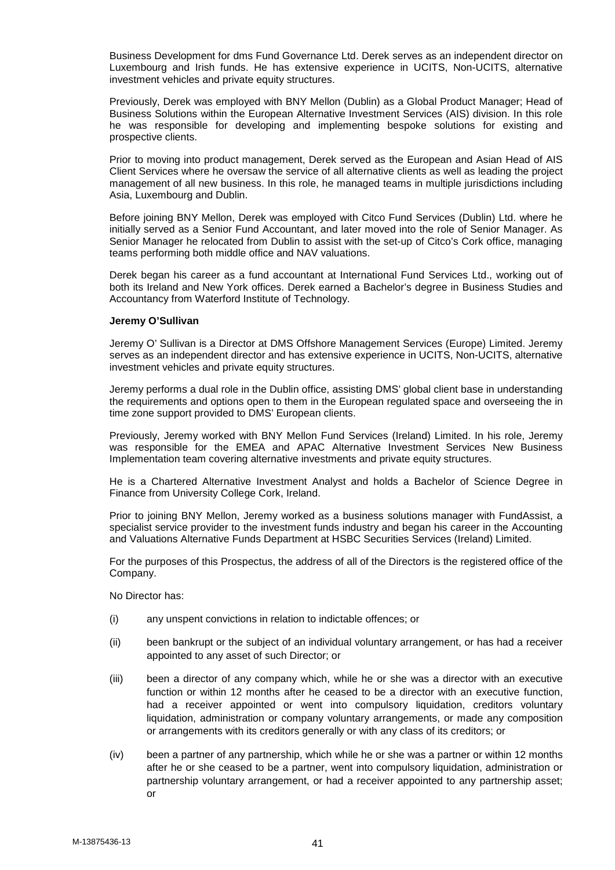Business Development for dms Fund Governance Ltd. Derek serves as an independent director on Luxembourg and Irish funds. He has extensive experience in UCITS, Non-UCITS, alternative investment vehicles and private equity structures.

Previously, Derek was employed with BNY Mellon (Dublin) as a Global Product Manager; Head of Business Solutions within the European Alternative Investment Services (AIS) division. In this role he was responsible for developing and implementing bespoke solutions for existing and prospective clients.

Prior to moving into product management, Derek served as the European and Asian Head of AIS Client Services where he oversaw the service of all alternative clients as well as leading the project management of all new business. In this role, he managed teams in multiple jurisdictions including Asia, Luxembourg and Dublin.

Before joining BNY Mellon, Derek was employed with Citco Fund Services (Dublin) Ltd. where he initially served as a Senior Fund Accountant, and later moved into the role of Senior Manager. As Senior Manager he relocated from Dublin to assist with the set-up of Citco's Cork office, managing teams performing both middle office and NAV valuations.

Derek began his career as a fund accountant at International Fund Services Ltd., working out of both its Ireland and New York offices. Derek earned a Bachelor's degree in Business Studies and Accountancy from Waterford Institute of Technology.

#### **Jeremy O'Sullivan**

Jeremy O' Sullivan is a Director at DMS Offshore Management Services (Europe) Limited. Jeremy serves as an independent director and has extensive experience in UCITS, Non-UCITS, alternative investment vehicles and private equity structures.

Jeremy performs a dual role in the Dublin office, assisting DMS' global client base in understanding the requirements and options open to them in the European regulated space and overseeing the in time zone support provided to DMS' European clients.

Previously, Jeremy worked with BNY Mellon Fund Services (Ireland) Limited. In his role, Jeremy was responsible for the EMEA and APAC Alternative Investment Services New Business Implementation team covering alternative investments and private equity structures.

He is a Chartered Alternative Investment Analyst and holds a Bachelor of Science Degree in Finance from University College Cork, Ireland.

Prior to joining BNY Mellon, Jeremy worked as a business solutions manager with FundAssist, a specialist service provider to the investment funds industry and began his career in the Accounting and Valuations Alternative Funds Department at HSBC Securities Services (Ireland) Limited.

For the purposes of this Prospectus, the address of all of the Directors is the registered office of the Company.

No Director has:

- (i) any unspent convictions in relation to indictable offences; or
- (ii) been bankrupt or the subject of an individual voluntary arrangement, or has had a receiver appointed to any asset of such Director; or
- (iii) been a director of any company which, while he or she was a director with an executive function or within 12 months after he ceased to be a director with an executive function, had a receiver appointed or went into compulsory liquidation, creditors voluntary liquidation, administration or company voluntary arrangements, or made any composition or arrangements with its creditors generally or with any class of its creditors; or
- (iv) been a partner of any partnership, which while he or she was a partner or within 12 months after he or she ceased to be a partner, went into compulsory liquidation, administration or partnership voluntary arrangement, or had a receiver appointed to any partnership asset; or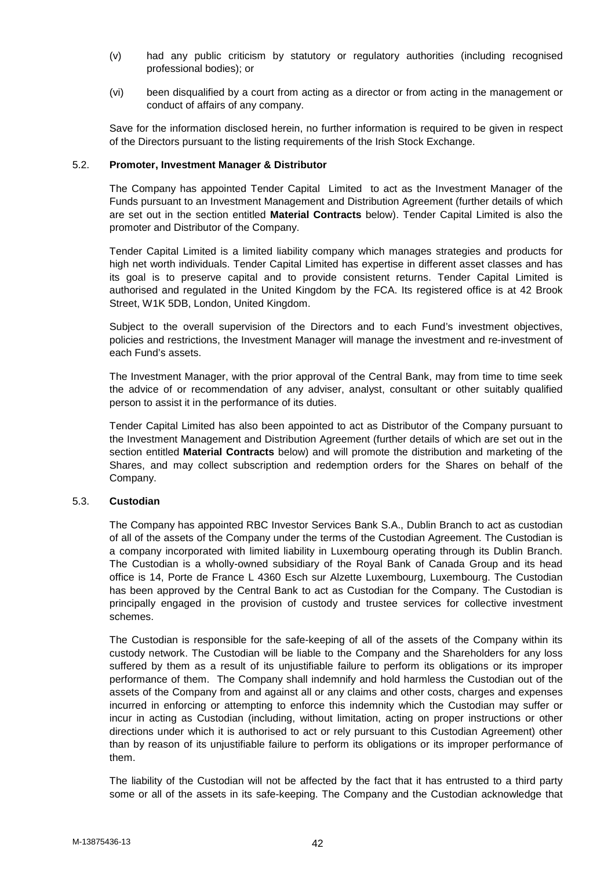- (v) had any public criticism by statutory or regulatory authorities (including recognised professional bodies); or
- (vi) been disqualified by a court from acting as a director or from acting in the management or conduct of affairs of any company.

Save for the information disclosed herein, no further information is required to be given in respect of the Directors pursuant to the listing requirements of the Irish Stock Exchange.

### 5.2. **Promoter, Investment Manager & Distributor**

The Company has appointed Tender Capital Limited to act as the Investment Manager of the Funds pursuant to an Investment Management and Distribution Agreement (further details of which are set out in the section entitled **Material Contracts** below). Tender Capital Limited is also the promoter and Distributor of the Company.

Tender Capital Limited is a limited liability company which manages strategies and products for high net worth individuals. Tender Capital Limited has expertise in different asset classes and has its goal is to preserve capital and to provide consistent returns. Tender Capital Limited is authorised and regulated in the United Kingdom by the FCA. Its registered office is at 42 Brook Street, W1K 5DB, London, United Kingdom.

Subject to the overall supervision of the Directors and to each Fund's investment objectives, policies and restrictions, the Investment Manager will manage the investment and re-investment of each Fund's assets.

The Investment Manager, with the prior approval of the Central Bank, may from time to time seek the advice of or recommendation of any adviser, analyst, consultant or other suitably qualified person to assist it in the performance of its duties.

Tender Capital Limited has also been appointed to act as Distributor of the Company pursuant to the Investment Management and Distribution Agreement (further details of which are set out in the section entitled **Material Contracts** below) and will promote the distribution and marketing of the Shares, and may collect subscription and redemption orders for the Shares on behalf of the Company.

# 5.3. **Custodian**

The Company has appointed RBC Investor Services Bank S.A., Dublin Branch to act as custodian of all of the assets of the Company under the terms of the Custodian Agreement. The Custodian is a company incorporated with limited liability in Luxembourg operating through its Dublin Branch. The Custodian is a wholly-owned subsidiary of the Royal Bank of Canada Group and its head office is 14, Porte de France L 4360 Esch sur Alzette Luxembourg, Luxembourg. The Custodian has been approved by the Central Bank to act as Custodian for the Company. The Custodian is principally engaged in the provision of custody and trustee services for collective investment schemes.

The Custodian is responsible for the safe-keeping of all of the assets of the Company within its custody network. The Custodian will be liable to the Company and the Shareholders for any loss suffered by them as a result of its unjustifiable failure to perform its obligations or its improper performance of them. The Company shall indemnify and hold harmless the Custodian out of the assets of the Company from and against all or any claims and other costs, charges and expenses incurred in enforcing or attempting to enforce this indemnity which the Custodian may suffer or incur in acting as Custodian (including, without limitation, acting on proper instructions or other directions under which it is authorised to act or rely pursuant to this Custodian Agreement) other than by reason of its unjustifiable failure to perform its obligations or its improper performance of them.

The liability of the Custodian will not be affected by the fact that it has entrusted to a third party some or all of the assets in its safe-keeping. The Company and the Custodian acknowledge that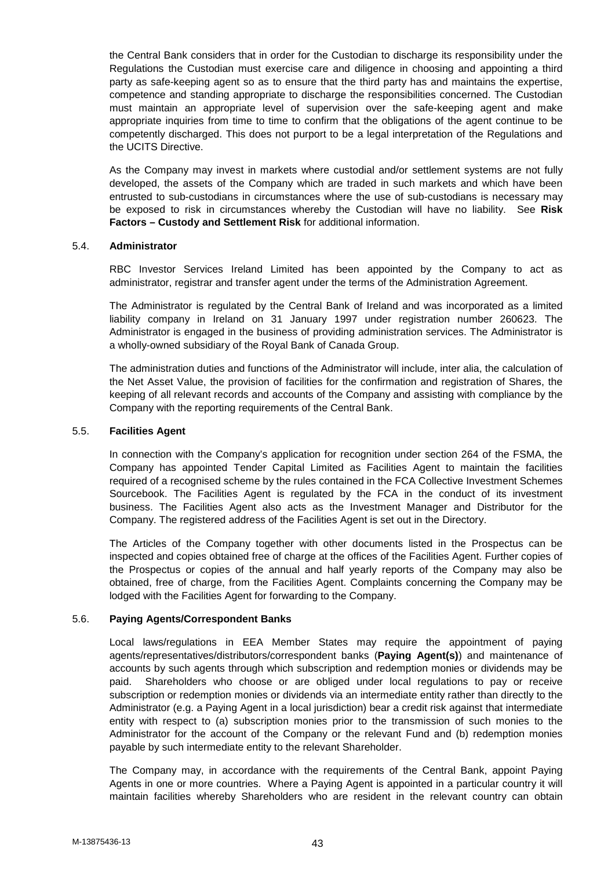the Central Bank considers that in order for the Custodian to discharge its responsibility under the Regulations the Custodian must exercise care and diligence in choosing and appointing a third party as safe-keeping agent so as to ensure that the third party has and maintains the expertise, competence and standing appropriate to discharge the responsibilities concerned. The Custodian must maintain an appropriate level of supervision over the safe-keeping agent and make appropriate inquiries from time to time to confirm that the obligations of the agent continue to be competently discharged. This does not purport to be a legal interpretation of the Regulations and the UCITS Directive.

As the Company may invest in markets where custodial and/or settlement systems are not fully developed, the assets of the Company which are traded in such markets and which have been entrusted to sub-custodians in circumstances where the use of sub-custodians is necessary may be exposed to risk in circumstances whereby the Custodian will have no liability. See **Risk Factors – Custody and Settlement Risk** for additional information.

#### 5.4. **Administrator**

RBC Investor Services Ireland Limited has been appointed by the Company to act as administrator, registrar and transfer agent under the terms of the Administration Agreement.

The Administrator is regulated by the Central Bank of Ireland and was incorporated as a limited liability company in Ireland on 31 January 1997 under registration number 260623. The Administrator is engaged in the business of providing administration services. The Administrator is a wholly-owned subsidiary of the Royal Bank of Canada Group.

The administration duties and functions of the Administrator will include, inter alia, the calculation of the Net Asset Value, the provision of facilities for the confirmation and registration of Shares, the keeping of all relevant records and accounts of the Company and assisting with compliance by the Company with the reporting requirements of the Central Bank.

#### 5.5. **Facilities Agent**

In connection with the Company's application for recognition under section 264 of the FSMA, the Company has appointed Tender Capital Limited as Facilities Agent to maintain the facilities required of a recognised scheme by the rules contained in the FCA Collective Investment Schemes Sourcebook. The Facilities Agent is regulated by the FCA in the conduct of its investment business. The Facilities Agent also acts as the Investment Manager and Distributor for the Company. The registered address of the Facilities Agent is set out in the Directory.

The Articles of the Company together with other documents listed in the Prospectus can be inspected and copies obtained free of charge at the offices of the Facilities Agent. Further copies of the Prospectus or copies of the annual and half yearly reports of the Company may also be obtained, free of charge, from the Facilities Agent. Complaints concerning the Company may be lodged with the Facilities Agent for forwarding to the Company.

# 5.6. **Paying Agents/Correspondent Banks**

Local laws/regulations in EEA Member States may require the appointment of paying agents/representatives/distributors/correspondent banks (**Paying Agent(s)**) and maintenance of accounts by such agents through which subscription and redemption monies or dividends may be paid. Shareholders who choose or are obliged under local regulations to pay or receive subscription or redemption monies or dividends via an intermediate entity rather than directly to the Administrator (e.g. a Paying Agent in a local jurisdiction) bear a credit risk against that intermediate entity with respect to (a) subscription monies prior to the transmission of such monies to the Administrator for the account of the Company or the relevant Fund and (b) redemption monies payable by such intermediate entity to the relevant Shareholder.

The Company may, in accordance with the requirements of the Central Bank, appoint Paying Agents in one or more countries. Where a Paying Agent is appointed in a particular country it will maintain facilities whereby Shareholders who are resident in the relevant country can obtain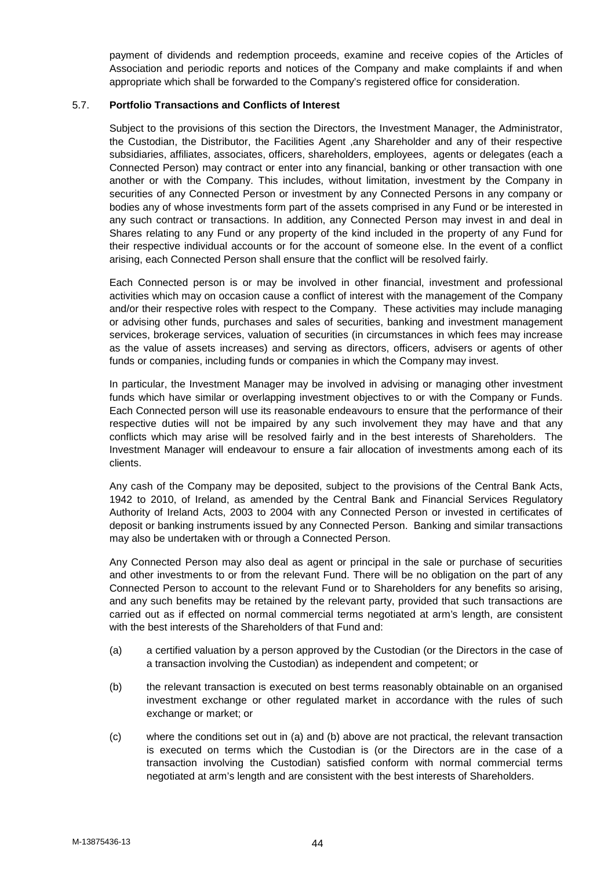payment of dividends and redemption proceeds, examine and receive copies of the Articles of Association and periodic reports and notices of the Company and make complaints if and when appropriate which shall be forwarded to the Company's registered office for consideration.

## 5.7. **Portfolio Transactions and Conflicts of Interest**

Subject to the provisions of this section the Directors, the Investment Manager, the Administrator, the Custodian, the Distributor, the Facilities Agent ,any Shareholder and any of their respective subsidiaries, affiliates, associates, officers, shareholders, employees, agents or delegates (each a Connected Person) may contract or enter into any financial, banking or other transaction with one another or with the Company. This includes, without limitation, investment by the Company in securities of any Connected Person or investment by any Connected Persons in any company or bodies any of whose investments form part of the assets comprised in any Fund or be interested in any such contract or transactions. In addition, any Connected Person may invest in and deal in Shares relating to any Fund or any property of the kind included in the property of any Fund for their respective individual accounts or for the account of someone else. In the event of a conflict arising, each Connected Person shall ensure that the conflict will be resolved fairly.

Each Connected person is or may be involved in other financial, investment and professional activities which may on occasion cause a conflict of interest with the management of the Company and/or their respective roles with respect to the Company. These activities may include managing or advising other funds, purchases and sales of securities, banking and investment management services, brokerage services, valuation of securities (in circumstances in which fees may increase as the value of assets increases) and serving as directors, officers, advisers or agents of other funds or companies, including funds or companies in which the Company may invest.

In particular, the Investment Manager may be involved in advising or managing other investment funds which have similar or overlapping investment objectives to or with the Company or Funds. Each Connected person will use its reasonable endeavours to ensure that the performance of their respective duties will not be impaired by any such involvement they may have and that any conflicts which may arise will be resolved fairly and in the best interests of Shareholders. The Investment Manager will endeavour to ensure a fair allocation of investments among each of its clients.

Any cash of the Company may be deposited, subject to the provisions of the Central Bank Acts, 1942 to 2010, of Ireland, as amended by the Central Bank and Financial Services Regulatory Authority of Ireland Acts, 2003 to 2004 with any Connected Person or invested in certificates of deposit or banking instruments issued by any Connected Person. Banking and similar transactions may also be undertaken with or through a Connected Person.

Any Connected Person may also deal as agent or principal in the sale or purchase of securities and other investments to or from the relevant Fund. There will be no obligation on the part of any Connected Person to account to the relevant Fund or to Shareholders for any benefits so arising, and any such benefits may be retained by the relevant party, provided that such transactions are carried out as if effected on normal commercial terms negotiated at arm's length, are consistent with the best interests of the Shareholders of that Fund and:

- (a) a certified valuation by a person approved by the Custodian (or the Directors in the case of a transaction involving the Custodian) as independent and competent; or
- (b) the relevant transaction is executed on best terms reasonably obtainable on an organised investment exchange or other regulated market in accordance with the rules of such exchange or market; or
- (c) where the conditions set out in (a) and (b) above are not practical, the relevant transaction is executed on terms which the Custodian is (or the Directors are in the case of a transaction involving the Custodian) satisfied conform with normal commercial terms negotiated at arm's length and are consistent with the best interests of Shareholders.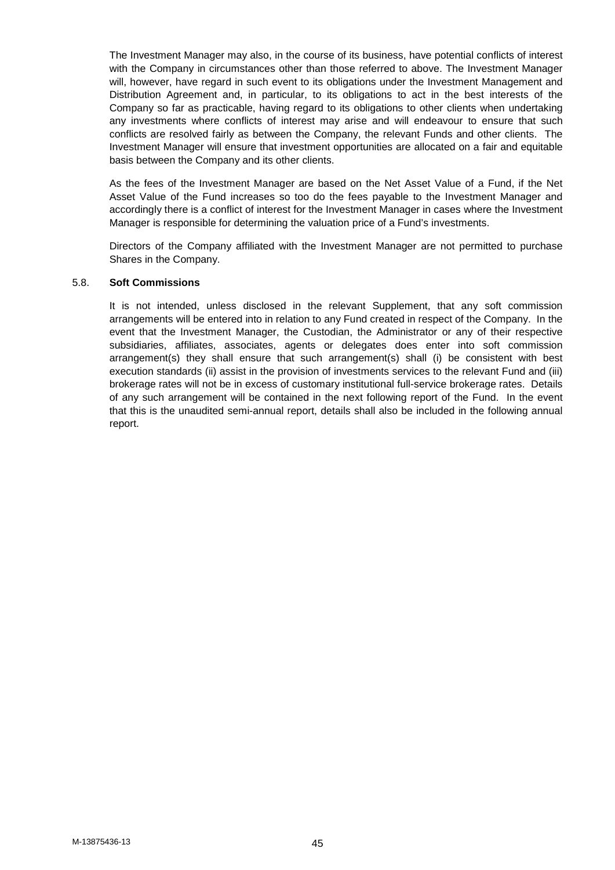The Investment Manager may also, in the course of its business, have potential conflicts of interest with the Company in circumstances other than those referred to above. The Investment Manager will, however, have regard in such event to its obligations under the Investment Management and Distribution Agreement and, in particular, to its obligations to act in the best interests of the Company so far as practicable, having regard to its obligations to other clients when undertaking any investments where conflicts of interest may arise and will endeavour to ensure that such conflicts are resolved fairly as between the Company, the relevant Funds and other clients. The Investment Manager will ensure that investment opportunities are allocated on a fair and equitable basis between the Company and its other clients.

As the fees of the Investment Manager are based on the Net Asset Value of a Fund, if the Net Asset Value of the Fund increases so too do the fees payable to the Investment Manager and accordingly there is a conflict of interest for the Investment Manager in cases where the Investment Manager is responsible for determining the valuation price of a Fund's investments.

Directors of the Company affiliated with the Investment Manager are not permitted to purchase Shares in the Company.

#### 5.8. **Soft Commissions**

It is not intended, unless disclosed in the relevant Supplement, that any soft commission arrangements will be entered into in relation to any Fund created in respect of the Company. In the event that the Investment Manager, the Custodian, the Administrator or any of their respective subsidiaries, affiliates, associates, agents or delegates does enter into soft commission arrangement(s) they shall ensure that such arrangement(s) shall (i) be consistent with best execution standards (ii) assist in the provision of investments services to the relevant Fund and (iii) brokerage rates will not be in excess of customary institutional full-service brokerage rates. Details of any such arrangement will be contained in the next following report of the Fund. In the event that this is the unaudited semi-annual report, details shall also be included in the following annual report.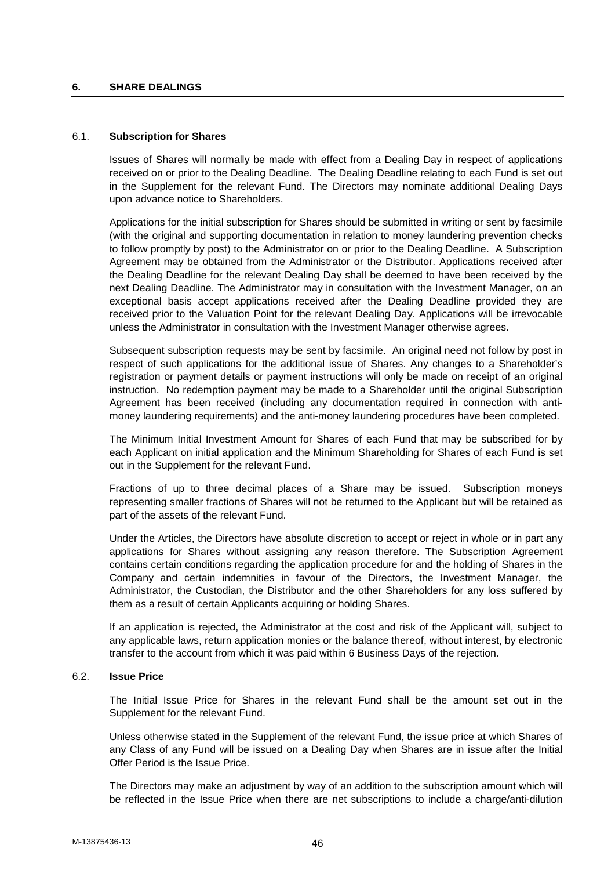### **6. SHARE DEALINGS**

### 6.1. **Subscription for Shares**

Issues of Shares will normally be made with effect from a Dealing Day in respect of applications received on or prior to the Dealing Deadline. The Dealing Deadline relating to each Fund is set out in the Supplement for the relevant Fund. The Directors may nominate additional Dealing Days upon advance notice to Shareholders.

Applications for the initial subscription for Shares should be submitted in writing or sent by facsimile (with the original and supporting documentation in relation to money laundering prevention checks to follow promptly by post) to the Administrator on or prior to the Dealing Deadline. A Subscription Agreement may be obtained from the Administrator or the Distributor. Applications received after the Dealing Deadline for the relevant Dealing Day shall be deemed to have been received by the next Dealing Deadline. The Administrator may in consultation with the Investment Manager, on an exceptional basis accept applications received after the Dealing Deadline provided they are received prior to the Valuation Point for the relevant Dealing Day. Applications will be irrevocable unless the Administrator in consultation with the Investment Manager otherwise agrees.

Subsequent subscription requests may be sent by facsimile. An original need not follow by post in respect of such applications for the additional issue of Shares. Any changes to a Shareholder's registration or payment details or payment instructions will only be made on receipt of an original instruction. No redemption payment may be made to a Shareholder until the original Subscription Agreement has been received (including any documentation required in connection with anti money laundering requirements) and the anti-money laundering procedures have been completed.

The Minimum Initial Investment Amount for Shares of each Fund that may be subscribed for by each Applicant on initial application and the Minimum Shareholding for Shares of each Fund is set out in the Supplement for the relevant Fund.

Fractions of up to three decimal places of a Share may be issued. Subscription moneys representing smaller fractions of Shares will not be returned to the Applicant but will be retained as part of the assets of the relevant Fund.

Under the Articles, the Directors have absolute discretion to accept or reject in whole or in part any applications for Shares without assigning any reason therefore. The Subscription Agreement contains certain conditions regarding the application procedure for and the holding of Shares in the Company and certain indemnities in favour of the Directors, the Investment Manager, the Administrator, the Custodian, the Distributor and the other Shareholders for any loss suffered by them as a result of certain Applicants acquiring or holding Shares.

If an application is rejected, the Administrator at the cost and risk of the Applicant will, subject to any applicable laws, return application monies or the balance thereof, without interest, by electronic transfer to the account from which it was paid within 6 Business Days of the rejection.

# 6.2. **Issue Price**

The Initial Issue Price for Shares in the relevant Fund shall be the amount set out in the Supplement for the relevant Fund.

Unless otherwise stated in the Supplement of the relevant Fund, the issue price at which Shares of any Class of any Fund will be issued on a Dealing Day when Shares are in issue after the Initial Offer Period is the Issue Price.

The Directors may make an adjustment by way of an addition to the subscription amount which will be reflected in the Issue Price when there are net subscriptions to include a charge/anti-dilution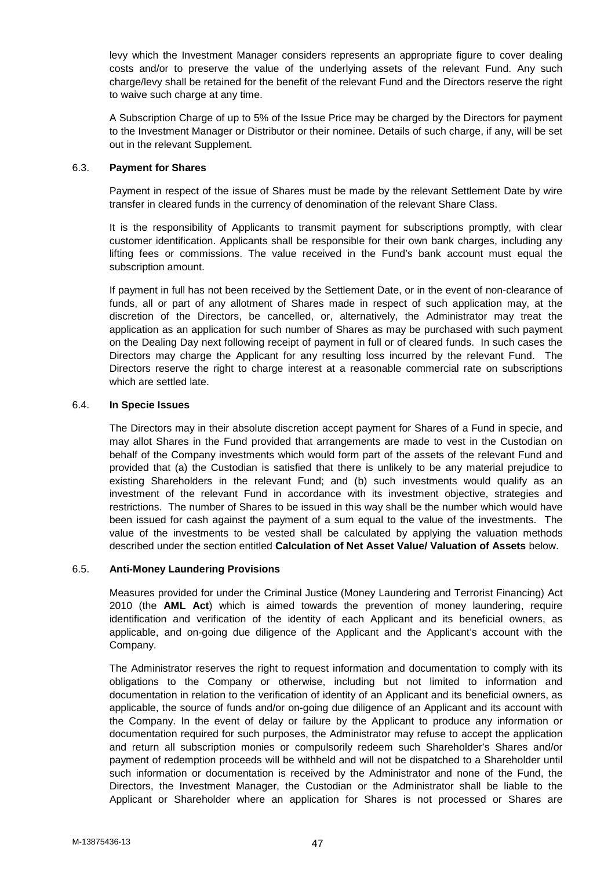levy which the Investment Manager considers represents an appropriate figure to cover dealing costs and/or to preserve the value of the underlying assets of the relevant Fund. Any such charge/levy shall be retained for the benefit of the relevant Fund and the Directors reserve the right to waive such charge at any time.

A Subscription Charge of up to 5% of the Issue Price may be charged by the Directors for payment to the Investment Manager or Distributor or their nominee. Details of such charge, if any, will be set out in the relevant Supplement.

# 6.3. **Payment for Shares**

Payment in respect of the issue of Shares must be made by the relevant Settlement Date by wire transfer in cleared funds in the currency of denomination of the relevant Share Class.

It is the responsibility of Applicants to transmit payment for subscriptions promptly, with clear customer identification. Applicants shall be responsible for their own bank charges, including any lifting fees or commissions. The value received in the Fund's bank account must equal the subscription amount.

If payment in full has not been received by the Settlement Date, or in the event of non-clearance of funds, all or part of any allotment of Shares made in respect of such application may, at the discretion of the Directors, be cancelled, or, alternatively, the Administrator may treat the application as an application for such number of Shares as may be purchased with such payment on the Dealing Day next following receipt of payment in full or of cleared funds. In such cases the Directors may charge the Applicant for any resulting loss incurred by the relevant Fund. The Directors reserve the right to charge interest at a reasonable commercial rate on subscriptions which are settled late.

### 6.4. **In Specie Issues**

The Directors may in their absolute discretion accept payment for Shares of a Fund in specie, and may allot Shares in the Fund provided that arrangements are made to vest in the Custodian on behalf of the Company investments which would form part of the assets of the relevant Fund and provided that (a) the Custodian is satisfied that there is unlikely to be any material prejudice to existing Shareholders in the relevant Fund; and (b) such investments would qualify as an investment of the relevant Fund in accordance with its investment objective, strategies and restrictions. The number of Shares to be issued in this way shall be the number which would have been issued for cash against the payment of a sum equal to the value of the investments. The value of the investments to be vested shall be calculated by applying the valuation methods described under the section entitled **Calculation of Net Asset Value/ Valuation of Assets** below.

# 6.5. **Anti-Money Laundering Provisions**

Measures provided for under the Criminal Justice (Money Laundering and Terrorist Financing) Act 2010 (the **AML Act**) which is aimed towards the prevention of money laundering, require identification and verification of the identity of each Applicant and its beneficial owners, as applicable, and on-going due diligence of the Applicant and the Applicant's account with the Company.

The Administrator reserves the right to request information and documentation to comply with its obligations to the Company or otherwise, including but not limited to information and documentation in relation to the verification of identity of an Applicant and its beneficial owners, as applicable, the source of funds and/or on-going due diligence of an Applicant and its account with the Company. In the event of delay or failure by the Applicant to produce any information or documentation required for such purposes, the Administrator may refuse to accept the application and return all subscription monies or compulsorily redeem such Shareholder's Shares and/or payment of redemption proceeds will be withheld and will not be dispatched to a Shareholder until such information or documentation is received by the Administrator and none of the Fund, the Directors, the Investment Manager, the Custodian or the Administrator shall be liable to the Applicant or Shareholder where an application for Shares is not processed or Shares are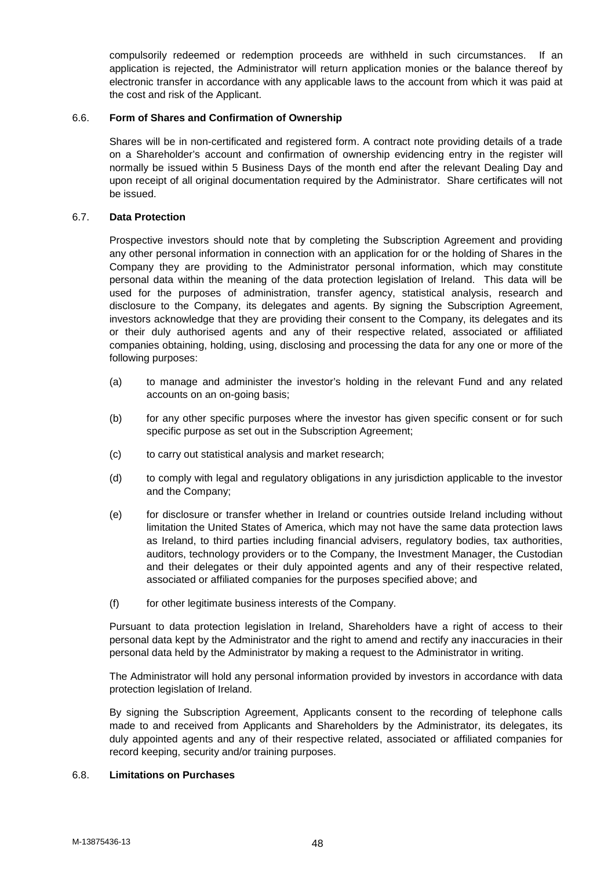compulsorily redeemed or redemption proceeds are withheld in such circumstances. If an application is rejected, the Administrator will return application monies or the balance thereof by electronic transfer in accordance with any applicable laws to the account from which it was paid at the cost and risk of the Applicant.

# 6.6. **Form of Shares and Confirmation of Ownership**

Shares will be in non-certificated and registered form. A contract note providing details of a trade on a Shareholder's account and confirmation of ownership evidencing entry in the register will normally be issued within 5 Business Days of the month end after the relevant Dealing Day and upon receipt of all original documentation required by the Administrator. Share certificates will not be issued.

### 6.7. **Data Protection**

Prospective investors should note that by completing the Subscription Agreement and providing any other personal information in connection with an application for or the holding of Shares in the Company they are providing to the Administrator personal information, which may constitute personal data within the meaning of the data protection legislation of Ireland. This data will be used for the purposes of administration, transfer agency, statistical analysis, research and disclosure to the Company, its delegates and agents. By signing the Subscription Agreement, investors acknowledge that they are providing their consent to the Company, its delegates and its or their duly authorised agents and any of their respective related, associated or affiliated companies obtaining, holding, using, disclosing and processing the data for any one or more of the following purposes:

- (a) to manage and administer the investor's holding in the relevant Fund and any related accounts on an on-going basis;
- (b) for any other specific purposes where the investor has given specific consent or for such specific purpose as set out in the Subscription Agreement;
- (c) to carry out statistical analysis and market research;
- (d) to comply with legal and regulatory obligations in any jurisdiction applicable to the investor and the Company;
- (e) for disclosure or transfer whether in Ireland or countries outside Ireland including without limitation the United States of America, which may not have the same data protection laws as Ireland, to third parties including financial advisers, regulatory bodies, tax authorities, auditors, technology providers or to the Company, the Investment Manager, the Custodian and their delegates or their duly appointed agents and any of their respective related, associated or affiliated companies for the purposes specified above; and
- (f) for other legitimate business interests of the Company.

Pursuant to data protection legislation in Ireland, Shareholders have a right of access to their personal data kept by the Administrator and the right to amend and rectify any inaccuracies in their personal data held by the Administrator by making a request to the Administrator in writing.

The Administrator will hold any personal information provided by investors in accordance with data protection legislation of Ireland.

By signing the Subscription Agreement, Applicants consent to the recording of telephone calls made to and received from Applicants and Shareholders by the Administrator, its delegates, its duly appointed agents and any of their respective related, associated or affiliated companies for record keeping, security and/or training purposes.

#### 6.8. **Limitations on Purchases**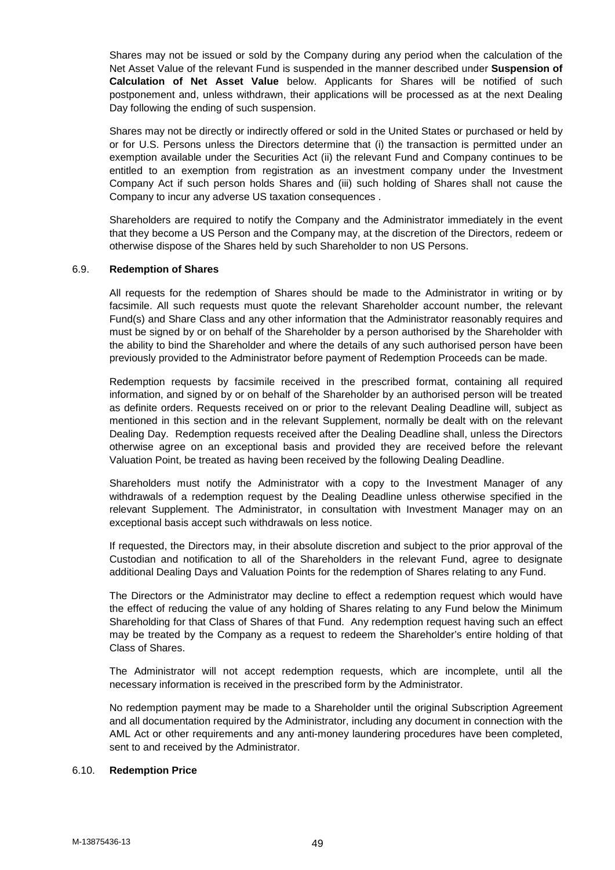Shares may not be issued or sold by the Company during any period when the calculation of the Net Asset Value of the relevant Fund is suspended in the manner described under **Suspension of Calculation of Net Asset Value** below. Applicants for Shares will be notified of such postponement and, unless withdrawn, their applications will be processed as at the next Dealing Day following the ending of such suspension.

Shares may not be directly or indirectly offered or sold in the United States or purchased or held by or for U.S. Persons unless the Directors determine that (i) the transaction is permitted under an exemption available under the Securities Act (ii) the relevant Fund and Company continues to be entitled to an exemption from registration as an investment company under the Investment Company Act if such person holds Shares and (iii) such holding of Shares shall not cause the Company to incur any adverse US taxation consequences .

Shareholders are required to notify the Company and the Administrator immediately in the event that they become a US Person and the Company may, at the discretion of the Directors, redeem or otherwise dispose of the Shares held by such Shareholder to non US Persons.

### 6.9. **Redemption of Shares**

All requests for the redemption of Shares should be made to the Administrator in writing or by facsimile. All such requests must quote the relevant Shareholder account number, the relevant Fund(s) and Share Class and any other information that the Administrator reasonably requires and must be signed by or on behalf of the Shareholder by a person authorised by the Shareholder with the ability to bind the Shareholder and where the details of any such authorised person have been previously provided to the Administrator before payment of Redemption Proceeds can be made.

Redemption requests by facsimile received in the prescribed format, containing all required information, and signed by or on behalf of the Shareholder by an authorised person will be treated as definite orders. Requests received on or prior to the relevant Dealing Deadline will, subject as mentioned in this section and in the relevant Supplement, normally be dealt with on the relevant Dealing Day. Redemption requests received after the Dealing Deadline shall, unless the Directors otherwise agree on an exceptional basis and provided they are received before the relevant Valuation Point, be treated as having been received by the following Dealing Deadline.

Shareholders must notify the Administrator with a copy to the Investment Manager of any withdrawals of a redemption request by the Dealing Deadline unless otherwise specified in the relevant Supplement. The Administrator, in consultation with Investment Manager may on an exceptional basis accept such withdrawals on less notice.

If requested, the Directors may, in their absolute discretion and subject to the prior approval of the Custodian and notification to all of the Shareholders in the relevant Fund, agree to designate additional Dealing Days and Valuation Points for the redemption of Shares relating to any Fund.

The Directors or the Administrator may decline to effect a redemption request which would have the effect of reducing the value of any holding of Shares relating to any Fund below the Minimum Shareholding for that Class of Shares of that Fund. Any redemption request having such an effect may be treated by the Company as a request to redeem the Shareholder's entire holding of that Class of Shares.

The Administrator will not accept redemption requests, which are incomplete, until all the necessary information is received in the prescribed form by the Administrator.

No redemption payment may be made to a Shareholder until the original Subscription Agreement and all documentation required by the Administrator, including any document in connection with the AML Act or other requirements and any anti-money laundering procedures have been completed, sent to and received by the Administrator.

#### 6.10. **Redemption Price**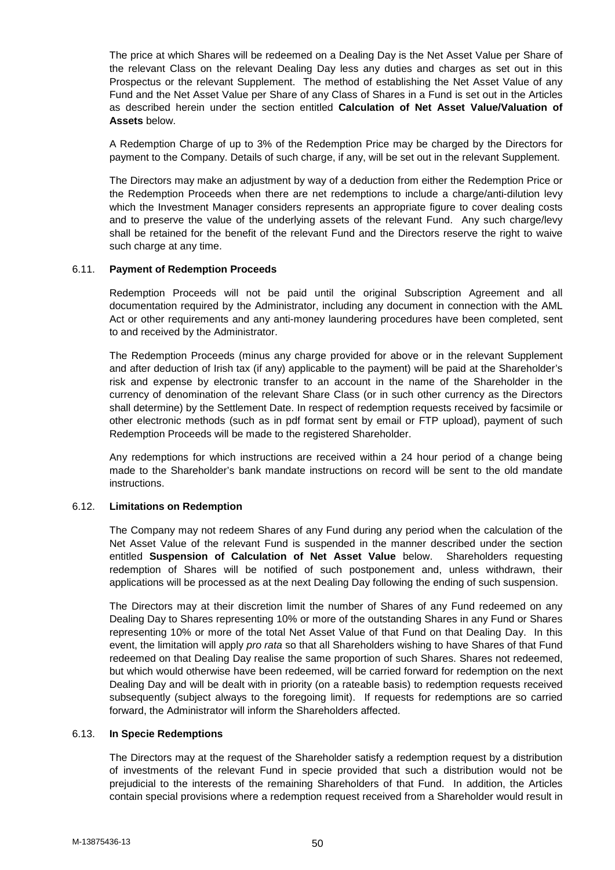The price at which Shares will be redeemed on a Dealing Day is the Net Asset Value per Share of the relevant Class on the relevant Dealing Day less any duties and charges as set out in this Prospectus or the relevant Supplement. The method of establishing the Net Asset Value of any Fund and the Net Asset Value per Share of any Class of Shares in a Fund is set out in the Articles as described herein under the section entitled **Calculation of Net Asset Value/Valuation of Assets** below.

A Redemption Charge of up to 3% of the Redemption Price may be charged by the Directors for payment to the Company. Details of such charge, if any, will be set out in the relevant Supplement.

The Directors may make an adjustment by way of a deduction from either the Redemption Price or the Redemption Proceeds when there are net redemptions to include a charge/anti-dilution levy which the Investment Manager considers represents an appropriate figure to cover dealing costs and to preserve the value of the underlying assets of the relevant Fund. Any such charge/levy shall be retained for the benefit of the relevant Fund and the Directors reserve the right to waive such charge at any time.

### 6.11. **Payment of Redemption Proceeds**

Redemption Proceeds will not be paid until the original Subscription Agreement and all documentation required by the Administrator, including any document in connection with the AML Act or other requirements and any anti-money laundering procedures have been completed, sent to and received by the Administrator.

The Redemption Proceeds (minus any charge provided for above or in the relevant Supplement and after deduction of Irish tax (if any) applicable to the payment) will be paid at the Shareholder's risk and expense by electronic transfer to an account in the name of the Shareholder in the currency of denomination of the relevant Share Class (or in such other currency as the Directors shall determine) by the Settlement Date. In respect of redemption requests received by facsimile or other electronic methods (such as in pdf format sent by email or FTP upload), payment of such Redemption Proceeds will be made to the registered Shareholder.

Any redemptions for which instructions are received within a 24 hour period of a change being made to the Shareholder's bank mandate instructions on record will be sent to the old mandate instructions.

#### 6.12. **Limitations on Redemption**

The Company may not redeem Shares of any Fund during any period when the calculation of the Net Asset Value of the relevant Fund is suspended in the manner described under the section entitled **Suspension of Calculation of Net Asset Value** below. Shareholders requesting redemption of Shares will be notified of such postponement and, unless withdrawn, their applications will be processed as at the next Dealing Day following the ending of such suspension.

The Directors may at their discretion limit the number of Shares of any Fund redeemed on any Dealing Day to Shares representing 10% or more of the outstanding Shares in any Fund or Shares representing 10% or more of the total Net Asset Value of that Fund on that Dealing Day. In this event, the limitation will apply *pro rata* so that all Shareholders wishing to have Shares of that Fund redeemed on that Dealing Day realise the same proportion of such Shares. Shares not redeemed, but which would otherwise have been redeemed, will be carried forward for redemption on the next Dealing Day and will be dealt with in priority (on a rateable basis) to redemption requests received subsequently (subject always to the foregoing limit). If requests for redemptions are so carried forward, the Administrator will inform the Shareholders affected.

#### 6.13. **In Specie Redemptions**

The Directors may at the request of the Shareholder satisfy a redemption request by a distribution of investments of the relevant Fund in specie provided that such a distribution would not be prejudicial to the interests of the remaining Shareholders of that Fund. In addition, the Articles contain special provisions where a redemption request received from a Shareholder would result in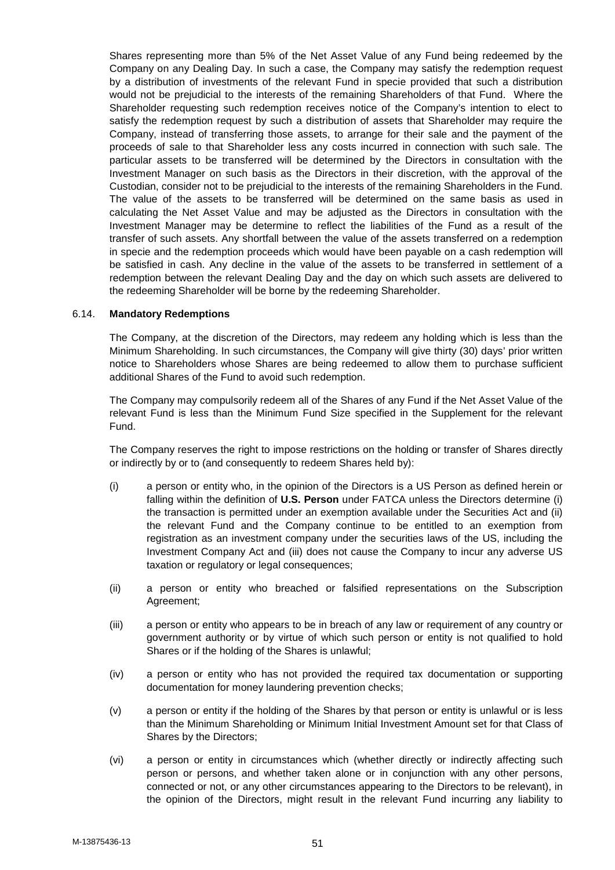Shares representing more than 5% of the Net Asset Value of any Fund being redeemed by the Company on any Dealing Day. In such a case, the Company may satisfy the redemption request by a distribution of investments of the relevant Fund in specie provided that such a distribution would not be prejudicial to the interests of the remaining Shareholders of that Fund. Where the Shareholder requesting such redemption receives notice of the Company's intention to elect to satisfy the redemption request by such a distribution of assets that Shareholder may require the Company, instead of transferring those assets, to arrange for their sale and the payment of the proceeds of sale to that Shareholder less any costs incurred in connection with such sale. The particular assets to be transferred will be determined by the Directors in consultation with the Investment Manager on such basis as the Directors in their discretion, with the approval of the Custodian, consider not to be prejudicial to the interests of the remaining Shareholders in the Fund. The value of the assets to be transferred will be determined on the same basis as used in calculating the Net Asset Value and may be adjusted as the Directors in consultation with the Investment Manager may be determine to reflect the liabilities of the Fund as a result of the transfer of such assets. Any shortfall between the value of the assets transferred on a redemption in specie and the redemption proceeds which would have been payable on a cash redemption will be satisfied in cash. Any decline in the value of the assets to be transferred in settlement of a redemption between the relevant Dealing Day and the day on which such assets are delivered to the redeeming Shareholder will be borne by the redeeming Shareholder.

### 6.14. **Mandatory Redemptions**

The Company, at the discretion of the Directors, may redeem any holding which is less than the Minimum Shareholding. In such circumstances, the Company will give thirty (30) days' prior written notice to Shareholders whose Shares are being redeemed to allow them to purchase sufficient additional Shares of the Fund to avoid such redemption.

The Company may compulsorily redeem all of the Shares of any Fund if the Net Asset Value of the relevant Fund is less than the Minimum Fund Size specified in the Supplement for the relevant Fund.

The Company reserves the right to impose restrictions on the holding or transfer of Shares directly or indirectly by or to (and consequently to redeem Shares held by):

- (i) a person or entity who, in the opinion of the Directors is a US Person as defined herein or falling within the definition of **U.S. Person** under FATCA unless the Directors determine (i) the transaction is permitted under an exemption available under the Securities Act and (ii) the relevant Fund and the Company continue to be entitled to an exemption from registration as an investment company under the securities laws of the US, including the Investment Company Act and (iii) does not cause the Company to incur any adverse US taxation or regulatory or legal consequences;
- (ii) a person or entity who breached or falsified representations on the Subscription Agreement;
- (iii) a person or entity who appears to be in breach of any law or requirement of any country or government authority or by virtue of which such person or entity is not qualified to hold Shares or if the holding of the Shares is unlawful;
- (iv) a person or entity who has not provided the required tax documentation or supporting documentation for money laundering prevention checks;
- (v) a person or entity if the holding of the Shares by that person or entity is unlawful or is less than the Minimum Shareholding or Minimum Initial Investment Amount set for that Class of Shares by the Directors;
- (vi) a person or entity in circumstances which (whether directly or indirectly affecting such person or persons, and whether taken alone or in conjunction with any other persons, connected or not, or any other circumstances appearing to the Directors to be relevant), in the opinion of the Directors, might result in the relevant Fund incurring any liability to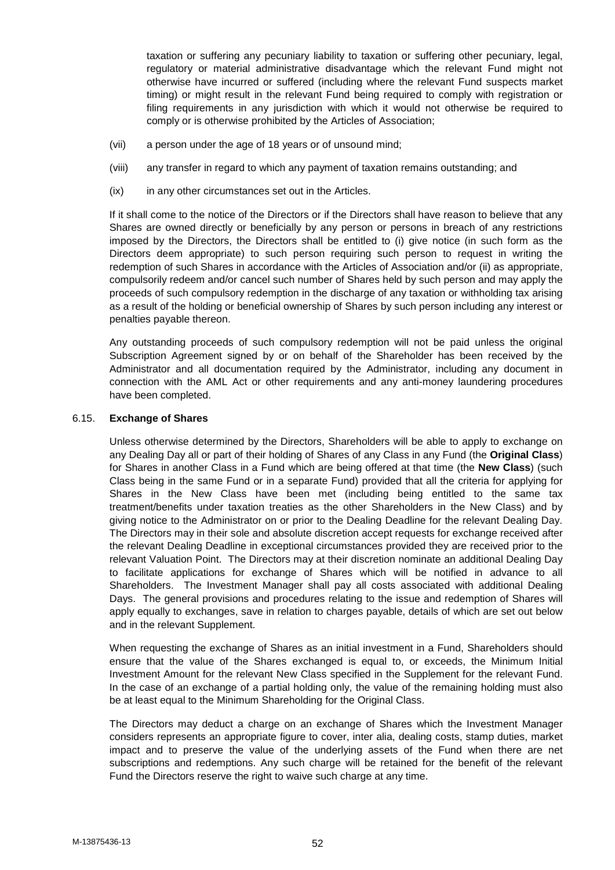taxation or suffering any pecuniary liability to taxation or suffering other pecuniary, legal, regulatory or material administrative disadvantage which the relevant Fund might not otherwise have incurred or suffered (including where the relevant Fund suspects market timing) or might result in the relevant Fund being required to comply with registration or filing requirements in any jurisdiction with which it would not otherwise be required to comply or is otherwise prohibited by the Articles of Association;

- (vii) a person under the age of 18 years or of unsound mind;
- (viii) any transfer in regard to which any payment of taxation remains outstanding; and
- (ix) in any other circumstances set out in the Articles.

If it shall come to the notice of the Directors or if the Directors shall have reason to believe that any Shares are owned directly or beneficially by any person or persons in breach of any restrictions imposed by the Directors, the Directors shall be entitled to (i) give notice (in such form as the Directors deem appropriate) to such person requiring such person to request in writing the redemption of such Shares in accordance with the Articles of Association and/or (ii) as appropriate, compulsorily redeem and/or cancel such number of Shares held by such person and may apply the proceeds of such compulsory redemption in the discharge of any taxation or withholding tax arising as a result of the holding or beneficial ownership of Shares by such person including any interest or penalties payable thereon.

Any outstanding proceeds of such compulsory redemption will not be paid unless the original Subscription Agreement signed by or on behalf of the Shareholder has been received by the Administrator and all documentation required by the Administrator, including any document in connection with the AML Act or other requirements and any anti-money laundering procedures have been completed.

### 6.15. **Exchange of Shares**

Unless otherwise determined by the Directors, Shareholders will be able to apply to exchange on any Dealing Day all or part of their holding of Shares of any Class in any Fund (the **Original Class**) for Shares in another Class in a Fund which are being offered at that time (the **New Class**) (such Class being in the same Fund or in a separate Fund) provided that all the criteria for applying for Shares in the New Class have been met (including being entitled to the same tax treatment/benefits under taxation treaties as the other Shareholders in the New Class) and by giving notice to the Administrator on or prior to the Dealing Deadline for the relevant Dealing Day. The Directors may in their sole and absolute discretion accept requests for exchange received after the relevant Dealing Deadline in exceptional circumstances provided they are received prior to the relevant Valuation Point. The Directors may at their discretion nominate an additional Dealing Day to facilitate applications for exchange of Shares which will be notified in advance to all Shareholders. The Investment Manager shall pay all costs associated with additional Dealing Days. The general provisions and procedures relating to the issue and redemption of Shares will apply equally to exchanges, save in relation to charges payable, details of which are set out below and in the relevant Supplement.

When requesting the exchange of Shares as an initial investment in a Fund, Shareholders should ensure that the value of the Shares exchanged is equal to, or exceeds, the Minimum Initial Investment Amount for the relevant New Class specified in the Supplement for the relevant Fund. In the case of an exchange of a partial holding only, the value of the remaining holding must also be at least equal to the Minimum Shareholding for the Original Class.

The Directors may deduct a charge on an exchange of Shares which the Investment Manager considers represents an appropriate figure to cover, inter alia, dealing costs, stamp duties, market impact and to preserve the value of the underlying assets of the Fund when there are net subscriptions and redemptions. Any such charge will be retained for the benefit of the relevant Fund the Directors reserve the right to waive such charge at any time.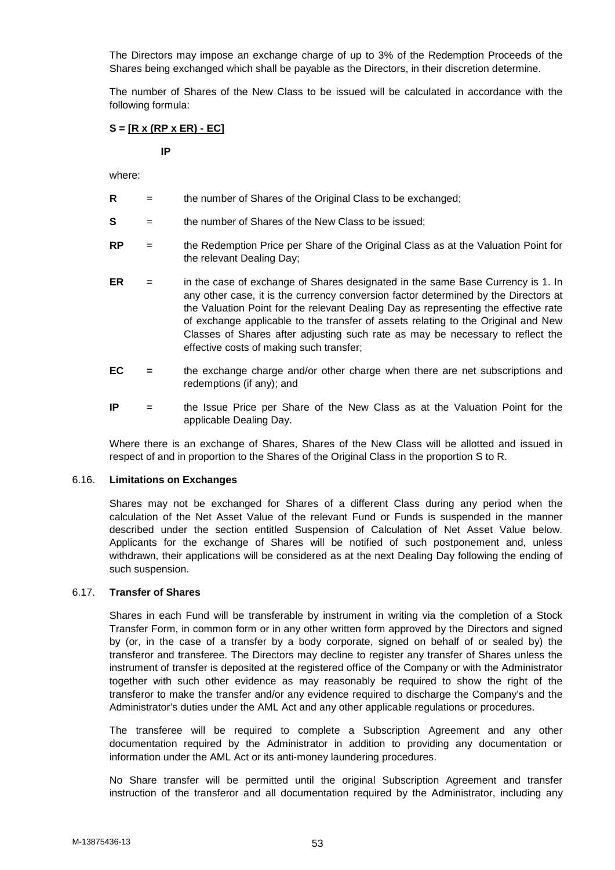The Directors may impose an exchange charge of up to 3% of the Redemption Proceeds of the Shares being exchanged which shall be payable as the Directors, in their discretion determine.

The number of Shares of the New Class to be issued will be calculated in accordance with the following formula:

# **S = [R x (RP x ER) - EC]**

**IP**

where:

- **R** = the number of Shares of the Original Class to be exchanged;
- **S** = the number of Shares of the New Class to be issued;
- **RP** = the Redemption Price per Share of the Original Class as at the Valuation Point for the relevant Dealing Day;
- **ER** = in the case of exchange of Shares designated in the same Base Currency is 1. In any other case, it is the currency conversion factor determined by the Directors at the Valuation Point for the relevant Dealing Day as representing the effective rate of exchange applicable to the transfer of assets relating to the Original and New Classes of Shares after adjusting such rate as may be necessary to reflect the effective costs of making such transfer;
- **EC =** the exchange charge and/or other charge when there are net subscriptions and redemptions (if any); and
- **IP** = the Issue Price per Share of the New Class as at the Valuation Point for the applicable Dealing Day.

Where there is an exchange of Shares, Shares of the New Class will be allotted and issued in respect of and in proportion to the Shares of the Original Class in the proportion S to R.

#### 6.16. **Limitations on Exchanges**

Shares may not be exchanged for Shares of a different Class during any period when the calculation of the Net Asset Value of the relevant Fund or Funds is suspended in the manner described under the section entitled Suspension of Calculation of Net Asset Value below. Applicants for the exchange of Shares will be notified of such postponement and, unless withdrawn, their applications will be considered as at the next Dealing Day following the ending of such suspension.

#### 6.17. **Transfer of Shares**

Shares in each Fund will be transferable by instrument in writing via the completion of a Stock Transfer Form, in common form or in any other written form approved by the Directors and signed by (or, in the case of a transfer by a body corporate, signed on behalf of or sealed by) the transferor and transferee. The Directors may decline to register any transfer of Shares unless the instrument of transfer is deposited at the registered office of the Company or with the Administrator together with such other evidence as may reasonably be required to show the right of the transferor to make the transfer and/or any evidence required to discharge the Company's and the Administrator's duties under the AML Act and any other applicable regulations or procedures.

The transferee will be required to complete a Subscription Agreement and any other documentation required by the Administrator in addition to providing any documentation or information under the AML Act or its anti-money laundering procedures.

No Share transfer will be permitted until the original Subscription Agreement and transfer instruction of the transferor and all documentation required by the Administrator, including any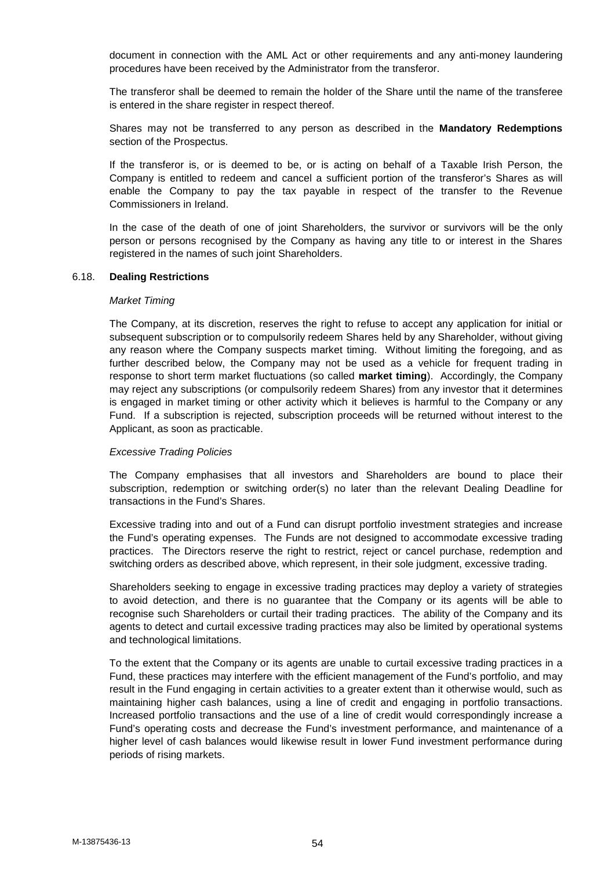document in connection with the AML Act or other requirements and any anti-money laundering procedures have been received by the Administrator from the transferor.

The transferor shall be deemed to remain the holder of the Share until the name of the transferee is entered in the share register in respect thereof.

Shares may not be transferred to any person as described in the **Mandatory Redemptions** section of the Prospectus.

If the transferor is, or is deemed to be, or is acting on behalf of a Taxable Irish Person, the Company is entitled to redeem and cancel a sufficient portion of the transferor's Shares as will enable the Company to pay the tax payable in respect of the transfer to the Revenue Commissioners in Ireland.

In the case of the death of one of joint Shareholders, the survivor or survivors will be the only person or persons recognised by the Company as having any title to or interest in the Shares registered in the names of such joint Shareholders.

# 6.18. **Dealing Restrictions**

#### *Market Timing*

The Company, at its discretion, reserves the right to refuse to accept any application for initial or subsequent subscription or to compulsorily redeem Shares held by any Shareholder, without giving any reason where the Company suspects market timing. Without limiting the foregoing, and as further described below, the Company may not be used as a vehicle for frequent trading in response to short term market fluctuations (so called **market timing**). Accordingly, the Company may reject any subscriptions (or compulsorily redeem Shares) from any investor that it determines is engaged in market timing or other activity which it believes is harmful to the Company or any Fund. If a subscription is rejected, subscription proceeds will be returned without interest to the Applicant, as soon as practicable.

# *Excessive Trading Policies*

The Company emphasises that all investors and Shareholders are bound to place their subscription, redemption or switching order(s) no later than the relevant Dealing Deadline for transactions in the Fund's Shares.

Excessive trading into and out of a Fund can disrupt portfolio investment strategies and increase the Fund's operating expenses. The Funds are not designed to accommodate excessive trading practices. The Directors reserve the right to restrict, reject or cancel purchase, redemption and switching orders as described above, which represent, in their sole judgment, excessive trading.

Shareholders seeking to engage in excessive trading practices may deploy a variety of strategies to avoid detection, and there is no guarantee that the Company or its agents will be able to recognise such Shareholders or curtail their trading practices. The ability of the Company and its agents to detect and curtail excessive trading practices may also be limited by operational systems and technological limitations.

To the extent that the Company or its agents are unable to curtail excessive trading practices in a Fund, these practices may interfere with the efficient management of the Fund's portfolio, and may result in the Fund engaging in certain activities to a greater extent than it otherwise would, such as maintaining higher cash balances, using a line of credit and engaging in portfolio transactions. Increased portfolio transactions and the use of a line of credit would correspondingly increase a Fund's operating costs and decrease the Fund's investment performance, and maintenance of a higher level of cash balances would likewise result in lower Fund investment performance during periods of rising markets.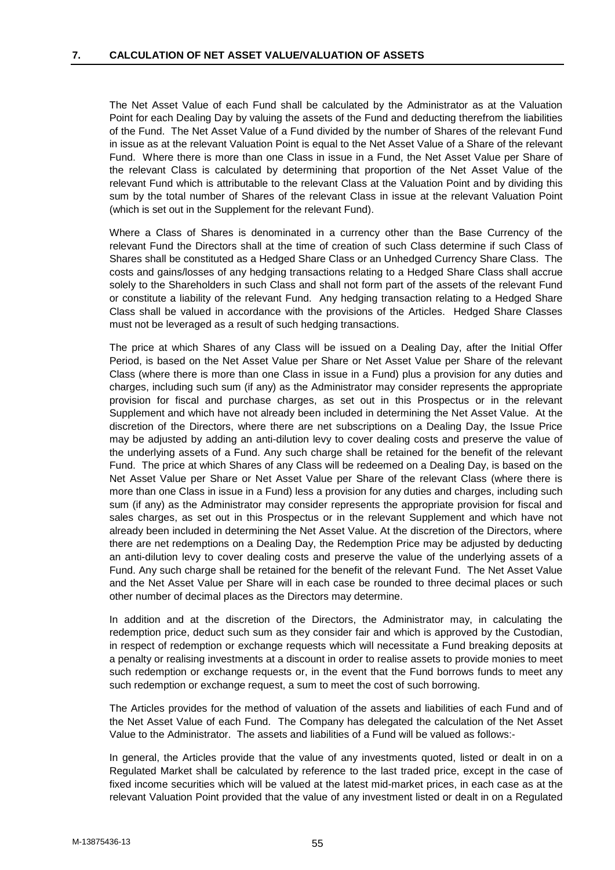The Net Asset Value of each Fund shall be calculated by the Administrator as at the Valuation Point for each Dealing Day by valuing the assets of the Fund and deducting therefrom the liabilities of the Fund. The Net Asset Value of a Fund divided by the number of Shares of the relevant Fund in issue as at the relevant Valuation Point is equal to the Net Asset Value of a Share of the relevant Fund. Where there is more than one Class in issue in a Fund, the Net Asset Value per Share of the relevant Class is calculated by determining that proportion of the Net Asset Value of the relevant Fund which is attributable to the relevant Class at the Valuation Point and by dividing this sum by the total number of Shares of the relevant Class in issue at the relevant Valuation Point (which is set out in the Supplement for the relevant Fund).

Where a Class of Shares is denominated in a currency other than the Base Currency of the relevant Fund the Directors shall at the time of creation of such Class determine if such Class of Shares shall be constituted as a Hedged Share Class or an Unhedged Currency Share Class. The costs and gains/losses of any hedging transactions relating to a Hedged Share Class shall accrue solely to the Shareholders in such Class and shall not form part of the assets of the relevant Fund or constitute a liability of the relevant Fund. Any hedging transaction relating to a Hedged Share Class shall be valued in accordance with the provisions of the Articles. Hedged Share Classes must not be leveraged as a result of such hedging transactions.

The price at which Shares of any Class will be issued on a Dealing Day, after the Initial Offer Period, is based on the Net Asset Value per Share or Net Asset Value per Share of the relevant Class (where there is more than one Class in issue in a Fund) plus a provision for any duties and charges, including such sum (if any) as the Administrator may consider represents the appropriate provision for fiscal and purchase charges, as set out in this Prospectus or in the relevant Supplement and which have not already been included in determining the Net Asset Value. At the discretion of the Directors, where there are net subscriptions on a Dealing Day, the Issue Price may be adjusted by adding an anti-dilution levy to cover dealing costs and preserve the value of the underlying assets of a Fund. Any such charge shall be retained for the benefit of the relevant Fund. The price at which Shares of any Class will be redeemed on a Dealing Day, is based on the Net Asset Value per Share or Net Asset Value per Share of the relevant Class (where there is more than one Class in issue in a Fund) less a provision for any duties and charges, including such sum (if any) as the Administrator may consider represents the appropriate provision for fiscal and sales charges, as set out in this Prospectus or in the relevant Supplement and which have not already been included in determining the Net Asset Value. At the discretion of the Directors, where there are net redemptions on a Dealing Day, the Redemption Price may be adjusted by deducting an anti-dilution levy to cover dealing costs and preserve the value of the underlying assets of a Fund. Any such charge shall be retained for the benefit of the relevant Fund. The Net Asset Value and the Net Asset Value per Share will in each case be rounded to three decimal places or such other number of decimal places as the Directors may determine.

In addition and at the discretion of the Directors, the Administrator may, in calculating the redemption price, deduct such sum as they consider fair and which is approved by the Custodian, in respect of redemption or exchange requests which will necessitate a Fund breaking deposits at a penalty or realising investments at a discount in order to realise assets to provide monies to meet such redemption or exchange requests or, in the event that the Fund borrows funds to meet any such redemption or exchange request, a sum to meet the cost of such borrowing.

The Articles provides for the method of valuation of the assets and liabilities of each Fund and of the Net Asset Value of each Fund. The Company has delegated the calculation of the Net Asset Value to the Administrator. The assets and liabilities of a Fund will be valued as follows:-

In general, the Articles provide that the value of any investments quoted, listed or dealt in on a Regulated Market shall be calculated by reference to the last traded price, except in the case of fixed income securities which will be valued at the latest mid-market prices, in each case as at the relevant Valuation Point provided that the value of any investment listed or dealt in on a Regulated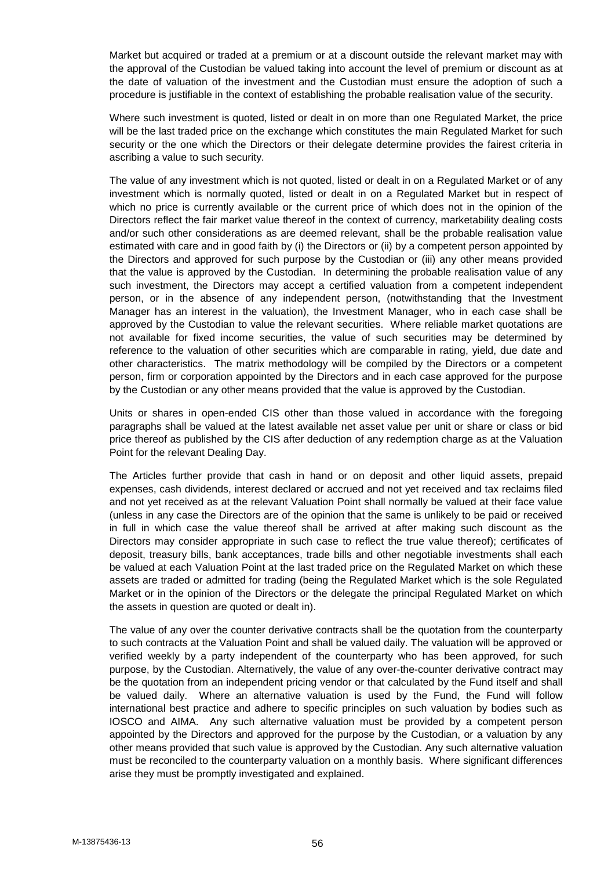Market but acquired or traded at a premium or at a discount outside the relevant market may with the approval of the Custodian be valued taking into account the level of premium or discount as at the date of valuation of the investment and the Custodian must ensure the adoption of such a procedure is justifiable in the context of establishing the probable realisation value of the security.

Where such investment is quoted, listed or dealt in on more than one Regulated Market, the price will be the last traded price on the exchange which constitutes the main Regulated Market for such security or the one which the Directors or their delegate determine provides the fairest criteria in ascribing a value to such security.

The value of any investment which is not quoted, listed or dealt in on a Regulated Market or of any investment which is normally quoted, listed or dealt in on a Regulated Market but in respect of which no price is currently available or the current price of which does not in the opinion of the Directors reflect the fair market value thereof in the context of currency, marketability dealing costs and/or such other considerations as are deemed relevant, shall be the probable realisation value estimated with care and in good faith by (i) the Directors or (ii) by a competent person appointed by the Directors and approved for such purpose by the Custodian or (iii) any other means provided that the value is approved by the Custodian. In determining the probable realisation value of any such investment, the Directors may accept a certified valuation from a competent independent person, or in the absence of any independent person, (notwithstanding that the Investment Manager has an interest in the valuation), the Investment Manager, who in each case shall be approved by the Custodian to value the relevant securities. Where reliable market quotations are not available for fixed income securities, the value of such securities may be determined by reference to the valuation of other securities which are comparable in rating, yield, due date and other characteristics. The matrix methodology will be compiled by the Directors or a competent person, firm or corporation appointed by the Directors and in each case approved for the purpose by the Custodian or any other means provided that the value is approved by the Custodian.

Units or shares in open-ended CIS other than those valued in accordance with the foregoing paragraphs shall be valued at the latest available net asset value per unit or share or class or bid price thereof as published by the CIS after deduction of any redemption charge as at the Valuation Point for the relevant Dealing Day.

The Articles further provide that cash in hand or on deposit and other liquid assets, prepaid expenses, cash dividends, interest declared or accrued and not yet received and tax reclaims filed and not yet received as at the relevant Valuation Point shall normally be valued at their face value (unless in any case the Directors are of the opinion that the same is unlikely to be paid or received in full in which case the value thereof shall be arrived at after making such discount as the Directors may consider appropriate in such case to reflect the true value thereof); certificates of deposit, treasury bills, bank acceptances, trade bills and other negotiable investments shall each be valued at each Valuation Point at the last traded price on the Regulated Market on which these assets are traded or admitted for trading (being the Regulated Market which is the sole Regulated Market or in the opinion of the Directors or the delegate the principal Regulated Market on which the assets in question are quoted or dealt in).

The value of any over the counter derivative contracts shall be the quotation from the counterparty to such contracts at the Valuation Point and shall be valued daily. The valuation will be approved or verified weekly by a party independent of the counterparty who has been approved, for such purpose, by the Custodian. Alternatively, the value of any over-the-counter derivative contract may be the quotation from an independent pricing vendor or that calculated by the Fund itself and shall be valued daily. Where an alternative valuation is used by the Fund, the Fund will follow international best practice and adhere to specific principles on such valuation by bodies such as IOSCO and AIMA. Any such alternative valuation must be provided by a competent person appointed by the Directors and approved for the purpose by the Custodian, or a valuation by any other means provided that such value is approved by the Custodian. Any such alternative valuation must be reconciled to the counterparty valuation on a monthly basis. Where significant differences arise they must be promptly investigated and explained.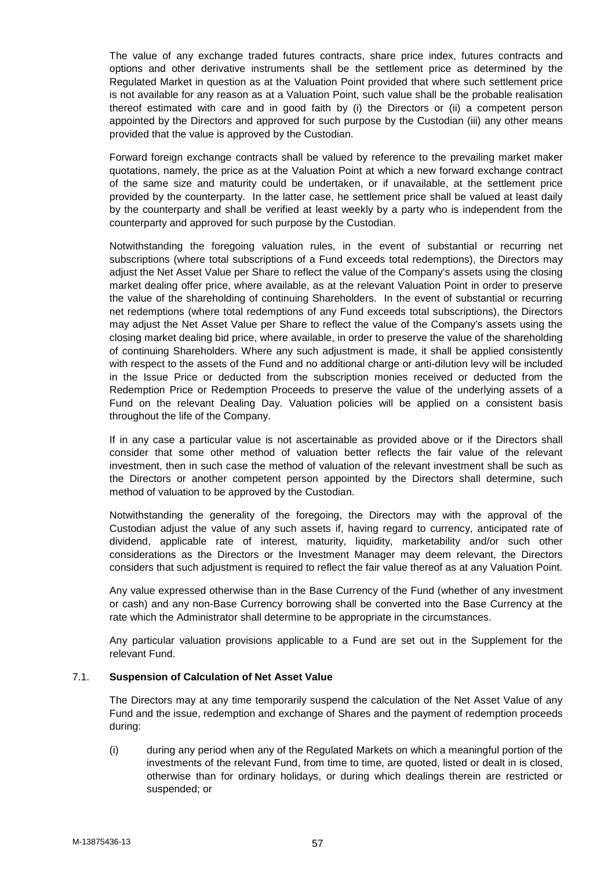The value of any exchange traded futures contracts, share price index, futures contracts and options and other derivative instruments shall be the settlement price as determined by the Regulated Market in question as at the Valuation Point provided that where such settlement price is not available for any reason as at a Valuation Point, such value shall be the probable realisation thereof estimated with care and in good faith by (i) the Directors or (ii) a competent person appointed by the Directors and approved for such purpose by the Custodian (iii) any other means provided that the value is approved by the Custodian.

Forward foreign exchange contracts shall be valued by reference to the prevailing market maker quotations, namely, the price as at the Valuation Point at which a new forward exchange contract of the same size and maturity could be undertaken, or if unavailable, at the settlement price provided by the counterparty. In the latter case, he settlement price shall be valued at least daily by the counterparty and shall be verified at least weekly by a party who is independent from the counterparty and approved for such purpose by the Custodian.

Notwithstanding the foregoing valuation rules, in the event of substantial or recurring net subscriptions (where total subscriptions of a Fund exceeds total redemptions), the Directors may adjust the Net Asset Value per Share to reflect the value of the Company's assets using the closing market dealing offer price, where available, as at the relevant Valuation Point in order to preserve the value of the shareholding of continuing Shareholders. In the event of substantial or recurring net redemptions (where total redemptions of any Fund exceeds total subscriptions), the Directors may adjust the Net Asset Value per Share to reflect the value of the Company's assets using the closing market dealing bid price, where available, in order to preserve the value of the shareholding of continuing Shareholders. Where any such adjustment is made, it shall be applied consistently with respect to the assets of the Fund and no additional charge or anti-dilution levy will be included in the Issue Price or deducted from the subscription monies received or deducted from the Redemption Price or Redemption Proceeds to preserve the value of the underlying assets of a Fund on the relevant Dealing Day. Valuation policies will be applied on a consistent basis throughout the life of the Company.

If in any case a particular value is not ascertainable as provided above or if the Directors shall consider that some other method of valuation better reflects the fair value of the relevant investment, then in such case the method of valuation of the relevant investment shall be such as the Directors or another competent person appointed by the Directors shall determine, such method of valuation to be approved by the Custodian.

Notwithstanding the generality of the foregoing, the Directors may with the approval of the Custodian adjust the value of any such assets if, having regard to currency, anticipated rate of dividend, applicable rate of interest, maturity, liquidity, marketability and/or such other considerations as the Directors or the Investment Manager may deem relevant, the Directors considers that such adjustment is required to reflect the fair value thereof as at any Valuation Point.

Any value expressed otherwise than in the Base Currency of the Fund (whether of any investment or cash) and any non-Base Currency borrowing shall be converted into the Base Currency at the rate which the Administrator shall determine to be appropriate in the circumstances.

Any particular valuation provisions applicable to a Fund are set out in the Supplement for the relevant Fund.

# 7.1. **Suspension of Calculation of Net Asset Value**

The Directors may at any time temporarily suspend the calculation of the Net Asset Value of any Fund and the issue, redemption and exchange of Shares and the payment of redemption proceeds during:

(i) during any period when any of the Regulated Markets on which a meaningful portion of the investments of the relevant Fund, from time to time, are quoted, listed or dealt in is closed, otherwise than for ordinary holidays, or during which dealings therein are restricted or suspended; or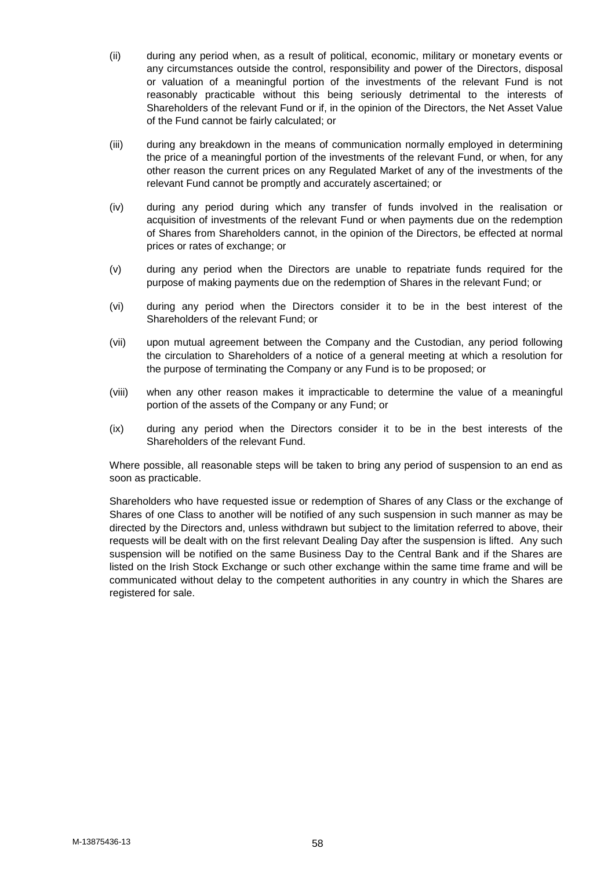- (ii) during any period when, as a result of political, economic, military or monetary events or any circumstances outside the control, responsibility and power of the Directors, disposal or valuation of a meaningful portion of the investments of the relevant Fund is not reasonably practicable without this being seriously detrimental to the interests of Shareholders of the relevant Fund or if, in the opinion of the Directors, the Net Asset Value of the Fund cannot be fairly calculated; or
- (iii) during any breakdown in the means of communication normally employed in determining the price of a meaningful portion of the investments of the relevant Fund, or when, for any other reason the current prices on any Regulated Market of any of the investments of the relevant Fund cannot be promptly and accurately ascertained; or
- (iv) during any period during which any transfer of funds involved in the realisation or acquisition of investments of the relevant Fund or when payments due on the redemption of Shares from Shareholders cannot, in the opinion of the Directors, be effected at normal prices or rates of exchange; or
- (v) during any period when the Directors are unable to repatriate funds required for the purpose of making payments due on the redemption of Shares in the relevant Fund; or
- (vi) during any period when the Directors consider it to be in the best interest of the Shareholders of the relevant Fund; or
- (vii) upon mutual agreement between the Company and the Custodian, any period following the circulation to Shareholders of a notice of a general meeting at which a resolution for the purpose of terminating the Company or any Fund is to be proposed; or
- (viii) when any other reason makes it impracticable to determine the value of a meaningful portion of the assets of the Company or any Fund; or
- (ix) during any period when the Directors consider it to be in the best interests of the Shareholders of the relevant Fund.

Where possible, all reasonable steps will be taken to bring any period of suspension to an end as soon as practicable.

Shareholders who have requested issue or redemption of Shares of any Class or the exchange of Shares of one Class to another will be notified of any such suspension in such manner as may be directed by the Directors and, unless withdrawn but subject to the limitation referred to above, their requests will be dealt with on the first relevant Dealing Day after the suspension is lifted. Any such suspension will be notified on the same Business Day to the Central Bank and if the Shares are listed on the Irish Stock Exchange or such other exchange within the same time frame and will be communicated without delay to the competent authorities in any country in which the Shares are registered for sale.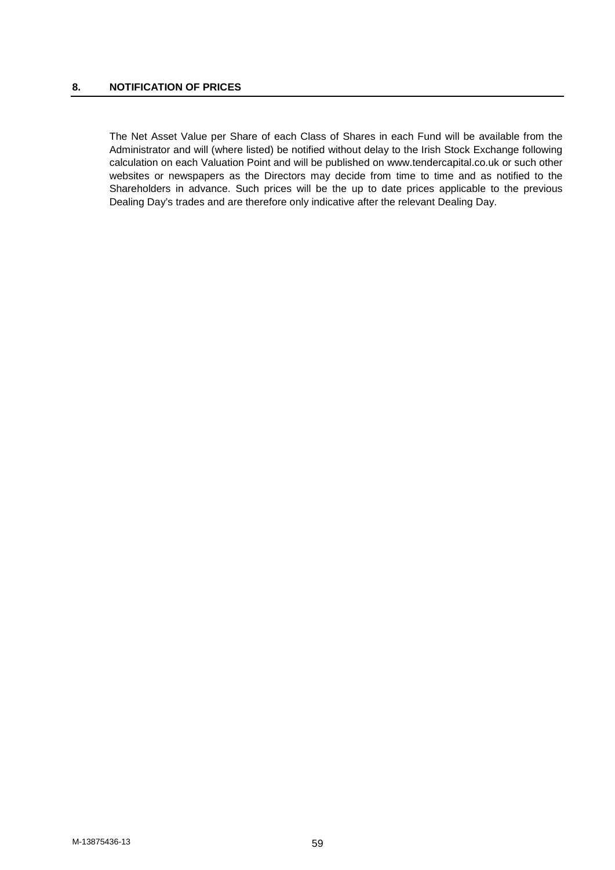## **8. NOTIFICATION OF PRICES**

The Net Asset Value per Share of each Class of Shares in each Fund will be available from the Administrator and will (where listed) be notified without delay to the Irish Stock Exchange following calculation on each Valuation Point and will be published on www.tendercapital.co.uk or such other websites or newspapers as the Directors may decide from time to time and as notified to the Shareholders in advance. Such prices will be the up to date prices applicable to the previous Dealing Day's trades and are therefore only indicative after the relevant Dealing Day.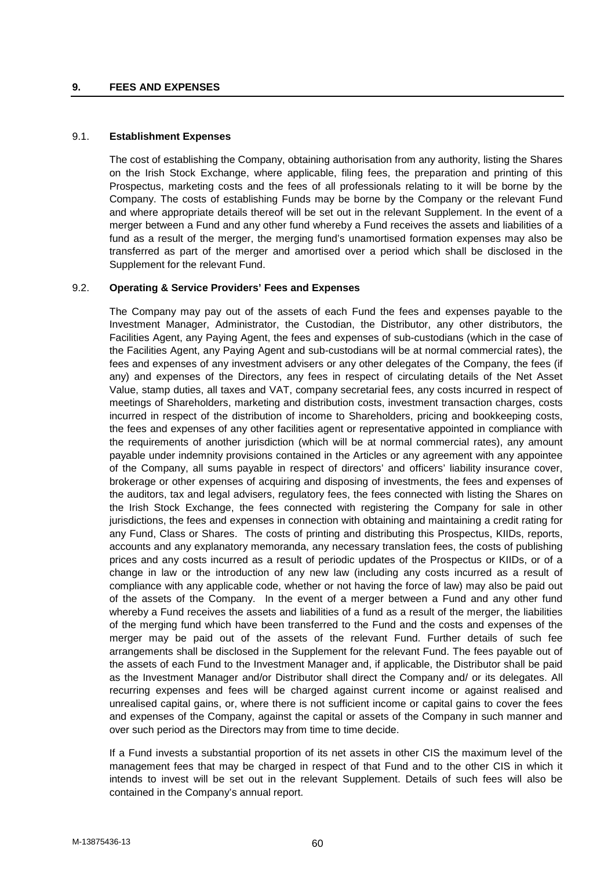### **9. FEES AND EXPENSES**

# 9.1. **Establishment Expenses**

The cost of establishing the Company, obtaining authorisation from any authority, listing the Shares on the Irish Stock Exchange, where applicable, filing fees, the preparation and printing of this Prospectus, marketing costs and the fees of all professionals relating to it will be borne by the Company. The costs of establishing Funds may be borne by the Company or the relevant Fund and where appropriate details thereof will be set out in the relevant Supplement. In the event of a merger between a Fund and any other fund whereby a Fund receives the assets and liabilities of a fund as a result of the merger, the merging fund's unamortised formation expenses may also be transferred as part of the merger and amortised over a period which shall be disclosed in the Supplement for the relevant Fund.

# 9.2. **Operating & Service Providers' Fees and Expenses**

The Company may pay out of the assets of each Fund the fees and expenses payable to the Investment Manager, Administrator, the Custodian, the Distributor, any other distributors, the Facilities Agent, any Paying Agent, the fees and expenses of sub-custodians (which in the case of the Facilities Agent, any Paying Agent and sub-custodians will be at normal commercial rates), the fees and expenses of any investment advisers or any other delegates of the Company, the fees (if any) and expenses of the Directors, any fees in respect of circulating details of the Net Asset Value, stamp duties, all taxes and VAT, company secretarial fees, any costs incurred in respect of meetings of Shareholders, marketing and distribution costs, investment transaction charges, costs incurred in respect of the distribution of income to Shareholders, pricing and bookkeeping costs, the fees and expenses of any other facilities agent or representative appointed in compliance with the requirements of another jurisdiction (which will be at normal commercial rates), any amount payable under indemnity provisions contained in the Articles or any agreement with any appointee of the Company, all sums payable in respect of directors' and officers' liability insurance cover, brokerage or other expenses of acquiring and disposing of investments, the fees and expenses of the auditors, tax and legal advisers, regulatory fees, the fees connected with listing the Shares on the Irish Stock Exchange, the fees connected with registering the Company for sale in other jurisdictions, the fees and expenses in connection with obtaining and maintaining a credit rating for any Fund, Class or Shares. The costs of printing and distributing this Prospectus, KIIDs, reports, accounts and any explanatory memoranda, any necessary translation fees, the costs of publishing prices and any costs incurred as a result of periodic updates of the Prospectus or KIIDs, or of a change in law or the introduction of any new law (including any costs incurred as a result of compliance with any applicable code, whether or not having the force of law) may also be paid out of the assets of the Company. In the event of a merger between a Fund and any other fund whereby a Fund receives the assets and liabilities of a fund as a result of the merger, the liabilities of the merging fund which have been transferred to the Fund and the costs and expenses of the merger may be paid out of the assets of the relevant Fund. Further details of such fee arrangements shall be disclosed in the Supplement for the relevant Fund. The fees payable out of the assets of each Fund to the Investment Manager and, if applicable, the Distributor shall be paid as the Investment Manager and/or Distributor shall direct the Company and/ or its delegates. All recurring expenses and fees will be charged against current income or against realised and unrealised capital gains, or, where there is not sufficient income or capital gains to cover the fees and expenses of the Company, against the capital or assets of the Company in such manner and over such period as the Directors may from time to time decide.

If a Fund invests a substantial proportion of its net assets in other CIS the maximum level of the management fees that may be charged in respect of that Fund and to the other CIS in which it intends to invest will be set out in the relevant Supplement. Details of such fees will also be contained in the Company's annual report.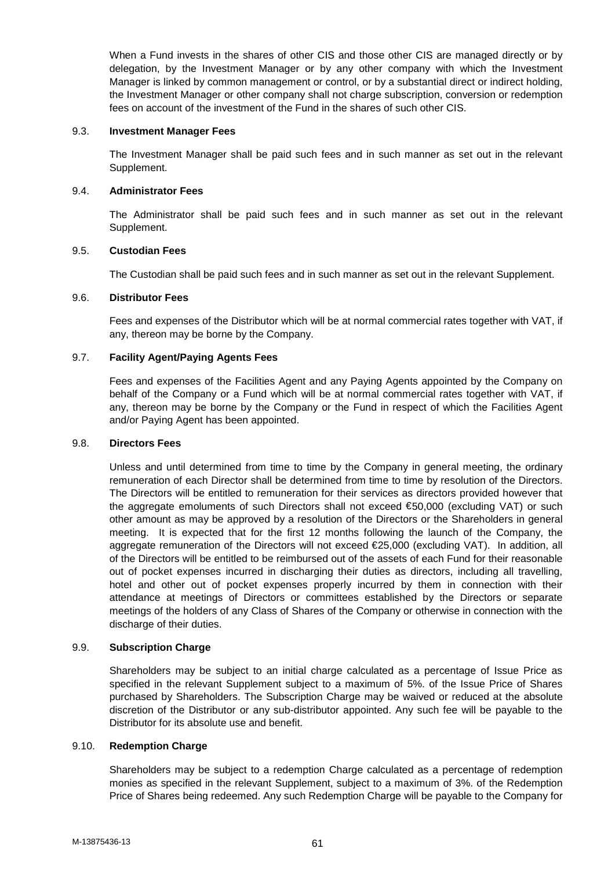When a Fund invests in the shares of other CIS and those other CIS are managed directly or by delegation, by the Investment Manager or by any other company with which the Investment Manager is linked by common management or control, or by a substantial direct or indirect holding, the Investment Manager or other company shall not charge subscription, conversion or redemption fees on account of the investment of the Fund in the shares of such other CIS.

# 9.3. **Investment Manager Fees**

The Investment Manager shall be paid such fees and in such manner as set out in the relevant Supplement.

# 9.4. **Administrator Fees**

The Administrator shall be paid such fees and in such manner as set out in the relevant Supplement.

### 9.5. **Custodian Fees**

The Custodian shall be paid such fees and in such manner as set out in the relevant Supplement.

### 9.6. **Distributor Fees**

Fees and expenses of the Distributor which will be at normal commercial rates together with VAT, if any, thereon may be borne by the Company.

# 9.7. **Facility Agent/Paying Agents Fees**

Fees and expenses of the Facilities Agent and any Paying Agents appointed by the Company on behalf of the Company or a Fund which will be at normal commercial rates together with VAT, if any, thereon may be borne by the Company or the Fund in respect of which the Facilities Agent and/or Paying Agent has been appointed.

#### 9.8. **Directors Fees**

Unless and until determined from time to time by the Company in general meeting, the ordinary remuneration of each Director shall be determined from time to time by resolution of the Directors. The Directors will be entitled to remuneration for their services as directors provided however that the aggregate emoluments of such Directors shall not exceed €50,000 (excluding VAT) or such other amount as may be approved by a resolution of the Directors or the Shareholders in general meeting. It is expected that for the first 12 months following the launch of the Company, the aggregate remuneration of the Directors will not exceed €25,000 (excluding VAT). In addition, all of the Directors will be entitled to be reimbursed out of the assets of each Fund for their reasonable out of pocket expenses incurred in discharging their duties as directors, including all travelling, hotel and other out of pocket expenses properly incurred by them in connection with their attendance at meetings of Directors or committees established by the Directors or separate meetings of the holders of any Class of Shares of the Company or otherwise in connection with the discharge of their duties.

# 9.9. **Subscription Charge**

Shareholders may be subject to an initial charge calculated as a percentage of Issue Price as specified in the relevant Supplement subject to a maximum of 5%. of the Issue Price of Shares purchased by Shareholders. The Subscription Charge may be waived or reduced at the absolute discretion of the Distributor or any sub-distributor appointed. Any such fee will be payable to the Distributor for its absolute use and benefit.

### 9.10. **Redemption Charge**

Shareholders may be subject to a redemption Charge calculated as a percentage of redemption monies as specified in the relevant Supplement, subject to a maximum of 3%. of the Redemption Price of Shares being redeemed. Any such Redemption Charge will be payable to the Company for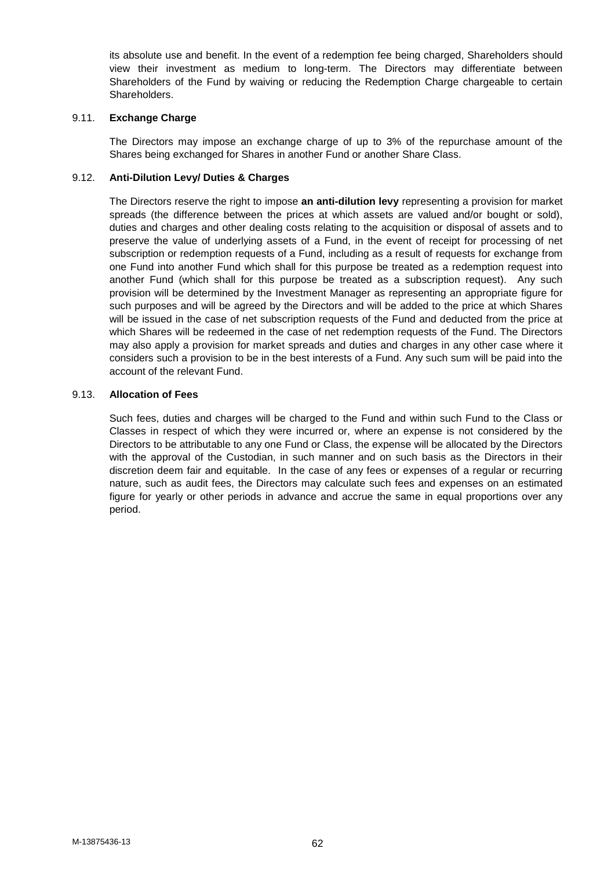its absolute use and benefit. In the event of a redemption fee being charged, Shareholders should view their investment as medium to long-term. The Directors may differentiate between Shareholders of the Fund by waiving or reducing the Redemption Charge chargeable to certain Shareholders.

# 9.11. **Exchange Charge**

The Directors may impose an exchange charge of up to 3% of the repurchase amount of the Shares being exchanged for Shares in another Fund or another Share Class.

### 9.12. **Anti-Dilution Levy/ Duties & Charges**

The Directors reserve the right to impose **an anti-dilution levy** representing a provision for market spreads (the difference between the prices at which assets are valued and/or bought or sold), duties and charges and other dealing costs relating to the acquisition or disposal of assets and to preserve the value of underlying assets of a Fund, in the event of receipt for processing of net subscription or redemption requests of a Fund, including as a result of requests for exchange from one Fund into another Fund which shall for this purpose be treated as a redemption request into another Fund (which shall for this purpose be treated as a subscription request). Any such provision will be determined by the Investment Manager as representing an appropriate figure for such purposes and will be agreed by the Directors and will be added to the price at which Shares will be issued in the case of net subscription requests of the Fund and deducted from the price at which Shares will be redeemed in the case of net redemption requests of the Fund. The Directors may also apply a provision for market spreads and duties and charges in any other case where it considers such a provision to be in the best interests of a Fund. Any such sum will be paid into the account of the relevant Fund.

#### 9.13. **Allocation of Fees**

Such fees, duties and charges will be charged to the Fund and within such Fund to the Class or Classes in respect of which they were incurred or, where an expense is not considered by the Directors to be attributable to any one Fund or Class, the expense will be allocated by the Directors with the approval of the Custodian, in such manner and on such basis as the Directors in their discretion deem fair and equitable. In the case of any fees or expenses of a regular or recurring nature, such as audit fees, the Directors may calculate such fees and expenses on an estimated figure for yearly or other periods in advance and accrue the same in equal proportions over any period.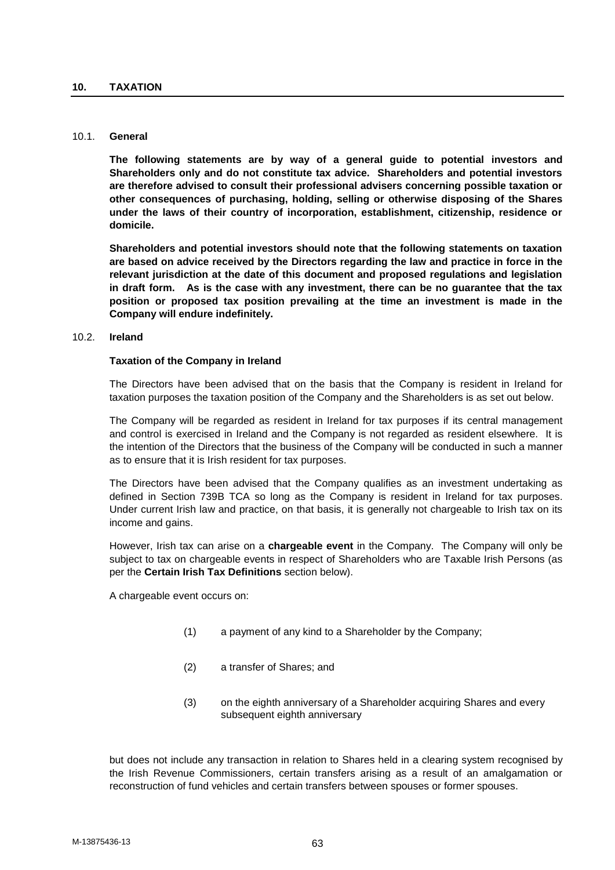#### 10.1. **General**

**The following statements are by way of a general guide to potential investors and Shareholders only and do not constitute tax advice. Shareholders and potential investors are therefore advised to consult their professional advisers concerning possible taxation or other consequences of purchasing, holding, selling or otherwise disposing of the Shares under the laws of their country of incorporation, establishment, citizenship, residence or domicile.**

**Shareholders and potential investors should note that the following statements on taxation are based on advice received by the Directors regarding the law and practice in force in the relevant jurisdiction at the date of this document and proposed regulations and legislation in draft form. As is the case with any investment, there can be no guarantee that the tax position or proposed tax position prevailing at the time an investment is made in the Company will endure indefinitely.**

## 10.2. **Ireland**

#### **Taxation of the Company in Ireland**

The Directors have been advised that on the basis that the Company is resident in Ireland for taxation purposes the taxation position of the Company and the Shareholders is as set out below.

The Company will be regarded as resident in Ireland for tax purposes if its central management and control is exercised in Ireland and the Company is not regarded as resident elsewhere. It is the intention of the Directors that the business of the Company will be conducted in such a manner as to ensure that it is Irish resident for tax purposes.

The Directors have been advised that the Company qualifies as an investment undertaking as defined in Section 739B TCA so long as the Company is resident in Ireland for tax purposes. Under current Irish law and practice, on that basis, it is generally not chargeable to Irish tax on its income and gains.

However, Irish tax can arise on a **chargeable event** in the Company. The Company will only be subject to tax on chargeable events in respect of Shareholders who are Taxable Irish Persons (as per the **Certain Irish Tax Definitions** section below).

A chargeable event occurs on:

- (1) a payment of any kind to a Shareholder by the Company;
- (2) a transfer of Shares; and
- (3) on the eighth anniversary of a Shareholder acquiring Shares and every subsequent eighth anniversary

but does not include any transaction in relation to Shares held in a clearing system recognised by the Irish Revenue Commissioners, certain transfers arising as a result of an amalgamation or reconstruction of fund vehicles and certain transfers between spouses or former spouses.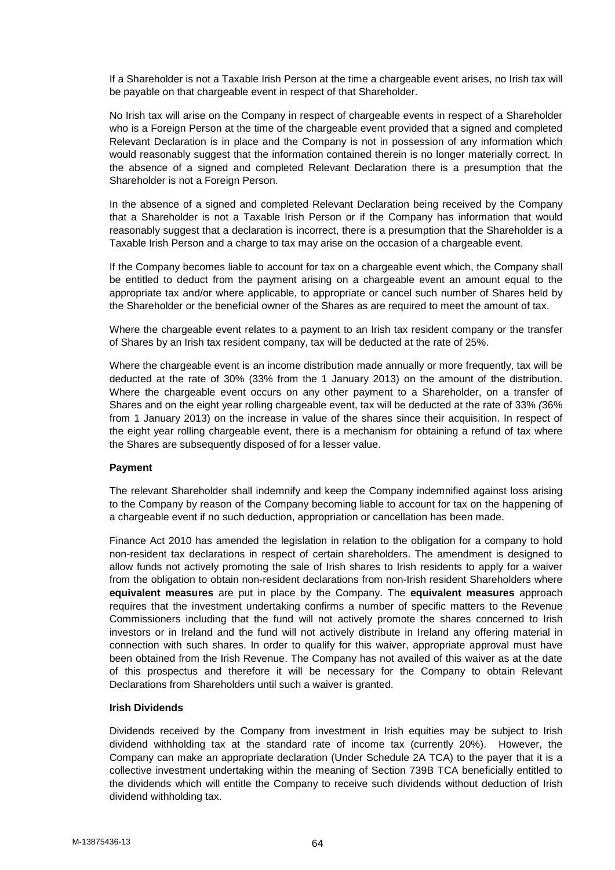If a Shareholder is not a Taxable Irish Person at the time a chargeable event arises, no Irish tax will be payable on that chargeable event in respect of that Shareholder.

No Irish tax will arise on the Company in respect of chargeable events in respect of a Shareholder who is a Foreign Person at the time of the chargeable event provided that a signed and completed Relevant Declaration is in place and the Company is not in possession of any information which would reasonably suggest that the information contained therein is no longer materially correct. In the absence of a signed and completed Relevant Declaration there is a presumption that the Shareholder is not a Foreign Person.

In the absence of a signed and completed Relevant Declaration being received by the Company that a Shareholder is not a Taxable Irish Person or if the Company has information that would reasonably suggest that a declaration is incorrect, there is a presumption that the Shareholder is a Taxable Irish Person and a charge to tax may arise on the occasion of a chargeable event.

If the Company becomes liable to account for tax on a chargeable event which, the Company shall be entitled to deduct from the payment arising on a chargeable event an amount equal to the appropriate tax and/or where applicable, to appropriate or cancel such number of Shares held by the Shareholder or the beneficial owner of the Shares as are required to meet the amount of tax.

Where the chargeable event relates to a payment to an Irish tax resident company or the transfer of Shares by an Irish tax resident company, tax will be deducted at the rate of 25%.

Where the chargeable event is an income distribution made annually or more frequently, tax will be deducted at the rate of 30% (33% from the 1 January 2013) on the amount of the distribution. Where the chargeable event occurs on any other payment to a Shareholder, on a transfer of Shares and on the eight year rolling chargeable event, tax will be deducted at the rate of 33% *(*36% from 1 January 2013) on the increase in value of the shares since their acquisition. In respect of the eight year rolling chargeable event, there is a mechanism for obtaining a refund of tax where the Shares are subsequently disposed of for a lesser value.

# **Payment**

The relevant Shareholder shall indemnify and keep the Company indemnified against loss arising to the Company by reason of the Company becoming liable to account for tax on the happening of a chargeable event if no such deduction, appropriation or cancellation has been made.

Finance Act 2010 has amended the legislation in relation to the obligation for a company to hold non-resident tax declarations in respect of certain shareholders. The amendment is designed to allow funds not actively promoting the sale of Irish shares to Irish residents to apply for a waiver from the obligation to obtain non-resident declarations from non-Irish resident Shareholders where **equivalent measures** are put in place by the Company. The **equivalent measures** approach requires that the investment undertaking confirms a number of specific matters to the Revenue Commissioners including that the fund will not actively promote the shares concerned to Irish investors or in Ireland and the fund will not actively distribute in Ireland any offering material in connection with such shares. In order to qualify for this waiver, appropriate approval must have been obtained from the Irish Revenue. The Company has not availed of this waiver as at the date of this prospectus and therefore it will be necessary for the Company to obtain Relevant Declarations from Shareholders until such a waiver is granted.

# **Irish Dividends**

Dividends received by the Company from investment in Irish equities may be subject to Irish dividend withholding tax at the standard rate of income tax (currently 20%). However, the Company can make an appropriate declaration (Under Schedule 2A TCA) to the payer that it is a collective investment undertaking within the meaning of Section 739B TCA beneficially entitled to the dividends which will entitle the Company to receive such dividends without deduction of Irish dividend withholding tax.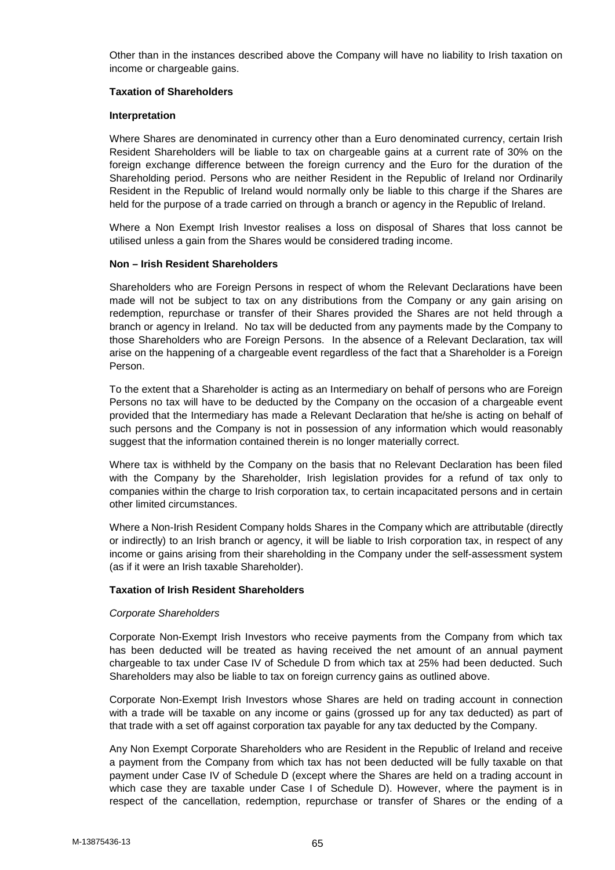Other than in the instances described above the Company will have no liability to Irish taxation on income or chargeable gains.

#### **Taxation of Shareholders**

#### **Interpretation**

Where Shares are denominated in currency other than a Euro denominated currency, certain Irish Resident Shareholders will be liable to tax on chargeable gains at a current rate of 30% on the foreign exchange difference between the foreign currency and the Euro for the duration of the Shareholding period. Persons who are neither Resident in the Republic of Ireland nor Ordinarily Resident in the Republic of Ireland would normally only be liable to this charge if the Shares are held for the purpose of a trade carried on through a branch or agency in the Republic of Ireland.

Where a Non Exempt Irish Investor realises a loss on disposal of Shares that loss cannot be utilised unless a gain from the Shares would be considered trading income.

#### **Non – Irish Resident Shareholders**

Shareholders who are Foreign Persons in respect of whom the Relevant Declarations have been made will not be subject to tax on any distributions from the Company or any gain arising on redemption, repurchase or transfer of their Shares provided the Shares are not held through a branch or agency in Ireland. No tax will be deducted from any payments made by the Company to those Shareholders who are Foreign Persons. In the absence of a Relevant Declaration, tax will arise on the happening of a chargeable event regardless of the fact that a Shareholder is a Foreign Person.

To the extent that a Shareholder is acting as an Intermediary on behalf of persons who are Foreign Persons no tax will have to be deducted by the Company on the occasion of a chargeable event provided that the Intermediary has made a Relevant Declaration that he/she is acting on behalf of such persons and the Company is not in possession of any information which would reasonably suggest that the information contained therein is no longer materially correct.

Where tax is withheld by the Company on the basis that no Relevant Declaration has been filed with the Company by the Shareholder, Irish legislation provides for a refund of tax only to companies within the charge to Irish corporation tax, to certain incapacitated persons and in certain other limited circumstances.

Where a Non-Irish Resident Company holds Shares in the Company which are attributable (directly or indirectly) to an Irish branch or agency, it will be liable to Irish corporation tax, in respect of any income or gains arising from their shareholding in the Company under the self-assessment system (as if it were an Irish taxable Shareholder).

#### **Taxation of Irish Resident Shareholders**

#### *Corporate Shareholders*

Corporate Non-Exempt Irish Investors who receive payments from the Company from which tax has been deducted will be treated as having received the net amount of an annual payment chargeable to tax under Case IV of Schedule D from which tax at 25% had been deducted. Such Shareholders may also be liable to tax on foreign currency gains as outlined above.

Corporate Non-Exempt Irish Investors whose Shares are held on trading account in connection with a trade will be taxable on any income or gains (grossed up for any tax deducted) as part of that trade with a set off against corporation tax payable for any tax deducted by the Company.

Any Non Exempt Corporate Shareholders who are Resident in the Republic of Ireland and receive a payment from the Company from which tax has not been deducted will be fully taxable on that payment under Case IV of Schedule D (except where the Shares are held on a trading account in which case they are taxable under Case I of Schedule D). However, where the payment is in respect of the cancellation, redemption, repurchase or transfer of Shares or the ending of a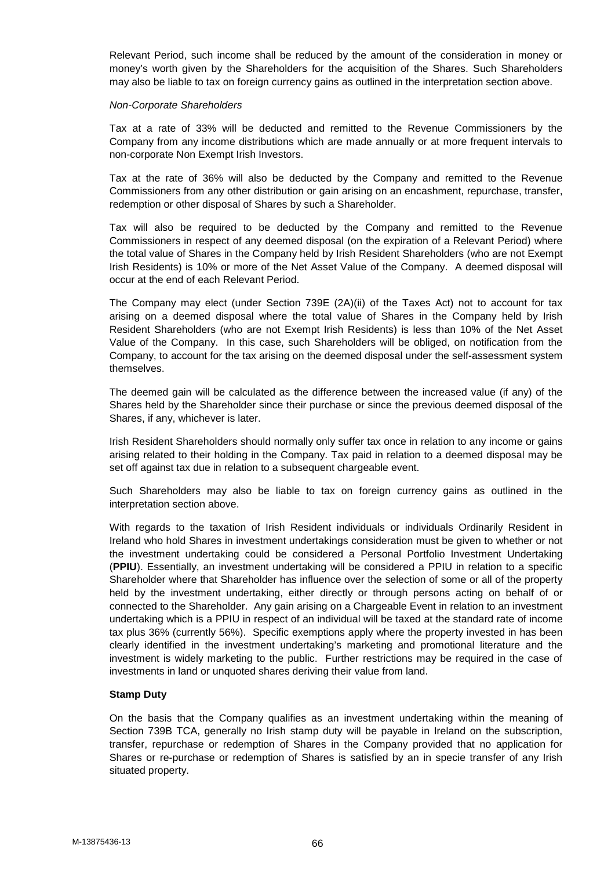Relevant Period, such income shall be reduced by the amount of the consideration in money or money's worth given by the Shareholders for the acquisition of the Shares. Such Shareholders may also be liable to tax on foreign currency gains as outlined in the interpretation section above.

#### *Non-Corporate Shareholders*

Tax at a rate of 33% will be deducted and remitted to the Revenue Commissioners by the Company from any income distributions which are made annually or at more frequent intervals to non-corporate Non Exempt Irish Investors.

Tax at the rate of 36% will also be deducted by the Company and remitted to the Revenue Commissioners from any other distribution or gain arising on an encashment, repurchase, transfer, redemption or other disposal of Shares by such a Shareholder.

Tax will also be required to be deducted by the Company and remitted to the Revenue Commissioners in respect of any deemed disposal (on the expiration of a Relevant Period) where the total value of Shares in the Company held by Irish Resident Shareholders (who are not Exempt Irish Residents) is 10% or more of the Net Asset Value of the Company. A deemed disposal will occur at the end of each Relevant Period.

The Company may elect (under Section 739E (2A)(ii) of the Taxes Act) not to account for tax arising on a deemed disposal where the total value of Shares in the Company held by Irish Resident Shareholders (who are not Exempt Irish Residents) is less than 10% of the Net Asset Value of the Company. In this case, such Shareholders will be obliged, on notification from the Company, to account for the tax arising on the deemed disposal under the self-assessment system themselves.

The deemed gain will be calculated as the difference between the increased value (if any) of the Shares held by the Shareholder since their purchase or since the previous deemed disposal of the Shares, if any, whichever is later.

Irish Resident Shareholders should normally only suffer tax once in relation to any income or gains arising related to their holding in the Company. Tax paid in relation to a deemed disposal may be set off against tax due in relation to a subsequent chargeable event.

Such Shareholders may also be liable to tax on foreign currency gains as outlined in the interpretation section above.

With regards to the taxation of Irish Resident individuals or individuals Ordinarily Resident in Ireland who hold Shares in investment undertakings consideration must be given to whether or not the investment undertaking could be considered a Personal Portfolio Investment Undertaking (**PPIU**). Essentially, an investment undertaking will be considered a PPIU in relation to a specific Shareholder where that Shareholder has influence over the selection of some or all of the property held by the investment undertaking, either directly or through persons acting on behalf of or connected to the Shareholder. Any gain arising on a Chargeable Event in relation to an investment undertaking which is a PPIU in respect of an individual will be taxed at the standard rate of income tax plus 36% (currently 56%). Specific exemptions apply where the property invested in has been clearly identified in the investment undertaking's marketing and promotional literature and the investment is widely marketing to the public. Further restrictions may be required in the case of investments in land or unquoted shares deriving their value from land.

#### **Stamp Duty**

On the basis that the Company qualifies as an investment undertaking within the meaning of Section 739B TCA, generally no Irish stamp duty will be payable in Ireland on the subscription, transfer, repurchase or redemption of Shares in the Company provided that no application for Shares or re-purchase or redemption of Shares is satisfied by an in specie transfer of any Irish situated property.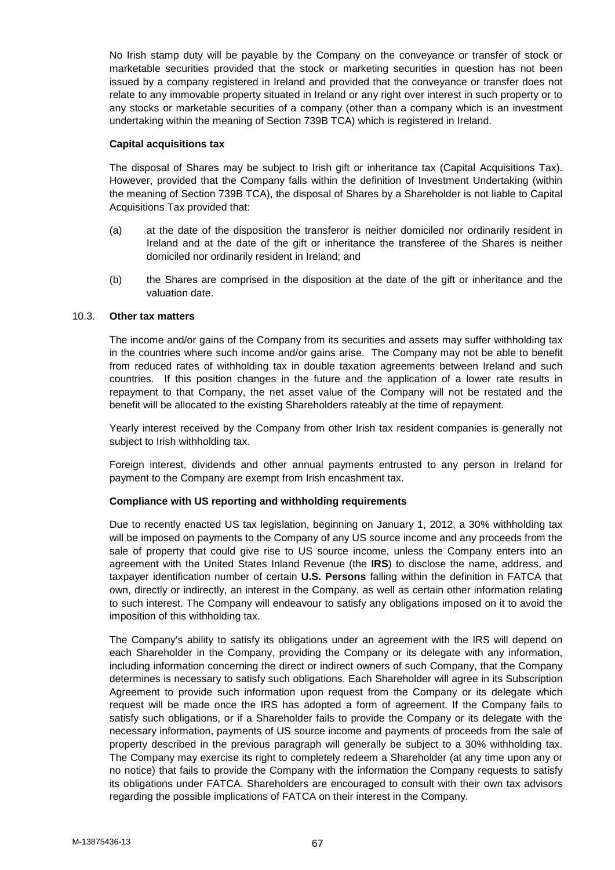No Irish stamp duty will be payable by the Company on the conveyance or transfer of stock or marketable securities provided that the stock or marketing securities in question has not been issued by a company registered in Ireland and provided that the conveyance or transfer does not relate to any immovable property situated in Ireland or any right over interest in such property or to any stocks or marketable securities of a company (other than a company which is an investment undertaking within the meaning of Section 739B TCA) which is registered in Ireland.

# **Capital acquisitions tax**

The disposal of Shares may be subject to Irish gift or inheritance tax (Capital Acquisitions Tax). However, provided that the Company falls within the definition of Investment Undertaking (within the meaning of Section 739B TCA), the disposal of Shares by a Shareholder is not liable to Capital Acquisitions Tax provided that:

- (a) at the date of the disposition the transferor is neither domiciled nor ordinarily resident in Ireland and at the date of the gift or inheritance the transferee of the Shares is neither domiciled nor ordinarily resident in Ireland; and
- (b) the Shares are comprised in the disposition at the date of the gift or inheritance and the valuation date.

### 10.3. **Other tax matters**

The income and/or gains of the Company from its securities and assets may suffer withholding tax in the countries where such income and/or gains arise. The Company may not be able to benefit from reduced rates of withholding tax in double taxation agreements between Ireland and such countries. If this position changes in the future and the application of a lower rate results in repayment to that Company, the net asset value of the Company will not be restated and the benefit will be allocated to the existing Shareholders rateably at the time of repayment.

Yearly interest received by the Company from other Irish tax resident companies is generally not subject to Irish withholding tax.

Foreign interest, dividends and other annual payments entrusted to any person in Ireland for payment to the Company are exempt from Irish encashment tax.

# **Compliance with US reporting and withholding requirements**

Due to recently enacted US tax legislation, beginning on January 1, 2012, a 30% withholding tax will be imposed on payments to the Company of any US source income and any proceeds from the sale of property that could give rise to US source income, unless the Company enters into an agreement with the United States Inland Revenue (the **IRS**) to disclose the name, address, and taxpayer identification number of certain **U.S. Persons** falling within the definition in FATCA that own, directly or indirectly, an interest in the Company, as well as certain other information relating to such interest. The Company will endeavour to satisfy any obligations imposed on it to avoid the imposition of this withholding tax.

The Company's ability to satisfy its obligations under an agreement with the IRS will depend on each Shareholder in the Company, providing the Company or its delegate with any information, including information concerning the direct or indirect owners of such Company, that the Company determines is necessary to satisfy such obligations. Each Shareholder will agree in its Subscription Agreement to provide such information upon request from the Company or its delegate which request will be made once the IRS has adopted a form of agreement. If the Company fails to satisfy such obligations, or if a Shareholder fails to provide the Company or its delegate with the necessary information, payments of US source income and payments of proceeds from the sale of property described in the previous paragraph will generally be subject to a 30% withholding tax. The Company may exercise its right to completely redeem a Shareholder (at any time upon any or no notice) that fails to provide the Company with the information the Company requests to satisfy its obligations under FATCA. Shareholders are encouraged to consult with their own tax advisors regarding the possible implications of FATCA on their interest in the Company.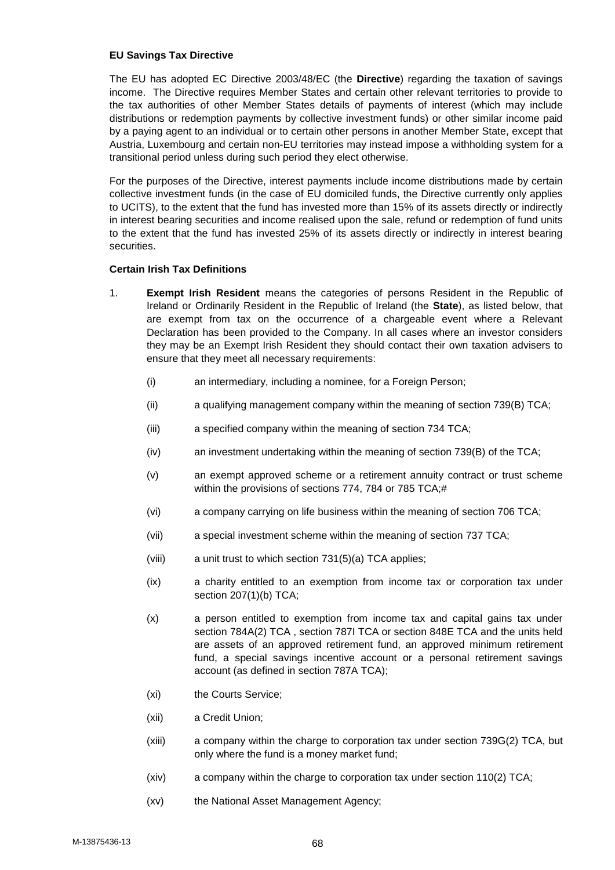### **EU Savings Tax Directive**

The EU has adopted EC Directive 2003/48/EC (the **Directive**) regarding the taxation of savings income. The Directive requires Member States and certain other relevant territories to provide to the tax authorities of other Member States details of payments of interest (which may include distributions or redemption payments by collective investment funds) or other similar income paid by a paying agent to an individual or to certain other persons in another Member State, except that Austria, Luxembourg and certain non-EU territories may instead impose a withholding system for a transitional period unless during such period they elect otherwise.

For the purposes of the Directive, interest payments include income distributions made by certain collective investment funds (in the case of EU domiciled funds, the Directive currently only applies to UCITS), to the extent that the fund has invested more than 15% of its assets directly or indirectly in interest bearing securities and income realised upon the sale, refund or redemption of fund units to the extent that the fund has invested 25% of its assets directly or indirectly in interest bearing securities.

# **Certain Irish Tax Definitions**

- 1. **Exempt Irish Resident** means the categories of persons Resident in the Republic of Ireland or Ordinarily Resident in the Republic of Ireland (the **State**), as listed below, that are exempt from tax on the occurrence of a chargeable event where a Relevant Declaration has been provided to the Company. In all cases where an investor considers they may be an Exempt Irish Resident they should contact their own taxation advisers to ensure that they meet all necessary requirements:
	- (i) an intermediary, including a nominee, for a Foreign Person;
	- (ii) a qualifying management company within the meaning of section 739(B) TCA;
	- (iii) a specified company within the meaning of section 734 TCA;
	- (iv) an investment undertaking within the meaning of section 739(B) of the TCA;
	- (v) an exempt approved scheme or a retirement annuity contract or trust scheme within the provisions of sections 774, 784 or 785 TCA;#
	- (vi) a company carrying on life business within the meaning of section 706 TCA;
	- (vii) a special investment scheme within the meaning of section 737 TCA;
	- (viii) a unit trust to which section 731(5)(a) TCA applies;
	- (ix) a charity entitled to an exemption from income tax or corporation tax under section 207(1)(b) TCA;
	- (x) a person entitled to exemption from income tax and capital gains tax under section 784A(2) TCA , section 787I TCA or section 848E TCA and the units held are assets of an approved retirement fund, an approved minimum retirement fund, a special savings incentive account or a personal retirement savings account (as defined in section 787A TCA);
	- (xi) the Courts Service;
	- (xii) a Credit Union;
	- (xiii) a company within the charge to corporation tax under section 739G(2) TCA, but only where the fund is a money market fund;
	- (xiv) a company within the charge to corporation tax under section 110(2) TCA;
	- (xv) the National Asset Management Agency;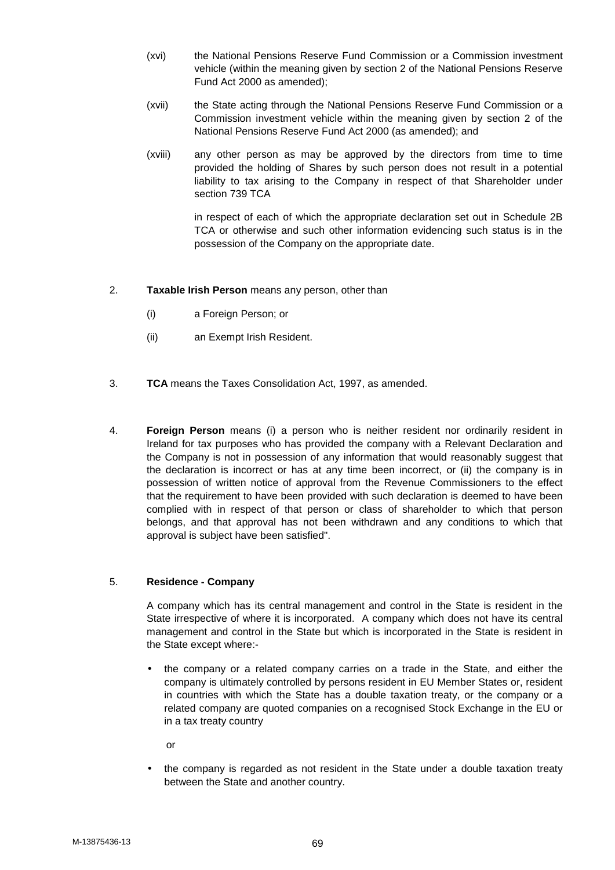- (xvi) the National Pensions Reserve Fund Commission or a Commission investment vehicle (within the meaning given by section 2 of the National Pensions Reserve Fund Act 2000 as amended);
- (xvii) the State acting through the National Pensions Reserve Fund Commission or a Commission investment vehicle within the meaning given by section 2 of the National Pensions Reserve Fund Act 2000 (as amended); and
- (xviii) any other person as may be approved by the directors from time to time provided the holding of Shares by such person does not result in a potential liability to tax arising to the Company in respect of that Shareholder under section 739 TCA

in respect of each of which the appropriate declaration set out in Schedule 2B TCA or otherwise and such other information evidencing such status is in the possession of the Company on the appropriate date.

- 2. **Taxable Irish Person** means any person, other than
	- (i) a Foreign Person; or
	- (ii) an Exempt Irish Resident.
- 3. **TCA** means the Taxes Consolidation Act, 1997, as amended.
- 4. **Foreign Person** means (i) a person who is neither resident nor ordinarily resident in Ireland for tax purposes who has provided the company with a Relevant Declaration and the Company is not in possession of any information that would reasonably suggest that the declaration is incorrect or has at any time been incorrect, or (ii) the company is in possession of written notice of approval from the Revenue Commissioners to the effect that the requirement to have been provided with such declaration is deemed to have been complied with in respect of that person or class of shareholder to which that person belongs, and that approval has not been withdrawn and any conditions to which that approval is subject have been satisfied".

#### 5. **Residence - Company**

A company which has its central management and control in the State is resident in the State irrespective of where it is incorporated. A company which does not have its central management and control in the State but which is incorporated in the State is resident in the State except where:-

 $N$  the company or a related company carries on a trade in the State, and either the company is ultimately controlled by persons resident in EU Member States or, resident in countries with which the State has a double taxation treaty, or the company or a related company are quoted companies on a recognised Stock Exchange in the EU or in a tax treaty country

or

 the company is regarded as not resident in the State under a double taxation treaty between the State and another country.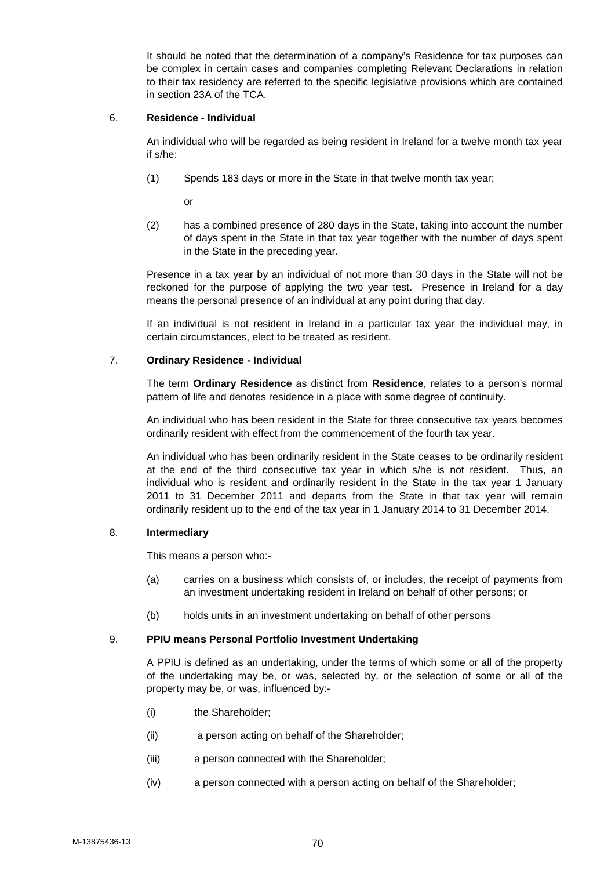It should be noted that the determination of a company's Residence for tax purposes can be complex in certain cases and companies completing Relevant Declarations in relation to their tax residency are referred to the specific legislative provisions which are contained in section 23A of the TCA.

# 6. **Residence - Individual**

An individual who will be regarded as being resident in Ireland for a twelve month tax year if s/he:

(1) Spends 183 days or more in the State in that twelve month tax year;

or

(2) has a combined presence of 280 days in the State, taking into account the number of days spent in the State in that tax year together with the number of days spent in the State in the preceding year.

Presence in a tax year by an individual of not more than 30 days in the State will not be reckoned for the purpose of applying the two year test. Presence in Ireland for a day means the personal presence of an individual at any point during that day.

If an individual is not resident in Ireland in a particular tax year the individual may, in certain circumstances, elect to be treated as resident.

### 7. **Ordinary Residence - Individual**

The term **Ordinary Residence** as distinct from **Residence**, relates to a person's normal pattern of life and denotes residence in a place with some degree of continuity.

An individual who has been resident in the State for three consecutive tax years becomes ordinarily resident with effect from the commencement of the fourth tax year.

An individual who has been ordinarily resident in the State ceases to be ordinarily resident at the end of the third consecutive tax year in which s/he is not resident. Thus, an individual who is resident and ordinarily resident in the State in the tax year 1 January 2011 to 31 December 2011 and departs from the State in that tax year will remain ordinarily resident up to the end of the tax year in 1 January 2014 to 31 December 2014.

# 8. **Intermediary**

This means a person who:-

- (a) carries on a business which consists of, or includes, the receipt of payments from an investment undertaking resident in Ireland on behalf of other persons; or
- (b) holds units in an investment undertaking on behalf of other persons

### 9. **PPIU means Personal Portfolio Investment Undertaking**

A PPIU is defined as an undertaking, under the terms of which some or all of the property of the undertaking may be, or was, selected by, or the selection of some or all of the property may be, or was, influenced by:-

- (i) the Shareholder;
- (ii) a person acting on behalf of the Shareholder;
- (iii) a person connected with the Shareholder;
- (iv) a person connected with a person acting on behalf of the Shareholder;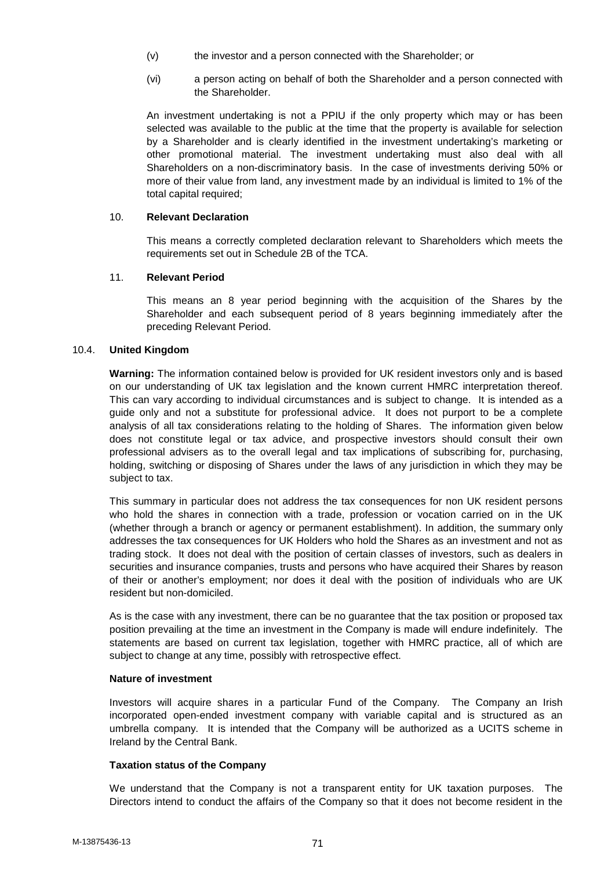- (v) the investor and a person connected with the Shareholder; or
- (vi) a person acting on behalf of both the Shareholder and a person connected with the Shareholder.

An investment undertaking is not a PPIU if the only property which may or has been selected was available to the public at the time that the property is available for selection by a Shareholder and is clearly identified in the investment undertaking's marketing or other promotional material. The investment undertaking must also deal with all Shareholders on a non-discriminatory basis. In the case of investments deriving 50% or more of their value from land, any investment made by an individual is limited to 1% of the total capital required;

# 10. **Relevant Declaration**

This means a correctly completed declaration relevant to Shareholders which meets the requirements set out in Schedule 2B of the TCA.

# 11. **Relevant Period**

This means an 8 year period beginning with the acquisition of the Shares by the Shareholder and each subsequent period of 8 years beginning immediately after the preceding Relevant Period.

### 10.4. **United Kingdom**

**Warning:** The information contained below is provided for UK resident investors only and is based on our understanding of UK tax legislation and the known current HMRC interpretation thereof. This can vary according to individual circumstances and is subject to change. It is intended as a guide only and not a substitute for professional advice. It does not purport to be a complete analysis of all tax considerations relating to the holding of Shares. The information given below does not constitute legal or tax advice, and prospective investors should consult their own professional advisers as to the overall legal and tax implications of subscribing for, purchasing, holding, switching or disposing of Shares under the laws of any jurisdiction in which they may be subject to tax.

This summary in particular does not address the tax consequences for non UK resident persons who hold the shares in connection with a trade, profession or vocation carried on in the UK (whether through a branch or agency or permanent establishment). In addition, the summary only addresses the tax consequences for UK Holders who hold the Shares as an investment and not as trading stock. It does not deal with the position of certain classes of investors, such as dealers in securities and insurance companies, trusts and persons who have acquired their Shares by reason of their or another's employment; nor does it deal with the position of individuals who are UK resident but non-domiciled.

As is the case with any investment, there can be no guarantee that the tax position or proposed tax position prevailing at the time an investment in the Company is made will endure indefinitely. The statements are based on current tax legislation, together with HMRC practice, all of which are subject to change at any time, possibly with retrospective effect.

#### **Nature of investment**

Investors will acquire shares in a particular Fund of the Company. The Company an Irish incorporated open-ended investment company with variable capital and is structured as an umbrella company. It is intended that the Company will be authorized as a UCITS scheme in Ireland by the Central Bank.

# **Taxation status of the Company**

We understand that the Company is not a transparent entity for UK taxation purposes. The Directors intend to conduct the affairs of the Company so that it does not become resident in the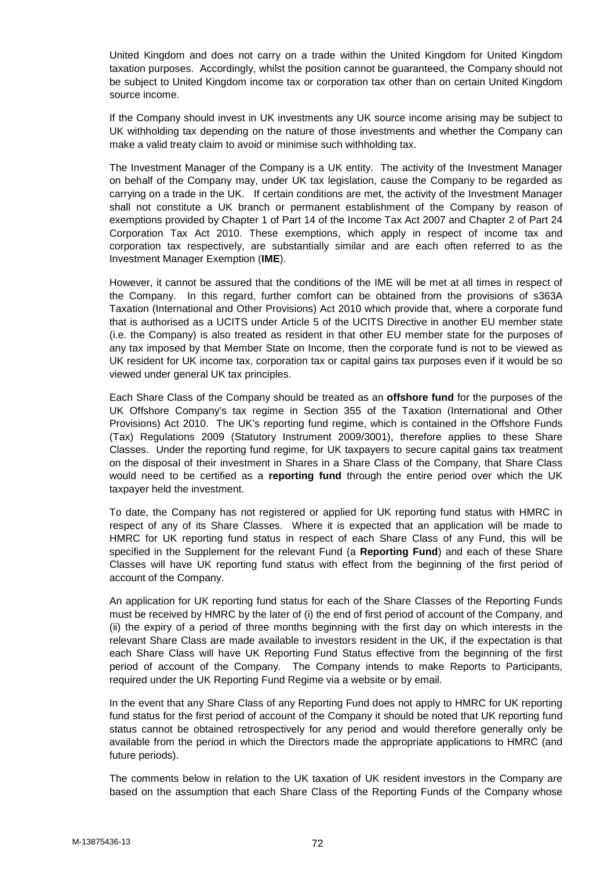United Kingdom and does not carry on a trade within the United Kingdom for United Kingdom taxation purposes. Accordingly, whilst the position cannot be guaranteed, the Company should not be subject to United Kingdom income tax or corporation tax other than on certain United Kingdom source income.

If the Company should invest in UK investments any UK source income arising may be subject to UK withholding tax depending on the nature of those investments and whether the Company can make a valid treaty claim to avoid or minimise such withholding tax.

The Investment Manager of the Company is a UK entity. The activity of the Investment Manager on behalf of the Company may, under UK tax legislation, cause the Company to be regarded as carrying on a trade in the UK. If certain conditions are met, the activity of the Investment Manager shall not constitute a UK branch or permanent establishment of the Company by reason of exemptions provided by Chapter 1 of Part 14 of the Income Tax Act 2007 and Chapter 2 of Part 24 Corporation Tax Act 2010. These exemptions, which apply in respect of income tax and corporation tax respectively, are substantially similar and are each often referred to as the Investment Manager Exemption (**IME**).

However, it cannot be assured that the conditions of the IME will be met at all times in respect of the Company. In this regard, further comfort can be obtained from the provisions of s363A Taxation (International and Other Provisions) Act 2010 which provide that, where a corporate fund that is authorised as a UCITS under Article 5 of the UCITS Directive in another EU member state (i.e. the Company) is also treated as resident in that other EU member state for the purposes of any tax imposed by that Member State on Income, then the corporate fund is not to be viewed as UK resident for UK income tax, corporation tax or capital gains tax purposes even if it would be so viewed under general UK tax principles.

Each Share Class of the Company should be treated as an **offshore fund** for the purposes of the UK Offshore Company's tax regime in Section 355 of the Taxation (International and Other Provisions) Act 2010. The UK's reporting fund regime, which is contained in the Offshore Funds (Tax) Regulations 2009 (Statutory Instrument 2009/3001), therefore applies to these Share Classes. Under the reporting fund regime, for UK taxpayers to secure capital gains tax treatment on the disposal of their investment in Shares in a Share Class of the Company, that Share Class would need to be certified as a **reporting fund** through the entire period over which the UK taxpayer held the investment.

To date, the Company has not registered or applied for UK reporting fund status with HMRC in respect of any of its Share Classes. Where it is expected that an application will be made to HMRC for UK reporting fund status in respect of each Share Class of any Fund, this will be specified in the Supplement for the relevant Fund (a **Reporting Fund**) and each of these Share Classes will have UK reporting fund status with effect from the beginning of the first period of account of the Company.

An application for UK reporting fund status for each of the Share Classes of the Reporting Funds must be received by HMRC by the later of (i) the end of first period of account of the Company, and (ii) the expiry of a period of three months beginning with the first day on which interests in the relevant Share Class are made available to investors resident in the UK, if the expectation is that each Share Class will have UK Reporting Fund Status effective from the beginning of the first period of account of the Company. The Company intends to make Reports to Participants, required under the UK Reporting Fund Regime via a website or by email.

In the event that any Share Class of any Reporting Fund does not apply to HMRC for UK reporting fund status for the first period of account of the Company it should be noted that UK reporting fund status cannot be obtained retrospectively for any period and would therefore generally only be available from the period in which the Directors made the appropriate applications to HMRC (and future periods).

The comments below in relation to the UK taxation of UK resident investors in the Company are based on the assumption that each Share Class of the Reporting Funds of the Company whose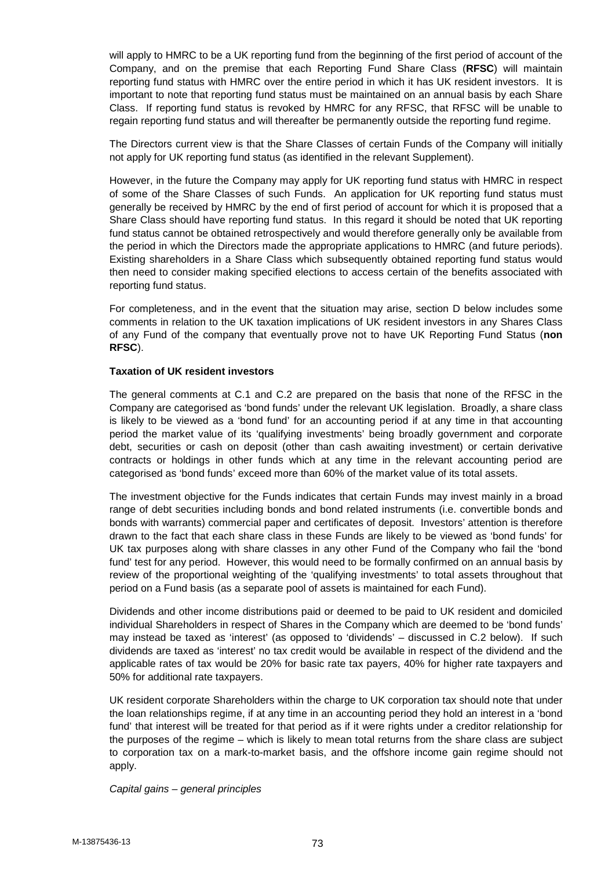will apply to HMRC to be a UK reporting fund from the beginning of the first period of account of the Company, and on the premise that each Reporting Fund Share Class (**RFSC**) will maintain reporting fund status with HMRC over the entire period in which it has UK resident investors. It is important to note that reporting fund status must be maintained on an annual basis by each Share Class. If reporting fund status is revoked by HMRC for any RFSC, that RFSC will be unable to regain reporting fund status and will thereafter be permanently outside the reporting fund regime.

The Directors current view is that the Share Classes of certain Funds of the Company will initially not apply for UK reporting fund status (as identified in the relevant Supplement).

However, in the future the Company may apply for UK reporting fund status with HMRC in respect of some of the Share Classes of such Funds. An application for UK reporting fund status must generally be received by HMRC by the end of first period of account for which it is proposed that a Share Class should have reporting fund status. In this regard it should be noted that UK reporting fund status cannot be obtained retrospectively and would therefore generally only be available from the period in which the Directors made the appropriate applications to HMRC (and future periods). Existing shareholders in a Share Class which subsequently obtained reporting fund status would then need to consider making specified elections to access certain of the benefits associated with reporting fund status.

For completeness, and in the event that the situation may arise, section D below includes some comments in relation to the UK taxation implications of UK resident investors in any Shares Class of any Fund of the company that eventually prove not to have UK Reporting Fund Status (**non RFSC**).

#### **Taxation of UK resident investors**

The general comments at C.1 and C.2 are prepared on the basis that none of the RFSC in the Company are categorised as 'bond funds' under the relevant UK legislation. Broadly, a share class is likely to be viewed as a 'bond fund' for an accounting period if at any time in that accounting period the market value of its 'qualifying investments' being broadly government and corporate debt, securities or cash on deposit (other than cash awaiting investment) or certain derivative contracts or holdings in other funds which at any time in the relevant accounting period are categorised as 'bond funds' exceed more than 60% of the market value of its total assets.

The investment objective for the Funds indicates that certain Funds may invest mainly in a broad range of debt securities including bonds and bond related instruments (i.e. convertible bonds and bonds with warrants) commercial paper and certificates of deposit. Investors' attention is therefore drawn to the fact that each share class in these Funds are likely to be viewed as 'bond funds' for UK tax purposes along with share classes in any other Fund of the Company who fail the 'bond fund' test for any period. However, this would need to be formally confirmed on an annual basis by review of the proportional weighting of the 'qualifying investments' to total assets throughout that period on a Fund basis (as a separate pool of assets is maintained for each Fund).

Dividends and other income distributions paid or deemed to be paid to UK resident and domiciled individual Shareholders in respect of Shares in the Company which are deemed to be 'bond funds' may instead be taxed as 'interest' (as opposed to 'dividends' – discussed in C.2 below). If such dividends are taxed as 'interest' no tax credit would be available in respect of the dividend and the applicable rates of tax would be 20% for basic rate tax payers, 40% for higher rate taxpayers and 50% for additional rate taxpayers.

UK resident corporate Shareholders within the charge to UK corporation tax should note that under the loan relationships regime, if at any time in an accounting period they hold an interest in a 'bond fund' that interest will be treated for that period as if it were rights under a creditor relationship for the purposes of the regime – which is likely to mean total returns from the share class are subject to corporation tax on a mark-to-market basis, and the offshore income gain regime should not apply.

#### *Capital gains – general principles*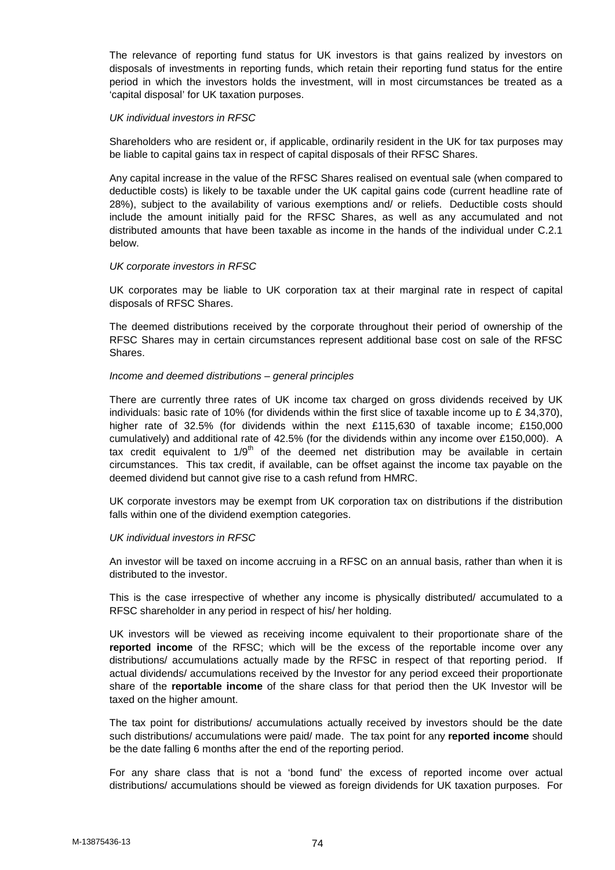The relevance of reporting fund status for UK investors is that gains realized by investors on disposals of investments in reporting funds, which retain their reporting fund status for the entire period in which the investors holds the investment, will in most circumstances be treated as a 'capital disposal' for UK taxation purposes.

#### *UK individual investors in RFSC*

Shareholders who are resident or, if applicable, ordinarily resident in the UK for tax purposes may be liable to capital gains tax in respect of capital disposals of their RFSC Shares.

Any capital increase in the value of the RFSC Shares realised on eventual sale (when compared to deductible costs) is likely to be taxable under the UK capital gains code (current headline rate of 28%), subject to the availability of various exemptions and/ or reliefs. Deductible costs should include the amount initially paid for the RFSC Shares, as well as any accumulated and not distributed amounts that have been taxable as income in the hands of the individual under C.2.1 below.

## *UK corporate investors in RFSC*

UK corporates may be liable to UK corporation tax at their marginal rate in respect of capital disposals of RFSC Shares.

The deemed distributions received by the corporate throughout their period of ownership of the RFSC Shares may in certain circumstances represent additional base cost on sale of the RFSC Shares.

## *Income and deemed distributions – general principles*

There are currently three rates of UK income tax charged on gross dividends received by UK individuals: basic rate of 10% (for dividends within the first slice of taxable income up to £ 34,370), higher rate of 32.5% (for dividends within the next £115,630 of taxable income; £150,000 cumulatively) and additional rate of 42.5% (for the dividends within any income over £150,000). A tax credit equivalent to  $1/9<sup>th</sup>$  of the deemed net distribution may be available in certain circumstances. This tax credit, if available, can be offset against the income tax payable on the deemed dividend but cannot give rise to a cash refund from HMRC.

UK corporate investors may be exempt from UK corporation tax on distributions if the distribution falls within one of the dividend exemption categories.

# *UK individual investors in RFSC*

An investor will be taxed on income accruing in a RFSC on an annual basis, rather than when it is distributed to the investor.

This is the case irrespective of whether any income is physically distributed/ accumulated to a RFSC shareholder in any period in respect of his/ her holding.

UK investors will be viewed as receiving income equivalent to their proportionate share of the **reported income** of the RFSC; which will be the excess of the reportable income over any distributions/ accumulations actually made by the RFSC in respect of that reporting period. If actual dividends/ accumulations received by the Investor for any period exceed their proportionate share of the **reportable income** of the share class for that period then the UK Investor will be taxed on the higher amount.

The tax point for distributions/ accumulations actually received by investors should be the date such distributions/ accumulations were paid/ made. The tax point for any **reported income** should be the date falling 6 months after the end of the reporting period.

For any share class that is not a 'bond fund' the excess of reported income over actual distributions/ accumulations should be viewed as foreign dividends for UK taxation purposes. For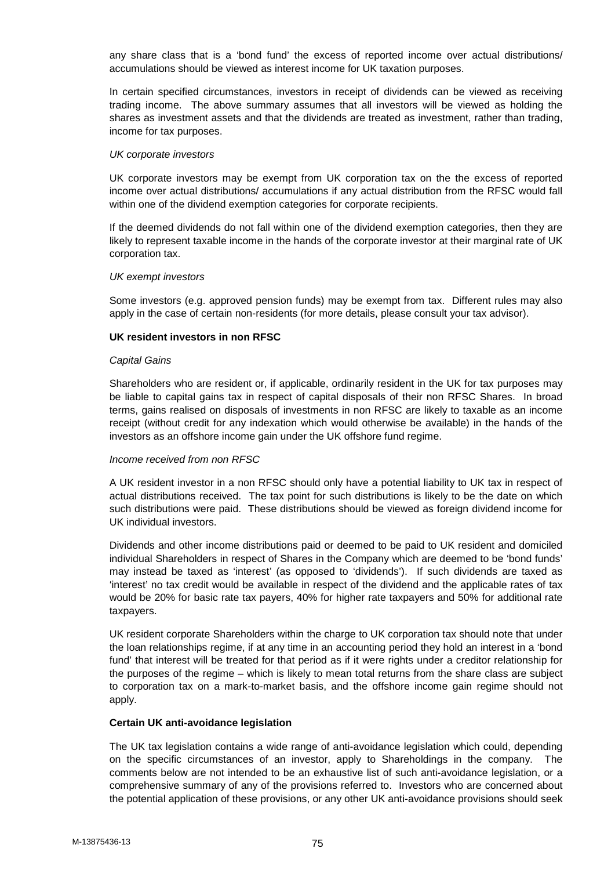any share class that is a 'bond fund' the excess of reported income over actual distributions/ accumulations should be viewed as interest income for UK taxation purposes.

In certain specified circumstances, investors in receipt of dividends can be viewed as receiving trading income. The above summary assumes that all investors will be viewed as holding the shares as investment assets and that the dividends are treated as investment, rather than trading, income for tax purposes.

#### *UK corporate investors*

UK corporate investors may be exempt from UK corporation tax on the the excess of reported income over actual distributions/ accumulations if any actual distribution from the RFSC would fall within one of the dividend exemption categories for corporate recipients.

If the deemed dividends do not fall within one of the dividend exemption categories, then they are likely to represent taxable income in the hands of the corporate investor at their marginal rate of UK corporation tax.

## *UK exempt investors*

Some investors (e.g. approved pension funds) may be exempt from tax. Different rules may also apply in the case of certain non-residents (for more details, please consult your tax advisor).

# **UK resident investors in non RFSC**

## *Capital Gains*

Shareholders who are resident or, if applicable, ordinarily resident in the UK for tax purposes may be liable to capital gains tax in respect of capital disposals of their non RFSC Shares. In broad terms, gains realised on disposals of investments in non RFSC are likely to taxable as an income receipt (without credit for any indexation which would otherwise be available) in the hands of the investors as an offshore income gain under the UK offshore fund regime.

# *Income received from non RFSC*

A UK resident investor in a non RFSC should only have a potential liability to UK tax in respect of actual distributions received. The tax point for such distributions is likely to be the date on which such distributions were paid. These distributions should be viewed as foreign dividend income for UK individual investors.

Dividends and other income distributions paid or deemed to be paid to UK resident and domiciled individual Shareholders in respect of Shares in the Company which are deemed to be 'bond funds' may instead be taxed as 'interest' (as opposed to 'dividends'). If such dividends are taxed as 'interest' no tax credit would be available in respect of the dividend and the applicable rates of tax would be 20% for basic rate tax payers, 40% for higher rate taxpayers and 50% for additional rate taxpayers.

UK resident corporate Shareholders within the charge to UK corporation tax should note that under the loan relationships regime, if at any time in an accounting period they hold an interest in a 'bond fund' that interest will be treated for that period as if it were rights under a creditor relationship for the purposes of the regime – which is likely to mean total returns from the share class are subject to corporation tax on a mark-to-market basis, and the offshore income gain regime should not apply.

# **Certain UK anti-avoidance legislation**

The UK tax legislation contains a wide range of anti-avoidance legislation which could, depending on the specific circumstances of an investor, apply to Shareholdings in the company. The comments below are not intended to be an exhaustive list of such anti-avoidance legislation, or a comprehensive summary of any of the provisions referred to. Investors who are concerned about the potential application of these provisions, or any other UK anti-avoidance provisions should seek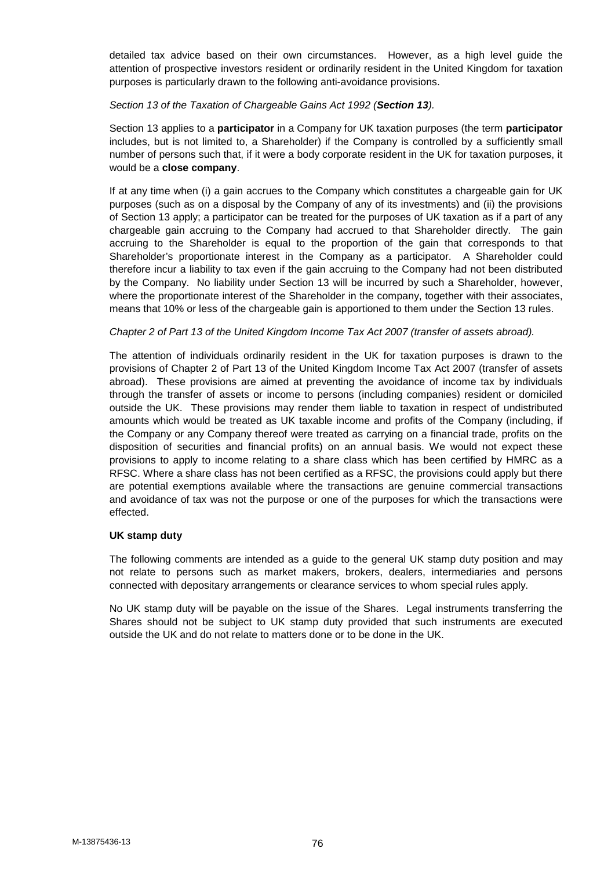detailed tax advice based on their own circumstances. However, as a high level guide the attention of prospective investors resident or ordinarily resident in the United Kingdom for taxation purposes is particularly drawn to the following anti-avoidance provisions.

# *Section 13 of the Taxation of Chargeable Gains Act 1992 (Section 13).*

Section 13 applies to a **participator** in a Company for UK taxation purposes (the term **participator** includes, but is not limited to, a Shareholder) if the Company is controlled by a sufficiently small number of persons such that, if it were a body corporate resident in the UK for taxation purposes, it would be a **close company**.

If at any time when (i) a gain accrues to the Company which constitutes a chargeable gain for UK purposes (such as on a disposal by the Company of any of its investments) and (ii) the provisions of Section 13 apply; a participator can be treated for the purposes of UK taxation as if a part of any chargeable gain accruing to the Company had accrued to that Shareholder directly. The gain accruing to the Shareholder is equal to the proportion of the gain that corresponds to that Shareholder's proportionate interest in the Company as a participator. A Shareholder could therefore incur a liability to tax even if the gain accruing to the Company had not been distributed by the Company. No liability under Section 13 will be incurred by such a Shareholder, however, where the proportionate interest of the Shareholder in the company, together with their associates, means that 10% or less of the chargeable gain is apportioned to them under the Section 13 rules.

#### *Chapter 2 of Part 13 of the United Kingdom Income Tax Act 2007 (transfer of assets abroad).*

The attention of individuals ordinarily resident in the UK for taxation purposes is drawn to the provisions of Chapter 2 of Part 13 of the United Kingdom Income Tax Act 2007 (transfer of assets abroad). These provisions are aimed at preventing the avoidance of income tax by individuals through the transfer of assets or income to persons (including companies) resident or domiciled outside the UK. These provisions may render them liable to taxation in respect of undistributed amounts which would be treated as UK taxable income and profits of the Company (including, if the Company or any Company thereof were treated as carrying on a financial trade, profits on the disposition of securities and financial profits) on an annual basis. We would not expect these provisions to apply to income relating to a share class which has been certified by HMRC as a RFSC. Where a share class has not been certified as a RFSC, the provisions could apply but there are potential exemptions available where the transactions are genuine commercial transactions and avoidance of tax was not the purpose or one of the purposes for which the transactions were effected.

#### **UK stamp duty**

The following comments are intended as a guide to the general UK stamp duty position and may not relate to persons such as market makers, brokers, dealers, intermediaries and persons connected with depositary arrangements or clearance services to whom special rules apply.

No UK stamp duty will be payable on the issue of the Shares. Legal instruments transferring the Shares should not be subject to UK stamp duty provided that such instruments are executed outside the UK and do not relate to matters done or to be done in the UK.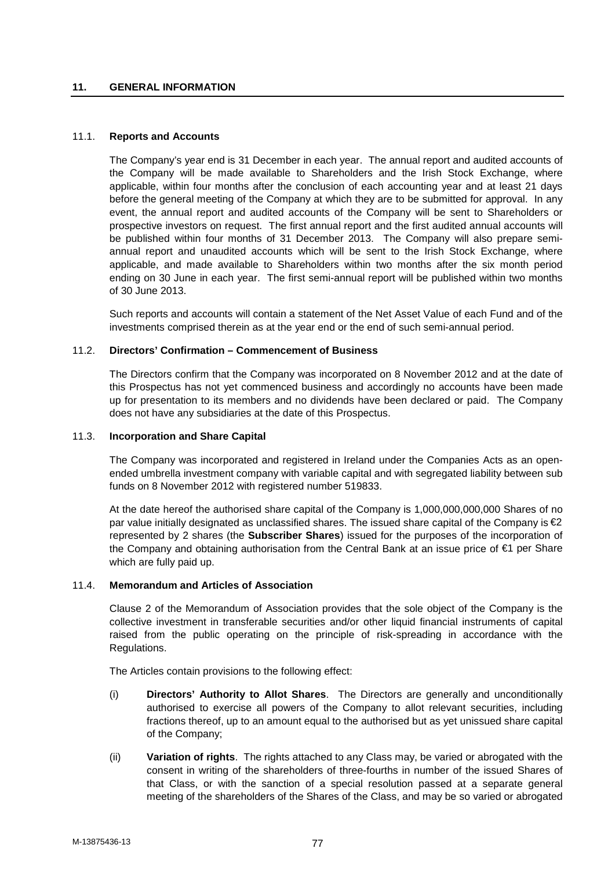## **11. GENERAL INFORMATION**

#### 11.1. **Reports and Accounts**

The Company's year end is 31 December in each year. The annual report and audited accounts of the Company will be made available to Shareholders and the Irish Stock Exchange, where applicable, within four months after the conclusion of each accounting year and at least 21 days before the general meeting of the Company at which they are to be submitted for approval. In any event, the annual report and audited accounts of the Company will be sent to Shareholders or prospective investors on request. The first annual report and the first audited annual accounts will be published within four months of 31 December 2013. The Company will also prepare semi annual report and unaudited accounts which will be sent to the Irish Stock Exchange, where applicable, and made available to Shareholders within two months after the six month period ending on 30 June in each year. The first semi-annual report will be published within two months of 30 June 2013.

Such reports and accounts will contain a statement of the Net Asset Value of each Fund and of the investments comprised therein as at the year end or the end of such semi-annual period.

## 11.2. **Directors' Confirmation – Commencement of Business**

The Directors confirm that the Company was incorporated on 8 November 2012 and at the date of this Prospectus has not yet commenced business and accordingly no accounts have been made up for presentation to its members and no dividends have been declared or paid. The Company does not have any subsidiaries at the date of this Prospectus.

## 11.3. **Incorporation and Share Capital**

The Company was incorporated and registered in Ireland under the Companies Acts as an open ended umbrella investment company with variable capital and with segregated liability between sub funds on 8 November 2012 with registered number 519833.

At the date hereof the authorised share capital of the Company is 1,000,000,000,000 Shares of no par value initially designated as unclassified shares. The issued share capital of the Company is  $\epsilon$ 2 represented by 2 shares (the **Subscriber Shares**) issued for the purposes of the incorporation of the Company and obtaining authorisation from the Central Bank at an issue price of €1 per Share which are fully paid up.

#### 11.4. **Memorandum and Articles of Association**

Clause 2 of the Memorandum of Association provides that the sole object of the Company is the collective investment in transferable securities and/or other liquid financial instruments of capital raised from the public operating on the principle of risk-spreading in accordance with the Regulations.

The Articles contain provisions to the following effect:

- (i) **Directors' Authority to Allot Shares**. The Directors are generally and unconditionally authorised to exercise all powers of the Company to allot relevant securities, including fractions thereof, up to an amount equal to the authorised but as yet unissued share capital of the Company;
- (ii) **Variation of rights**. The rights attached to any Class may, be varied or abrogated with the consent in writing of the shareholders of three-fourths in number of the issued Shares of that Class, or with the sanction of a special resolution passed at a separate general meeting of the shareholders of the Shares of the Class, and may be so varied or abrogated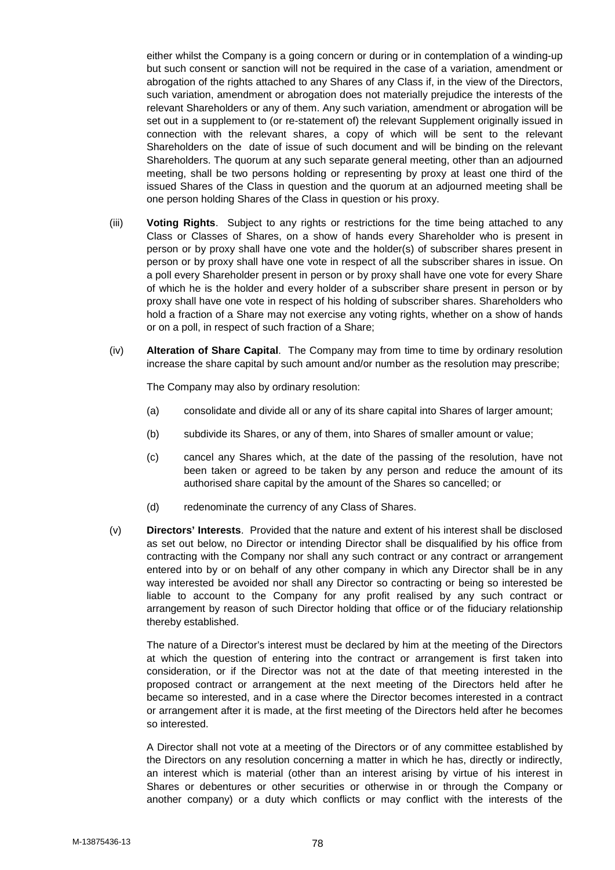either whilst the Company is a going concern or during or in contemplation of a winding-up but such consent or sanction will not be required in the case of a variation, amendment or abrogation of the rights attached to any Shares of any Class if, in the view of the Directors, such variation, amendment or abrogation does not materially prejudice the interests of the relevant Shareholders or any of them. Any such variation, amendment or abrogation will be set out in a supplement to (or re-statement of) the relevant Supplement originally issued in connection with the relevant shares, a copy of which will be sent to the relevant Shareholders on the date of issue of such document and will be binding on the relevant Shareholders. The quorum at any such separate general meeting, other than an adjourned meeting, shall be two persons holding or representing by proxy at least one third of the issued Shares of the Class in question and the quorum at an adjourned meeting shall be one person holding Shares of the Class in question or his proxy.

- (iii) **Voting Rights**. Subject to any rights or restrictions for the time being attached to any Class or Classes of Shares, on a show of hands every Shareholder who is present in person or by proxy shall have one vote and the holder(s) of subscriber shares present in person or by proxy shall have one vote in respect of all the subscriber shares in issue. On a poll every Shareholder present in person or by proxy shall have one vote for every Share of which he is the holder and every holder of a subscriber share present in person or by proxy shall have one vote in respect of his holding of subscriber shares. Shareholders who hold a fraction of a Share may not exercise any voting rights, whether on a show of hands or on a poll, in respect of such fraction of a Share;
- (iv) **Alteration of Share Capital**. The Company may from time to time by ordinary resolution increase the share capital by such amount and/or number as the resolution may prescribe;

The Company may also by ordinary resolution:

- (a) consolidate and divide all or any of its share capital into Shares of larger amount;
- (b) subdivide its Shares, or any of them, into Shares of smaller amount or value;
- (c) cancel any Shares which, at the date of the passing of the resolution, have not been taken or agreed to be taken by any person and reduce the amount of its authorised share capital by the amount of the Shares so cancelled; or
- (d) redenominate the currency of any Class of Shares.
- (v) **Directors' Interests**. Provided that the nature and extent of his interest shall be disclosed as set out below, no Director or intending Director shall be disqualified by his office from contracting with the Company nor shall any such contract or any contract or arrangement entered into by or on behalf of any other company in which any Director shall be in any way interested be avoided nor shall any Director so contracting or being so interested be liable to account to the Company for any profit realised by any such contract or arrangement by reason of such Director holding that office or of the fiduciary relationship thereby established.

The nature of a Director's interest must be declared by him at the meeting of the Directors at which the question of entering into the contract or arrangement is first taken into consideration, or if the Director was not at the date of that meeting interested in the proposed contract or arrangement at the next meeting of the Directors held after he became so interested, and in a case where the Director becomes interested in a contract or arrangement after it is made, at the first meeting of the Directors held after he becomes so interested.

A Director shall not vote at a meeting of the Directors or of any committee established by the Directors on any resolution concerning a matter in which he has, directly or indirectly, an interest which is material (other than an interest arising by virtue of his interest in Shares or debentures or other securities or otherwise in or through the Company or another company) or a duty which conflicts or may conflict with the interests of the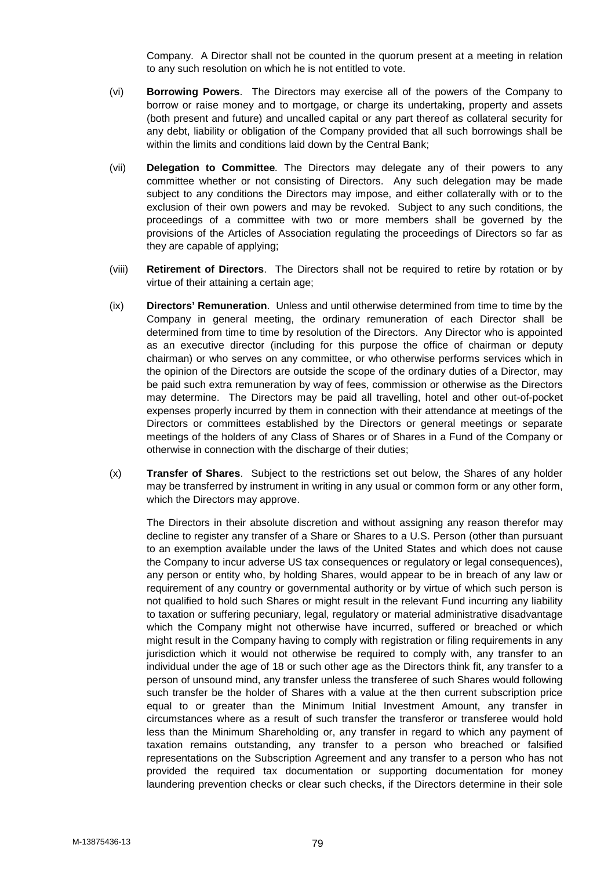Company. A Director shall not be counted in the quorum present at a meeting in relation to any such resolution on which he is not entitled to vote.

- (vi) **Borrowing Powers**. The Directors may exercise all of the powers of the Company to borrow or raise money and to mortgage, or charge its undertaking, property and assets (both present and future) and uncalled capital or any part thereof as collateral security for any debt, liability or obligation of the Company provided that all such borrowings shall be within the limits and conditions laid down by the Central Bank;
- (vii) **Delegation to Committee***.* The Directors may delegate any of their powers to any committee whether or not consisting of Directors. Any such delegation may be made subject to any conditions the Directors may impose, and either collaterally with or to the exclusion of their own powers and may be revoked. Subject to any such conditions, the proceedings of a committee with two or more members shall be governed by the provisions of the Articles of Association regulating the proceedings of Directors so far as they are capable of applying;
- (viii) **Retirement of Directors**. The Directors shall not be required to retire by rotation or by virtue of their attaining a certain age;
- (ix) **Directors' Remuneration**. Unless and until otherwise determined from time to time by the Company in general meeting, the ordinary remuneration of each Director shall be determined from time to time by resolution of the Directors. Any Director who is appointed as an executive director (including for this purpose the office of chairman or deputy chairman) or who serves on any committee, or who otherwise performs services which in the opinion of the Directors are outside the scope of the ordinary duties of a Director, may be paid such extra remuneration by way of fees, commission or otherwise as the Directors may determine. The Directors may be paid all travelling, hotel and other out-of-pocket expenses properly incurred by them in connection with their attendance at meetings of the Directors or committees established by the Directors or general meetings or separate meetings of the holders of any Class of Shares or of Shares in a Fund of the Company or otherwise in connection with the discharge of their duties;
- (x) **Transfer of Shares**. Subject to the restrictions set out below, the Shares of any holder may be transferred by instrument in writing in any usual or common form or any other form, which the Directors may approve.

The Directors in their absolute discretion and without assigning any reason therefor may decline to register any transfer of a Share or Shares to a U.S. Person (other than pursuant to an exemption available under the laws of the United States and which does not cause the Company to incur adverse US tax consequences or regulatory or legal consequences), any person or entity who, by holding Shares, would appear to be in breach of any law or requirement of any country or governmental authority or by virtue of which such person is not qualified to hold such Shares or might result in the relevant Fund incurring any liability to taxation or suffering pecuniary, legal, regulatory or material administrative disadvantage which the Company might not otherwise have incurred, suffered or breached or which might result in the Company having to comply with registration or filing requirements in any jurisdiction which it would not otherwise be required to comply with, any transfer to an individual under the age of 18 or such other age as the Directors think fit, any transfer to a person of unsound mind, any transfer unless the transferee of such Shares would following such transfer be the holder of Shares with a value at the then current subscription price equal to or greater than the Minimum Initial Investment Amount, any transfer in circumstances where as a result of such transfer the transferor or transferee would hold less than the Minimum Shareholding or, any transfer in regard to which any payment of taxation remains outstanding, any transfer to a person who breached or falsified representations on the Subscription Agreement and any transfer to a person who has not provided the required tax documentation or supporting documentation for money laundering prevention checks or clear such checks, if the Directors determine in their sole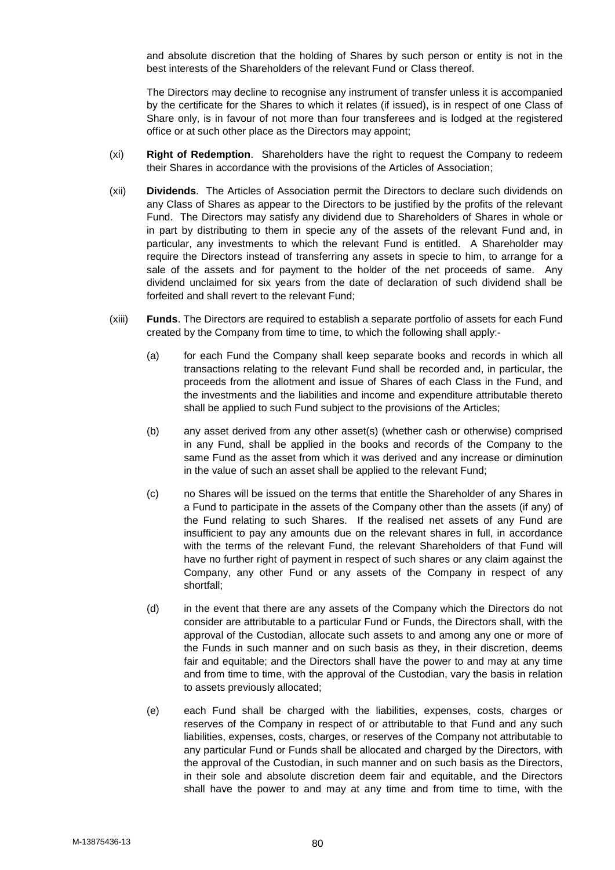and absolute discretion that the holding of Shares by such person or entity is not in the best interests of the Shareholders of the relevant Fund or Class thereof.

The Directors may decline to recognise any instrument of transfer unless it is accompanied by the certificate for the Shares to which it relates (if issued), is in respect of one Class of Share only, is in favour of not more than four transferees and is lodged at the registered office or at such other place as the Directors may appoint;

- (xi) **Right of Redemption**. Shareholders have the right to request the Company to redeem their Shares in accordance with the provisions of the Articles of Association;
- (xii) **Dividends**. The Articles of Association permit the Directors to declare such dividends on any Class of Shares as appear to the Directors to be justified by the profits of the relevant Fund. The Directors may satisfy any dividend due to Shareholders of Shares in whole or in part by distributing to them in specie any of the assets of the relevant Fund and, in particular, any investments to which the relevant Fund is entitled. A Shareholder may require the Directors instead of transferring any assets in specie to him, to arrange for a sale of the assets and for payment to the holder of the net proceeds of same. Any dividend unclaimed for six years from the date of declaration of such dividend shall be forfeited and shall revert to the relevant Fund;
- (xiii) **Funds**. The Directors are required to establish a separate portfolio of assets for each Fund created by the Company from time to time, to which the following shall apply:-
	- (a) for each Fund the Company shall keep separate books and records in which all transactions relating to the relevant Fund shall be recorded and, in particular, the proceeds from the allotment and issue of Shares of each Class in the Fund, and the investments and the liabilities and income and expenditure attributable thereto shall be applied to such Fund subject to the provisions of the Articles;
	- (b) any asset derived from any other asset(s) (whether cash or otherwise) comprised in any Fund, shall be applied in the books and records of the Company to the same Fund as the asset from which it was derived and any increase or diminution in the value of such an asset shall be applied to the relevant Fund;
	- (c) no Shares will be issued on the terms that entitle the Shareholder of any Shares in a Fund to participate in the assets of the Company other than the assets (if any) of the Fund relating to such Shares. If the realised net assets of any Fund are insufficient to pay any amounts due on the relevant shares in full, in accordance with the terms of the relevant Fund, the relevant Shareholders of that Fund will have no further right of payment in respect of such shares or any claim against the Company, any other Fund or any assets of the Company in respect of any shortfall;
	- (d) in the event that there are any assets of the Company which the Directors do not consider are attributable to a particular Fund or Funds, the Directors shall, with the approval of the Custodian, allocate such assets to and among any one or more of the Funds in such manner and on such basis as they, in their discretion, deems fair and equitable; and the Directors shall have the power to and may at any time and from time to time, with the approval of the Custodian, vary the basis in relation to assets previously allocated;
	- (e) each Fund shall be charged with the liabilities, expenses, costs, charges or reserves of the Company in respect of or attributable to that Fund and any such liabilities, expenses, costs, charges, or reserves of the Company not attributable to any particular Fund or Funds shall be allocated and charged by the Directors, with the approval of the Custodian, in such manner and on such basis as the Directors, in their sole and absolute discretion deem fair and equitable, and the Directors shall have the power to and may at any time and from time to time, with the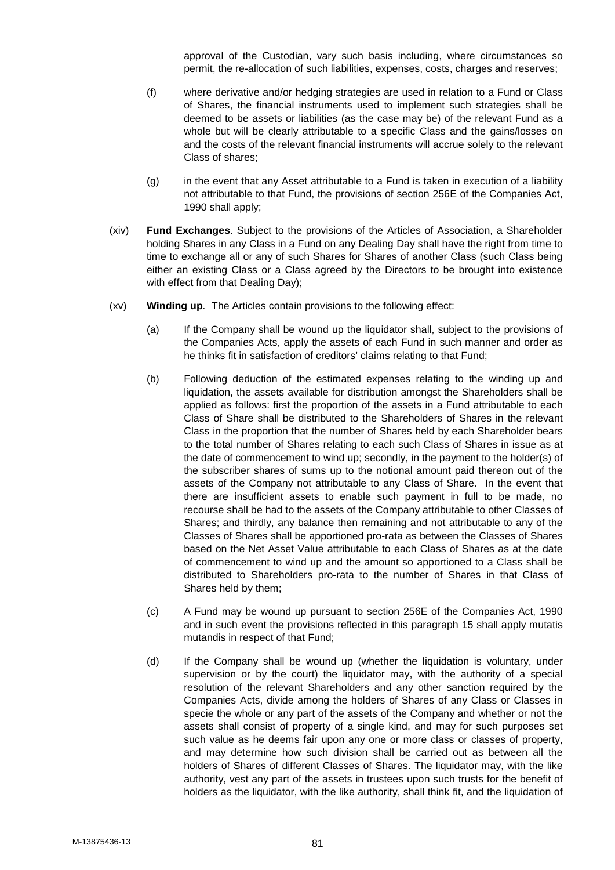approval of the Custodian, vary such basis including, where circumstances so permit, the re-allocation of such liabilities, expenses, costs, charges and reserves;

- (f) where derivative and/or hedging strategies are used in relation to a Fund or Class of Shares, the financial instruments used to implement such strategies shall be deemed to be assets or liabilities (as the case may be) of the relevant Fund as a whole but will be clearly attributable to a specific Class and the gains/losses on and the costs of the relevant financial instruments will accrue solely to the relevant Class of shares;
- (g) in the event that any Asset attributable to a Fund is taken in execution of a liability not attributable to that Fund, the provisions of section 256E of the Companies Act, 1990 shall apply;
- (xiv) **Fund Exchanges**. Subject to the provisions of the Articles of Association, a Shareholder holding Shares in any Class in a Fund on any Dealing Day shall have the right from time to time to exchange all or any of such Shares for Shares of another Class (such Class being either an existing Class or a Class agreed by the Directors to be brought into existence with effect from that Dealing Day);
- (xv) **Winding up***.* The Articles contain provisions to the following effect:
	- (a) If the Company shall be wound up the liquidator shall, subject to the provisions of the Companies Acts, apply the assets of each Fund in such manner and order as he thinks fit in satisfaction of creditors' claims relating to that Fund;
	- (b) Following deduction of the estimated expenses relating to the winding up and liquidation, the assets available for distribution amongst the Shareholders shall be applied as follows: first the proportion of the assets in a Fund attributable to each Class of Share shall be distributed to the Shareholders of Shares in the relevant Class in the proportion that the number of Shares held by each Shareholder bears to the total number of Shares relating to each such Class of Shares in issue as at the date of commencement to wind up; secondly, in the payment to the holder(s) of the subscriber shares of sums up to the notional amount paid thereon out of the assets of the Company not attributable to any Class of Share. In the event that there are insufficient assets to enable such payment in full to be made, no recourse shall be had to the assets of the Company attributable to other Classes of Shares; and thirdly, any balance then remaining and not attributable to any of the Classes of Shares shall be apportioned pro-rata as between the Classes of Shares based on the Net Asset Value attributable to each Class of Shares as at the date of commencement to wind up and the amount so apportioned to a Class shall be distributed to Shareholders pro-rata to the number of Shares in that Class of Shares held by them;
	- (c) A Fund may be wound up pursuant to section 256E of the Companies Act, 1990 and in such event the provisions reflected in this paragraph 15 shall apply mutatis mutandis in respect of that Fund;
	- (d) If the Company shall be wound up (whether the liquidation is voluntary, under supervision or by the court) the liquidator may, with the authority of a special resolution of the relevant Shareholders and any other sanction required by the Companies Acts, divide among the holders of Shares of any Class or Classes in specie the whole or any part of the assets of the Company and whether or not the assets shall consist of property of a single kind, and may for such purposes set such value as he deems fair upon any one or more class or classes of property, and may determine how such division shall be carried out as between all the holders of Shares of different Classes of Shares. The liquidator may, with the like authority, vest any part of the assets in trustees upon such trusts for the benefit of holders as the liquidator, with the like authority, shall think fit, and the liquidation of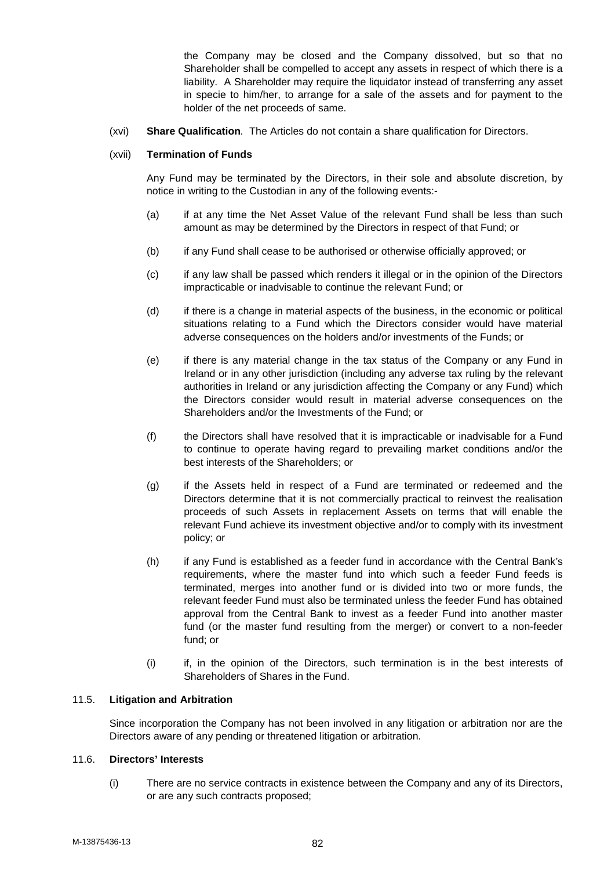the Company may be closed and the Company dissolved, but so that no Shareholder shall be compelled to accept any assets in respect of which there is a liability. A Shareholder may require the liquidator instead of transferring any asset in specie to him/her, to arrange for a sale of the assets and for payment to the holder of the net proceeds of same.

(xvi) **Share Qualification***.* The Articles do not contain a share qualification for Directors.

## (xvii) **Termination of Funds**

Any Fund may be terminated by the Directors, in their sole and absolute discretion, by notice in writing to the Custodian in any of the following events:-

- (a) if at any time the Net Asset Value of the relevant Fund shall be less than such amount as may be determined by the Directors in respect of that Fund; or
- (b) if any Fund shall cease to be authorised or otherwise officially approved; or
- (c) if any law shall be passed which renders it illegal or in the opinion of the Directors impracticable or inadvisable to continue the relevant Fund; or
- (d) if there is a change in material aspects of the business, in the economic or political situations relating to a Fund which the Directors consider would have material adverse consequences on the holders and/or investments of the Funds; or
- (e) if there is any material change in the tax status of the Company or any Fund in Ireland or in any other jurisdiction (including any adverse tax ruling by the relevant authorities in Ireland or any jurisdiction affecting the Company or any Fund) which the Directors consider would result in material adverse consequences on the Shareholders and/or the Investments of the Fund; or
- (f) the Directors shall have resolved that it is impracticable or inadvisable for a Fund to continue to operate having regard to prevailing market conditions and/or the best interests of the Shareholders; or
- (g) if the Assets held in respect of a Fund are terminated or redeemed and the Directors determine that it is not commercially practical to reinvest the realisation proceeds of such Assets in replacement Assets on terms that will enable the relevant Fund achieve its investment objective and/or to comply with its investment policy; or
- (h) if any Fund is established as a feeder fund in accordance with the Central Bank's requirements, where the master fund into which such a feeder Fund feeds is terminated, merges into another fund or is divided into two or more funds, the relevant feeder Fund must also be terminated unless the feeder Fund has obtained approval from the Central Bank to invest as a feeder Fund into another master fund (or the master fund resulting from the merger) or convert to a non-feeder fund; or
- (i) if, in the opinion of the Directors, such termination is in the best interests of Shareholders of Shares in the Fund.

# 11.5. **Litigation and Arbitration**

Since incorporation the Company has not been involved in any litigation or arbitration nor are the Directors aware of any pending or threatened litigation or arbitration.

#### 11.6. **Directors' Interests**

(i) There are no service contracts in existence between the Company and any of its Directors, or are any such contracts proposed;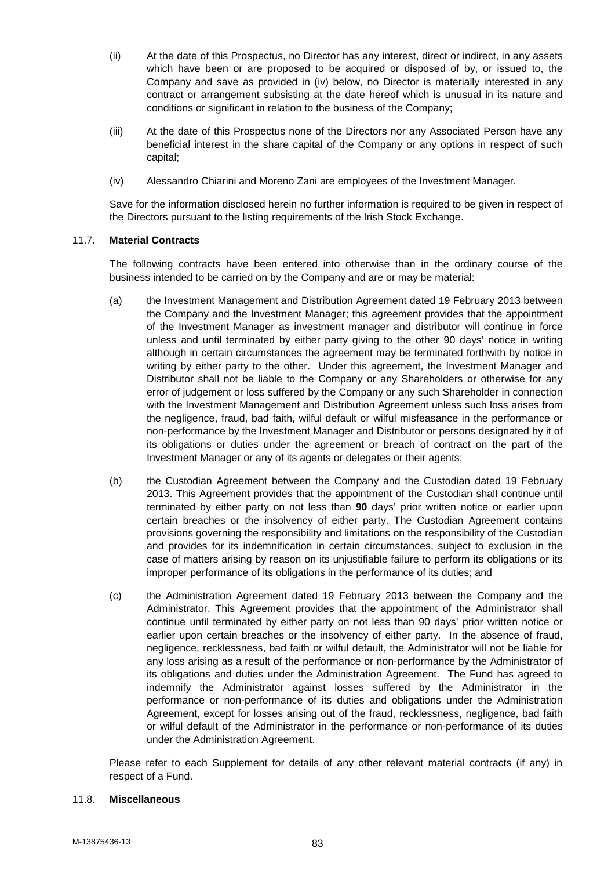- (ii) At the date of this Prospectus, no Director has any interest, direct or indirect, in any assets which have been or are proposed to be acquired or disposed of by, or issued to, the Company and save as provided in (iv) below, no Director is materially interested in any contract or arrangement subsisting at the date hereof which is unusual in its nature and conditions or significant in relation to the business of the Company;
- (iii) At the date of this Prospectus none of the Directors nor any Associated Person have any beneficial interest in the share capital of the Company or any options in respect of such capital;
- (iv) Alessandro Chiarini and Moreno Zani are employees of the Investment Manager.

Save for the information disclosed herein no further information is required to be given in respect of the Directors pursuant to the listing requirements of the Irish Stock Exchange.

## 11.7. **Material Contracts**

The following contracts have been entered into otherwise than in the ordinary course of the business intended to be carried on by the Company and are or may be material:

- (a) the Investment Management and Distribution Agreement dated 19 February 2013 between the Company and the Investment Manager; this agreement provides that the appointment of the Investment Manager as investment manager and distributor will continue in force unless and until terminated by either party giving to the other 90 days' notice in writing although in certain circumstances the agreement may be terminated forthwith by notice in writing by either party to the other. Under this agreement, the Investment Manager and Distributor shall not be liable to the Company or any Shareholders or otherwise for any error of judgement or loss suffered by the Company or any such Shareholder in connection with the Investment Management and Distribution Agreement unless such loss arises from the negligence, fraud, bad faith, wilful default or wilful misfeasance in the performance or non-performance by the Investment Manager and Distributor or persons designated by it of its obligations or duties under the agreement or breach of contract on the part of the Investment Manager or any of its agents or delegates or their agents;
- (b) the Custodian Agreement between the Company and the Custodian dated 19 February 2013. This Agreement provides that the appointment of the Custodian shall continue until terminated by either party on not less than **90** days' prior written notice or earlier upon certain breaches or the insolvency of either party. The Custodian Agreement contains provisions governing the responsibility and limitations on the responsibility of the Custodian and provides for its indemnification in certain circumstances, subject to exclusion in the case of matters arising by reason on its unjustifiable failure to perform its obligations or its improper performance of its obligations in the performance of its duties; and
- (c) the Administration Agreement dated 19 February 2013 between the Company and the Administrator. This Agreement provides that the appointment of the Administrator shall continue until terminated by either party on not less than 90 days' prior written notice or earlier upon certain breaches or the insolvency of either party. In the absence of fraud, negligence, recklessness, bad faith or wilful default, the Administrator will not be liable for any loss arising as a result of the performance or non-performance by the Administrator of its obligations and duties under the Administration Agreement. The Fund has agreed to indemnify the Administrator against losses suffered by the Administrator in the performance or non-performance of its duties and obligations under the Administration Agreement, except for losses arising out of the fraud, recklessness, negligence, bad faith or wilful default of the Administrator in the performance or non-performance of its duties under the Administration Agreement.

Please refer to each Supplement for details of any other relevant material contracts (if any) in respect of a Fund.

# 11.8. **Miscellaneous**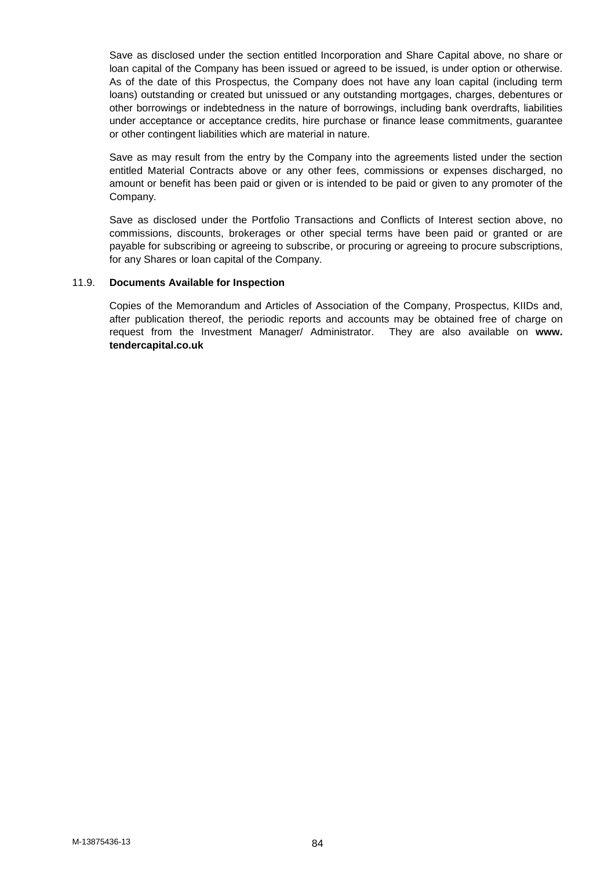Save as disclosed under the section entitled Incorporation and Share Capital above, no share or loan capital of the Company has been issued or agreed to be issued, is under option or otherwise. As of the date of this Prospectus, the Company does not have any loan capital (including term loans) outstanding or created but unissued or any outstanding mortgages, charges, debentures or other borrowings or indebtedness in the nature of borrowings, including bank overdrafts, liabilities under acceptance or acceptance credits, hire purchase or finance lease commitments, guarantee or other contingent liabilities which are material in nature.

Save as may result from the entry by the Company into the agreements listed under the section entitled Material Contracts above or any other fees, commissions or expenses discharged, no amount or benefit has been paid or given or is intended to be paid or given to any promoter of the Company.

Save as disclosed under the Portfolio Transactions and Conflicts of Interest section above, no commissions, discounts, brokerages or other special terms have been paid or granted or are payable for subscribing or agreeing to subscribe, or procuring or agreeing to procure subscriptions, for any Shares or loan capital of the Company.

## 11.9. **Documents Available for Inspection**

Copies of the Memorandum and Articles of Association of the Company, Prospectus, KIIDs and, after publication thereof, the periodic reports and accounts may be obtained free of charge on request from the Investment Manager/ Administrator. They are also available on **www. tendercapital.co.uk**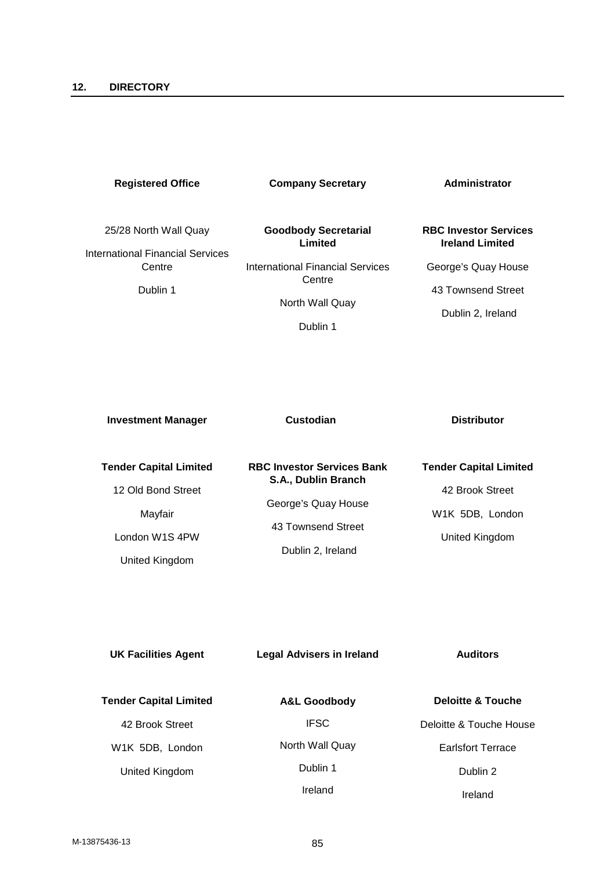# **Registered Office**

**Company Secretary**

**Goodbody Secretarial**

**Administrator**

# 25/28 North Wall Quay

International Financial Services **Centre** 

Dublin 1

**Limited** International Financial Services **Centre** North Wall Quay

Dublin 1

# **RBC Investor Services Ireland Limited**

George's Quay House

43 Townsend Street

Dublin 2, Ireland

| <b>Investment Manager</b>     | Custodian                         | <b>Distributor</b>            |  |
|-------------------------------|-----------------------------------|-------------------------------|--|
| <b>Tender Capital Limited</b> | <b>RBC Investor Services Bank</b> | <b>Tender Capital Limited</b> |  |
| 12 Old Bond Street            | S.A., Dublin Branch               | 42 Brook Street               |  |
| Mayfair                       | George's Quay House               | W1K 5DB, London               |  |
| London W1S 4PW                | 43 Townsend Street                | United Kingdom                |  |
| United Kingdom                | Dublin 2, Ireland                 |                               |  |

| <b>UK Facilities Agent</b>    | <b>Legal Advisers in Ireland</b> | <b>Auditors</b>              |  |
|-------------------------------|----------------------------------|------------------------------|--|
| <b>Tender Capital Limited</b> | <b>A&amp;L Goodbody</b>          | <b>Deloitte &amp; Touche</b> |  |
| 42 Brook Street               | <b>IFSC</b>                      | Deloitte & Touche House      |  |
| W1K 5DB, London               | North Wall Quay                  | <b>Earlsfort Terrace</b>     |  |
| United Kingdom                | Dublin 1                         | Dublin 2                     |  |
|                               | Ireland                          | Ireland                      |  |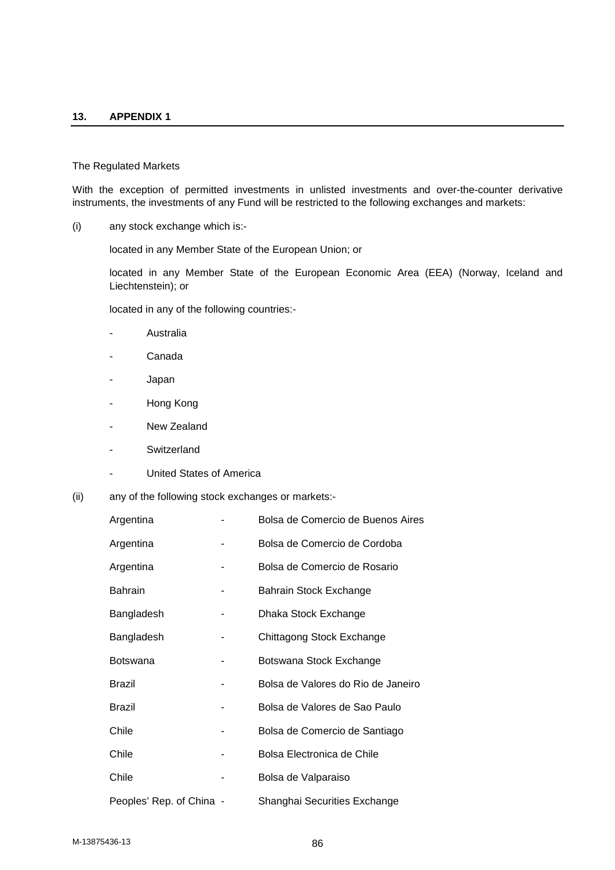#### **13. APPENDIX 1**

#### The Regulated Markets

With the exception of permitted investments in unlisted investments and over-the-counter derivative instruments, the investments of any Fund will be restricted to the following exchanges and markets:

(i) any stock exchange which is:-

located in any Member State of the European Union; or

located in any Member State of the European Economic Area (EEA) (Norway, Iceland and Liechtenstein); or

located in any of the following countries:-

- Australia
- Canada
- Japan
- Hong Kong
- New Zealand
- Switzerland
- United States of America
- (ii) any of the following stock exchanges or markets:-

| Argentina                |   | Bolsa de Comercio de Buenos Aires  |
|--------------------------|---|------------------------------------|
| Argentina                | ۰ | Bolsa de Comercio de Cordoba       |
| Argentina                |   | Bolsa de Comercio de Rosario       |
| <b>Bahrain</b>           | - | Bahrain Stock Exchange             |
| Bangladesh               |   | Dhaka Stock Exchange               |
| Bangladesh               | ۰ | Chittagong Stock Exchange          |
| <b>Botswana</b>          | - | Botswana Stock Exchange            |
| <b>Brazil</b>            | - | Bolsa de Valores do Rio de Janeiro |
| <b>Brazil</b>            | - | Bolsa de Valores de Sao Paulo      |
| Chile                    | ۰ | Bolsa de Comercio de Santiago      |
| Chile                    | ۰ | Bolsa Electronica de Chile         |
| Chile                    | ۰ | Bolsa de Valparaiso                |
| Peoples' Rep. of China - |   | Shanghai Securities Exchange       |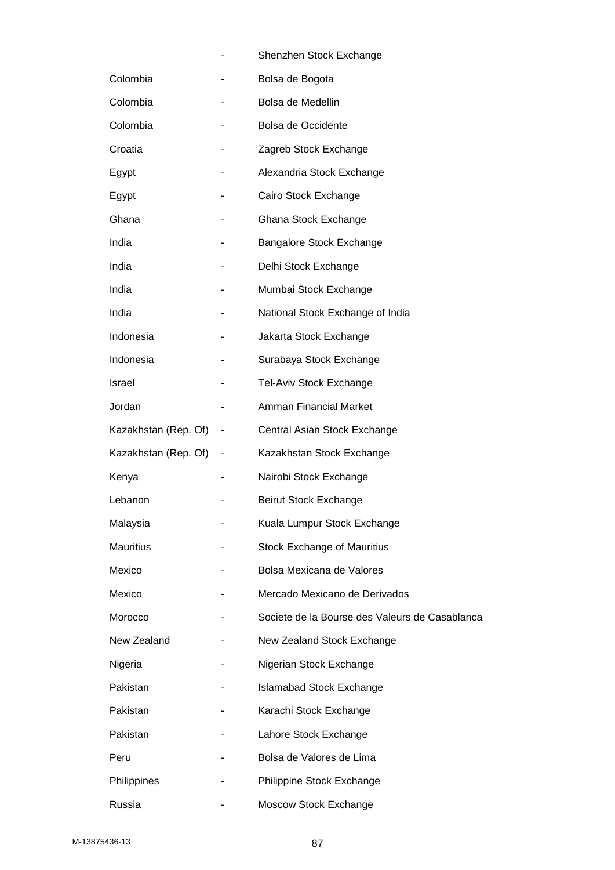|                      |                              | Shenzhen Stock Exchange                        |
|----------------------|------------------------------|------------------------------------------------|
| Colombia             |                              | Bolsa de Bogota                                |
| Colombia             |                              | Bolsa de Medellin                              |
| Colombia             |                              | Bolsa de Occidente                             |
| Croatia              |                              | Zagreb Stock Exchange                          |
| Egypt                |                              | Alexandria Stock Exchange                      |
| Egypt                |                              | Cairo Stock Exchange                           |
| Ghana                |                              | Ghana Stock Exchange                           |
| India                |                              | Bangalore Stock Exchange                       |
| India                |                              | Delhi Stock Exchange                           |
| India                |                              | Mumbai Stock Exchange                          |
| India                |                              | National Stock Exchange of India               |
| Indonesia            |                              | Jakarta Stock Exchange                         |
| Indonesia            |                              | Surabaya Stock Exchange                        |
| Israel               |                              | Tel-Aviv Stock Exchange                        |
| Jordan               |                              | Amman Financial Market                         |
| Kazakhstan (Rep. Of) | $\qquad \qquad \blacksquare$ | Central Asian Stock Exchange                   |
| Kazakhstan (Rep. Of) | $\overline{\phantom{a}}$     | Kazakhstan Stock Exchange                      |
| Kenya                |                              | Nairobi Stock Exchange                         |
| Lebanon              |                              | <b>Beirut Stock Exchange</b>                   |
| Malaysia             |                              | Kuala Lumpur Stock Exchange                    |
| <b>Mauritius</b>     |                              | <b>Stock Exchange of Mauritius</b>             |
| Mexico               |                              | Bolsa Mexicana de Valores                      |
| Mexico               |                              | Mercado Mexicano de Derivados                  |
| Morocco              |                              | Societe de la Bourse des Valeurs de Casablanca |
| New Zealand          |                              | New Zealand Stock Exchange                     |
| Nigeria              |                              | Nigerian Stock Exchange                        |
| Pakistan             |                              | <b>Islamabad Stock Exchange</b>                |
| Pakistan             |                              | Karachi Stock Exchange                         |
| Pakistan             |                              | Lahore Stock Exchange                          |
| Peru                 |                              | Bolsa de Valores de Lima                       |
| Philippines          |                              | Philippine Stock Exchange                      |
| Russia               |                              | Moscow Stock Exchange                          |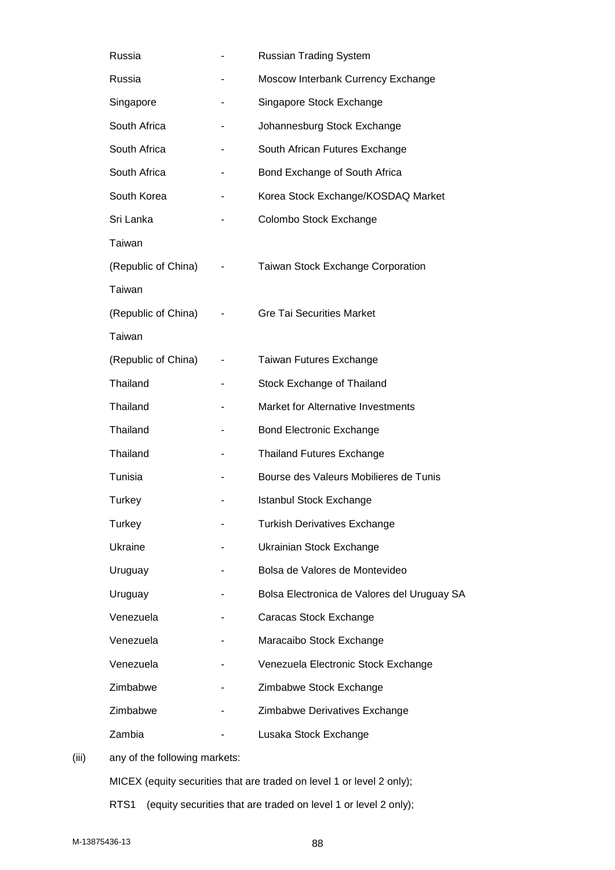| Russia              |                | <b>Russian Trading System</b>               |
|---------------------|----------------|---------------------------------------------|
| Russia              | ۰              | Moscow Interbank Currency Exchange          |
| Singapore           | ٠              | Singapore Stock Exchange                    |
| South Africa        | ۰              | Johannesburg Stock Exchange                 |
| South Africa        | ۰              | South African Futures Exchange              |
| South Africa        | ۰              | Bond Exchange of South Africa               |
| South Korea         | ۰              | Korea Stock Exchange/KOSDAQ Market          |
| Sri Lanka           |                | Colombo Stock Exchange                      |
| Taiwan              |                |                                             |
| (Republic of China) | ٠              | <b>Taiwan Stock Exchange Corporation</b>    |
| Taiwan              |                |                                             |
| (Republic of China) |                | <b>Gre Tai Securities Market</b>            |
| Taiwan              |                |                                             |
| (Republic of China) | $\blacksquare$ | Taiwan Futures Exchange                     |
| Thailand            | ۰              | Stock Exchange of Thailand                  |
| Thailand            | ۰              | Market for Alternative Investments          |
| Thailand            |                | <b>Bond Electronic Exchange</b>             |
| Thailand            |                | <b>Thailand Futures Exchange</b>            |
| Tunisia             |                | Bourse des Valeurs Mobilieres de Tunis      |
| Turkey              |                | <b>Istanbul Stock Exchange</b>              |
| Turkey              |                | <b>Turkish Derivatives Exchange</b>         |
| Ukraine             |                | Ukrainian Stock Exchange                    |
| Uruguay             |                | Bolsa de Valores de Montevideo              |
| Uruguay             |                | Bolsa Electronica de Valores del Uruguay SA |
| Venezuela           |                | Caracas Stock Exchange                      |
| Venezuela           |                | Maracaibo Stock Exchange                    |
| Venezuela           |                | Venezuela Electronic Stock Exchange         |
| Zimbabwe            |                | Zimbabwe Stock Exchange                     |
| Zimbabwe            |                | Zimbabwe Derivatives Exchange               |
| Zambia              |                | Lusaka Stock Exchange                       |

(iii) any of the following markets:

MICEX (equity securities that are traded on level 1 or level 2 only);

RTS1 (equity securities that are traded on level 1 or level 2 only);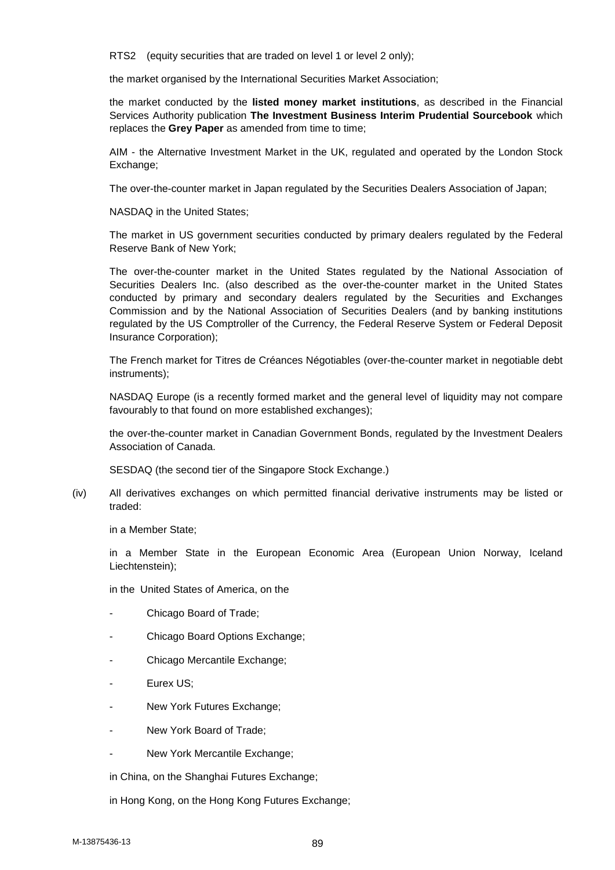RTS2 (equity securities that are traded on level 1 or level 2 only);

the market organised by the International Securities Market Association;

the market conducted by the **listed money market institutions**, as described in the Financial Services Authority publication **The Investment Business Interim Prudential Sourcebook** which replaces the **Grey Paper** as amended from time to time;

AIM - the Alternative Investment Market in the UK, regulated and operated by the London Stock Exchange;

The over-the-counter market in Japan regulated by the Securities Dealers Association of Japan;

NASDAQ in the United States;

The market in US government securities conducted by primary dealers regulated by the Federal Reserve Bank of New York;

The over-the-counter market in the United States regulated by the National Association of Securities Dealers Inc. (also described as the over-the-counter market in the United States conducted by primary and secondary dealers regulated by the Securities and Exchanges Commission and by the National Association of Securities Dealers (and by banking institutions regulated by the US Comptroller of the Currency, the Federal Reserve System or Federal Deposit Insurance Corporation);

The French market for Titres de Créances Négotiables (over-the-counter market in negotiable debt instruments);

NASDAQ Europe (is a recently formed market and the general level of liquidity may not compare favourably to that found on more established exchanges);

the over-the-counter market in Canadian Government Bonds, regulated by the Investment Dealers Association of Canada.

SESDAQ (the second tier of the Singapore Stock Exchange.)

(iv) All derivatives exchanges on which permitted financial derivative instruments may be listed or traded:

in a Member State;

in a Member State in the European Economic Area (European Union Norway, Iceland Liechtenstein);

in the United States of America, on the

- Chicago Board of Trade;
- Chicago Board Options Exchange;
- Chicago Mercantile Exchange;
- Eurex US;
- New York Futures Exchange;
- New York Board of Trade:
- New York Mercantile Exchange:

in China, on the Shanghai Futures Exchange;

in Hong Kong, on the Hong Kong Futures Exchange;